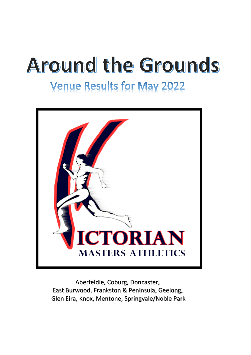# **Around the Grounds**

## **Venue Results for May 2022**



Aberfeldie, Coburg, Doncaster, East Burwood, Frankston & Peninsula, Geelong, Glen Eira, Knox, Mentone, Springvale/Noble Park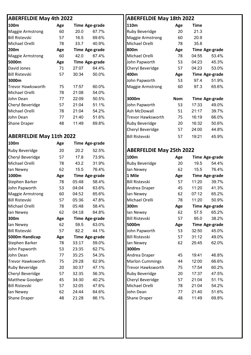| 100m                    | Age |       | <b>Time Age-grade</b> | 110m                     | Age        | <b>Time</b> |
|-------------------------|-----|-------|-----------------------|--------------------------|------------|-------------|
| Maggie Armstrong        | 60  | 20.0  | 67.7%                 | <b>Ruby Beveridge</b>    | 20         | 21.3        |
| <b>Bill Ristevski</b>   | 57  | 16.5  | 69.6%                 | <b>Maggie Armstrong</b>  | 60         | 20.9        |
| Michael Orelli          | 78  | 33.7  | 40.9%                 | Michael Orelli           | 78         | 35.8        |
| 200m                    | Age |       | <b>Time Age-grade</b> | 800m                     | Age        | <b>Time</b> |
| <b>Maggie Armstrong</b> | 60  | 42.0  | 67.4%                 | Michael Orelli           | 78         | 04:55       |
| 5000m                   | Age |       | <b>Time Age-grade</b> | John Papworth            | 53         | 04:23       |
| David Jones             | 71  | 27:07 | 64.4%                 | Cheryl Beveridge         | 57         | 04:23       |
| <b>Bill Ristevski</b>   | 57  | 30:34 | 50.0%                 | 400m                     | Age        | <b>Time</b> |
| 3000m                   |     |       |                       | John Papworth            | 53         | 97.4        |
| Trevor Hawksworth       | 75  | 17:57 | 60.0%                 | <b>Maggie Armstrong</b>  | 60         | 97.3        |
| Michael Orelli          | 78  | 21:08 | 54.0%                 |                          |            |             |
| John Dean               | 77  | 22:09 | 50.5%                 | 3000m                    | <b>Nom</b> | <b>Time</b> |
| Cheryl Beveridge        | 57  | 21:04 | 51.1%                 | John Papworth            | 53         | 17:33       |
| Michael Orelli          | 78  | 21:04 | 54.2%                 | Ash McDowall             | 51         | 21:17       |
| John Dean               | 77  | 21:40 | 51.6%                 | <b>Trevor Hawksworth</b> | 75         | 16:19       |
| <b>Shane Draper</b>     | 48  | 11:49 | 69.8%                 | <b>Ruby Beveridge</b>    | 20         | 16:32       |

#### **ABERFELDIE May 11th 2022 Bill Ristevski** 57 19:21 45.9%

| 100m                     | Age |       | <b>Time Age-grade</b> |                                 |     |       |                       |
|--------------------------|-----|-------|-----------------------|---------------------------------|-----|-------|-----------------------|
| Ruby Beveridge           | 20  | 20.2  | 52.5%                 | <b>ABERFELDIE May 25th 2022</b> |     |       |                       |
| Cheryl Beveridge         | 57  | 17.8  | 73.9%                 | 100m                            | Age |       | <b>Time Age-grade</b> |
| Michael Orelli           | 78  | 43.2  | 31.9%                 | <b>Ruby Beveridge</b>           | 20  | 19.5  | 54.4%                 |
| lan Newey                | 62  | 15.5  | 76.4%                 | lan Newey                       | 62  | 15.5  | 76.4%                 |
| 1000m                    | Age |       | <b>Time Age-grade</b> | 1 Mile                          | Age |       | <b>Time Age-grade</b> |
| Stephen Barker           | 78  | 05:48 | 58.4%                 | <b>Bill Ristevski</b>           | 57  | 11:20 | 39.7%                 |
| John Papworth            | 53  | 04:04 | 63.6%                 | Andrea Draper                   | 45  | 11:20 | 41.3%                 |
| <b>Maggie Armstrong</b>  | 60  | 04:52 | 65.6%                 | lan Newey                       | 62  | 07:12 | 65.2%                 |
| <b>Bill Ristevski</b>    | 57  | 05:36 | 47.8%                 | Michael Orelli                  | 78  | 11:20 | 50.9%                 |
| Michael Orelli           | 78  | 05:48 | 58.4%                 | 300m                            | Age |       | <b>Time Age-grade</b> |
| lan Newey                | 62  | 04:18 | 64.8%                 | lan Newey                       | 62  | 57.5  | 65.2%                 |
| 300m                     | Age |       | <b>Time Age-grade</b> | <b>Bill Ristevski</b>           | 57  | 95.0  | 38.2%                 |
| lan Newey                | 62  | 59.5  | 63.0%                 | 5000m                           | Age |       | <b>Time Age-grade</b> |
| <b>Bill Ristevski</b>    | 57  | 82.2  | 44.1%                 | John Papworth                   | 53  | 32:50 | 45.0%                 |
| 5000m Handicap           | Age |       | <b>Time Age-grade</b> | <b>Bill Ristevski</b>           | 57  | 31:12 | 49.0%                 |
| Stephen Barker           | 78  | 33:17 | 59.0%                 | lan Newey                       | 62  | 25:45 | 62.0%                 |
| John Papworth            | 53  | 23:35 | 62.7%                 | 3000m                           |     |       |                       |
| John Dean                | 77  | 35:25 | 54.3%                 | Andrea Draper                   | 45  | 19:41 | 46.8%                 |
| <b>Trevor Hawksworth</b> | 75  | 29:28 | 62.9%                 | <b>Marlon Cummings</b>          | 44  | 12:00 | 66.6%                 |
| Ruby Beveridge           | 20  | 30:37 | 47.1%                 | <b>Trevor Hawksworth</b>        | 75  | 17:54 | 60.2%                 |
| Cheryl Beveridge         | 57  | 32:35 | 56.3%                 | Ruby Beveridge                  | 20  | 17:37 | 47.5%                 |
| Matthew Goodger          | 45  | 34:30 | 40.2%                 | Cheryl Beveridge                | 57  | 21:04 | 51.1%                 |
| <b>Bill Ristevski</b>    | 57  | 32:05 | 47.6%                 | Michael Orelli                  | 78  | 21:04 | 54.2%                 |
| lan Newey                | 62  | 24:44 | 64.6%                 | John Dean                       | 77  | 21:40 | 51.6%                 |
| Shane Draper             | 48  | 21:28 | 66.1%                 | <b>Shane Draper</b>             | 48  | 11:49 | 69.8%                 |
|                          |     |       |                       |                                 |     |       |                       |

### **ABERFELDIE May 4th 2022 ABERFELDIE May 18th 2022** Ruby Beveridge 20 21.3 Maggie Armstrong 60 20.9 Michael Orelli 78 35.8 **200m Age Time Age-grade 800m Age Time Age-grade** Michael Orelli 78 04:55 53.4% **5000m Age Time Age-grade** John Papworth 53 04:23 45.3% Cheryl Beveridge 57 04:23 53.0% Bill Ristevski 57 30:34 50.0% **400m Age Time Age-grade 3000m** John Papworth 53 97.4 51.9% Maggie Armstrong 60 97.3 65.6% John Dean 77 22:09 50.5% **3000m Nom Time Age-grade** John Papworth 53 17:33 49.0% Ash McDowall 51 21:17 39.7% Trevor Hawksworth 75 16:19 66.0% Ruby Beveridge 20 16:32 50.6% Cheryl Beveridge 57 24:00 44.8%

#### **ABERFELDIE May 25th 2022**

| 100m                     | Age |       | <b>Time Age-grade</b> |
|--------------------------|-----|-------|-----------------------|
| <b>Ruby Beveridge</b>    | 20  | 19.5  | 54.4%                 |
| lan Newey                | 62  | 15.5  | 76.4%                 |
| 1 Mile                   | Age |       | <b>Time Age-grade</b> |
| <b>Bill Ristevski</b>    | 57  | 11:20 | 39.7%                 |
| Andrea Draper            | 45  | 11:20 | 41.3%                 |
| lan Newey                | 62  | 07:12 | 65.2%                 |
| Michael Orelli           | 78  | 11:20 | 50.9%                 |
| 300m                     | Age |       | <b>Time Age-grade</b> |
| lan Newey                | 62  | 57.5  | 65.2%                 |
| <b>Bill Ristevski</b>    | 57  | 95.0  | 38.2%                 |
| 5000m                    | Age |       | <b>Time Age-grade</b> |
| John Papworth            | 53  | 32:50 | 45.0%                 |
| <b>Bill Ristevski</b>    | 57  | 31:12 | 49.0%                 |
| lan Newey                | 62  | 25:45 | 62.0%                 |
| 3000m                    |     |       |                       |
| Andrea Draper            | 45  | 19:41 | 46.8%                 |
| <b>Marlon Cummings</b>   | 44  | 12:00 | 66.6%                 |
| <b>Trevor Hawksworth</b> | 75  | 17:54 | 60.2%                 |
| <b>Ruby Beveridge</b>    | 20  | 17:37 | 47.5%                 |
| Cheryl Beveridge         | 57  | 21:04 | 51.1%                 |
| Michael Orelli           | 78  | 21:04 | 54.2%                 |
| John Dean                | 77  | 21:40 | 51.6%                 |
| <b>Shane Draper</b>      | 48  | 11:49 | 69.8%                 |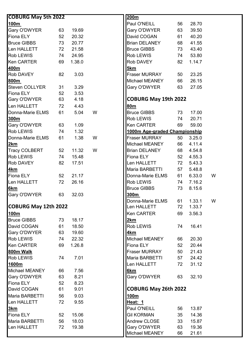| <b>COBURG May 5th 2022</b> |    |        |   | 200m                          |    |           |   |
|----------------------------|----|--------|---|-------------------------------|----|-----------|---|
| 100m                       |    |        |   | Paul O'NEILL                  | 56 | 28.70     |   |
| Gary O'DWYER               | 63 | 19.69  |   | Gary O'DWYER                  | 63 | 39.50     |   |
| <b>Fiona ELY</b>           | 52 | 20.32  |   | David COGAN                   | 61 | 40.20     |   |
| <b>Bruce GIBBS</b>         | 73 | 20.77  |   | <b>Brian DELANEY</b>          | 68 | 41.55     |   |
| Len HALLETT                | 72 | 21.58  |   | <b>Bruce GIBBS</b>            | 73 | 43.40     |   |
| <b>Rob LEWIS</b>           | 74 | 24.95  |   | Rob LEWIS                     | 74 | 53.80     |   |
| <b>Ken CARTER</b>          | 69 | 1.38.0 |   | Rob DAVEY                     | 82 | 1.14.7    |   |
| 400m                       |    |        |   | 5km                           |    |           |   |
| <b>Rob DAVEY</b>           | 82 | 3.03   |   | Fraser MURRAY                 | 50 | 23.25     |   |
| 800m                       |    |        |   | Michael MEANEY                | 66 | 26.15     |   |
| <b>Steven COLLYER</b>      | 31 | 3.29   |   | Gary O'DWYER                  | 63 | 27.05     |   |
| <b>Fiona ELY</b>           | 52 | 3.53   |   |                               |    |           |   |
| Gary O'DWYER               | 63 | 4.18   |   | <b>COBURG May 19th 2022</b>   |    |           |   |
| Len HALLETT                | 72 | 4.43   |   | 80m                           |    |           |   |
| Donna-Marie ELMS           | 61 | 5.04   | W | <b>Bruce GIBBS</b>            | 73 | 17.00     |   |
| 300m                       |    |        |   | Rob LEWIS                     | 74 | 20.71     |   |
| Gary O'DWYER               | 63 | 1.09   |   | Ken CARTER                    | 69 | 59.00     |   |
| <b>Rob LEWIS</b>           | 74 | 1.32   |   | 1000m Age-graded Championship |    |           |   |
| Donna-Marie ELMS           | 61 | 1.38   | W | Fraser MURRAY                 | 50 | 3.25.0    |   |
| 2km                        |    |        |   | Michael MEANEY                | 66 | 4.11.4    |   |
| <b>Tracy COLBERT</b>       | 52 | 11.32  | W | <b>Brian DELANEY</b>          | 68 | 4.54.8    |   |
| <b>Rob LEWIS</b>           | 74 | 15.48  |   | <b>Fiona ELY</b>              | 52 | 4.55.3    |   |
| <b>Rob DAVEY</b>           | 82 | 17.51  |   | Len HALLETT                   | 72 | 5.43.3    |   |
| 4 <sub>km</sub>            |    |        |   | Maria BARBETTI                | 57 | 5.48.8    |   |
| <b>Fiona ELY</b>           | 52 | 21.17  |   | Donna-Marie ELMS              | 61 | 6.33.0    | W |
| Len HALLETT                | 72 | 26.16  |   | Rob LEWIS                     | 74 | 7.16.2    |   |
| 6 <sub>km</sub>            |    |        |   | <b>Bruce GIBBS</b>            | 73 | 8.15.6    |   |
| Gary O'DWYER               | 63 | 32.03  |   | 300m                          |    |           |   |
|                            |    |        |   | Donna-Marie ELMS              |    | 61 1.33.1 | W |
| COBURG May 12th 2022       |    |        |   | Len HALLETT                   | 72 | 1.33.7    |   |
| 100m                       |    |        |   | <b>Ken CARTER</b>             | 69 | 3.56.3    |   |
| <b>Bruce GIBBS</b>         | 73 | 18.17  |   | 2km                           |    |           |   |
| David COGAN                | 61 | 18.50  |   | Rob LEWIS                     | 74 | 16.41     |   |
| <b>Gary O'DWYER</b>        | 63 | 19.60  |   | <u>4km</u>                    |    |           |   |
| <b>Rob LEWIS</b>           | 74 | 22.32  |   | Michael MEANEY                | 66 | 20.30     |   |
| <b>Ken CARTER</b>          | 69 | 1.26.8 |   | Fiona ELY                     | 52 | 20.44     |   |
| 800m Walk                  |    |        |   | <b>Fraser MURRAY</b>          | 50 | 21.43     |   |
| Rob LEWIS                  | 74 | 7.01   |   | Maria BARBETTI                | 57 | 24.42     |   |
| 1600m                      |    |        |   | Len HALLETT                   | 72 | 31.12     |   |
| Michael MEANEY             | 66 | 7.56   |   | 6km                           |    |           |   |
| Gary O'DWYER               | 63 | 8.21   |   | Gary O'DWYER                  | 63 | 32.10     |   |
| <b>Fiona ELY</b>           | 52 | 8.23   |   |                               |    |           |   |
| David COGAN                | 61 | 9.01   |   | <b>COBURG May 26th 2022</b>   |    |           |   |
| Maria BARBETTI             | 56 | 9.03   |   | <u>100m</u>                   |    |           |   |
| Len HALLETT                | 72 | 9.55   |   | <u> Heat: 1</u>               |    |           |   |
| 3km                        |    |        |   | Paul O'NEILL                  | 56 | 13.87     |   |
| <b>Fiona ELY</b>           | 52 | 15.06  |   | <b>Gil KORMAN</b>             | 35 | 14.36     |   |
| Maria BARBETTI             | 56 | 18.03  |   | Andrew CLOSE                  | 33 | 15.87     |   |
| Len HALLETT                | 72 | 19.38  |   | Gary O'DWYER                  | 63 | 19.36     |   |
|                            |    |        |   | Michael MEANEY                | 66 | 21.61     |   |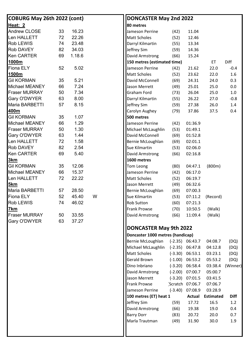| COBURG May 26th 2022 (cont) |    |        |   | DONCASTER May 2nd 2022           |           |                   |                  |             |
|-----------------------------|----|--------|---|----------------------------------|-----------|-------------------|------------------|-------------|
| <u>Heat: 2</u>              |    |        |   | 80 metres                        |           |                   |                  |             |
| <b>Andrew CLOSE</b>         | 33 | 16.23  |   | Jameson Perrine                  | (42)      | 11.04             |                  |             |
| <b>Len HALLETT</b>          | 72 | 22.26  |   | <b>Matt Scholes</b>              | (52)      | 12.46             |                  |             |
| Rob LEWIS                   | 74 | 23.48  |   | Darryl Kilmartin                 | (55)      | 13.34             |                  |             |
| Rob DAVEY                   | 82 | 34.03  |   | Jeffrey Sim                      | (59)      | 14.36             |                  |             |
| <b>Ken CARTER</b>           | 69 | 1.18.6 |   | David Armstrong                  | (66)      | 15.24             |                  |             |
| 1000m                       |    |        |   | 150 metres (estimated time)      |           |                   | ET               | Diff        |
| <b>Fiona ELY</b>            | 52 | 5.02   |   | Jameson Perrine                  | (42)      | 21.62             | 22.0             | $-0.4$      |
| 1500m                       |    |        |   | <b>Matt Scholes</b>              | (52)      | 23.62             | 22.0             | 1.6         |
| <b>Gil KORMAN</b>           | 35 | 5.21   |   | David McConnell                  | (69)      | 24.31             | 24.0             | 0.3         |
| Michael MEANEY              | 66 | 7.24   |   | Jason Merrett                    | (49)      | 25.01             | 25.0             | 0.0         |
| <b>Fraser MURRAY</b>        | 50 | 7.34   |   | <b>Graham Ford</b>               | (73)      | 26.04             | 25.0             | $1.0\,$     |
| Gary O'DWYER                | 63 | 8.00   |   | Darryl Kilmartin                 | (55)      | 26.22             | 27.0             | $-0.8$      |
| Maria BARBETTI              | 57 | 8.15   |   | Jeffrey Sim                      | (59)      | 27.38             | 26.0             | 1.4         |
| 400m                        |    |        |   | Carolyn Aughey                   | (79)      | 37.86             | 37.5             | 0.4         |
| <b>Gil KORMAN</b>           | 35 | 1.07   |   | 500 metres                       |           |                   |                  |             |
| Michael MEANEY              | 66 | 1.29   |   | Jameson Perrine                  | (42)      | 01:36.9           |                  |             |
| <b>Fraser MURRAY</b>        | 50 | 1.30   |   | Michael McLaughlin               | (53)      | 01:49.1           |                  |             |
| Gary O'DWYER                | 63 | 1.44   |   | David McConnell                  | (69)      | 01:52.8           |                  |             |
| Len HALLETT                 | 72 | 1.58   |   | Bernie McLoughlan                | (69)      | 02:01.1           |                  |             |
| <b>Rob DAVEY</b>            | 82 | 2.54   |   | Sue Kilmartin                    | (53)      | 02:06.0           |                  |             |
| <b>Ken CARTER</b>           | 69 | 5.40   |   | David Armstrong                  | (66)      | 02:16.8           |                  |             |
| <u>3km</u>                  |    |        |   | 1600 metres                      |           |                   |                  |             |
| <b>Gil KORMAN</b>           | 35 | 12.06  |   | Tom Leong                        | (80)      | 04:47.1           | (800m)           |             |
| Michael MEANEY              | 66 | 15.37  |   | Jameson Perrine                  | (42)      | 06:17.0           |                  |             |
| Len HALLETT                 | 72 | 22.22  |   | <b>Matt Scholes</b>              | (52)      | 06:19.7           |                  |             |
| 5km                         |    |        |   | Jason Merrett                    | (49)      | 06:32.6           |                  |             |
| Maria BARBETTI              | 57 | 28.50  |   | Bernie McLoughlan                | (69)      | 07:00.3           |                  |             |
| Fiona ELY                   | 52 | 45.40  | W | Sue Kilmartin                    | (53)      | 07:11.2           | (Record)         |             |
| Rob LEWIS                   | 74 | 46.02  |   | <b>Rob Sutton</b>                | (60)      | 07:21.3           |                  |             |
| <u>7km</u>                  |    |        |   | <b>Frank Prowse</b>              | (70)      | 10:50.5           | (Walk)           |             |
| <b>Fraser MURRAY</b>        | 50 | 33.55  |   | David Armstrong                  | (66)      | 11:09.4           | (Walk)           |             |
| Gary O'DWYER                | 63 | 37.27  |   |                                  |           |                   |                  |             |
|                             |    |        |   | <b>DONCASTER May 9th 2022</b>    |           |                   |                  |             |
|                             |    |        |   | Doncaster 1000 metres (handicap) |           |                   |                  |             |
|                             |    |        |   | Bernie McLoughlan                |           | $(-2.35)$ 06:43.7 | 04:08.7          | (DQ)        |
|                             |    |        |   | Michael McLaughlin               | $(-2.35)$ | 06:47.8           | 04:12.8          | (DQ)        |
|                             |    |        |   | <b>Matt Scholes</b>              |           | $(-3.30)$ 06:53.1 | 03:23.1          | (DQ)        |
|                             |    |        |   | <b>Gerald Brown</b>              | $(-1.00)$ | 06:53.2           | 05:53.2          | (DQ)        |
|                             |    |        |   | Dino Inbriano                    |           | $(-3.20)$ 06:58.4 | 03:38.4          | (Winner)    |
|                             |    |        |   | David Armstrong                  |           | $(-2.00)$ 07:00.7 | 05:00.7          |             |
|                             |    |        |   | Jason Merrett                    | $(-3.20)$ | 07:01.5           | 03:41.5          |             |
|                             |    |        |   | <b>Frank Prowse</b>              |           | Scratch 07:06.7   | 07:06.7          |             |
|                             |    |        |   | Jameson Perrine                  | $(-3.40)$ | 07:08.9           | 03:28.9          |             |
|                             |    |        |   | 100 metres (ET) heat 1           |           | <b>Actual</b>     | <b>Estimated</b> | <b>Diff</b> |
|                             |    |        |   | Jeffrey Sim                      | (59)      | 17.72             | 16.5             | 1.2         |
|                             |    |        |   | David Armstrong                  | (66)      | 19.38             | 19.0             | 0.4         |
|                             |    |        |   | <b>Barry Dorr</b>                | (83)      | 20.72             | 20.0             | 0.7         |
|                             |    |        |   | Marla Trautman                   | (49)      | 31.90             | 30.0             | 1.9         |
|                             |    |        |   |                                  |           |                   |                  |             |
|                             |    |        |   |                                  |           |                   |                  |             |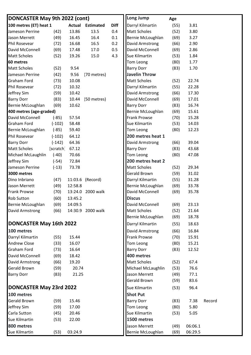| 100 metres (ET) heat 1<br><b>Diff</b><br><b>Actual Estimated</b><br>Darryl Kilmartin<br>(55)<br>3.81<br>Jameson Perrine<br>13.86<br>13.5<br>0.4<br><b>Matt Scholes</b><br>3.80<br>(42)<br>(52)<br>Jason Merrett<br>(49)<br>16.45<br>16.4<br>0.1<br>Bernie McLoughlan<br>(69)<br>3.27<br><b>Phil Rosevear</b><br>(72)<br>16.68<br>16.5<br>0.2<br>David Armstrong<br>(66)<br>2.90<br>David McConnell<br>David McConnell<br>(69)<br>17.48<br>17.0<br>0.5<br>(69)<br>2.86<br><b>Matt Scholes</b><br>(52)<br>19.26<br>15.0<br>4.3<br>Sue Kilmartin<br>1.84<br>(53)<br>60 metres<br>Tom Leong<br>1.77<br>(80)<br><b>Matt Scholes</b><br><b>Barry Dorr</b><br>1.70<br>(52)<br>9.54<br>(83)<br><b>Javelin Throw</b><br>Jameson Perrine<br>(42)<br>9.56<br>(70 metres)<br><b>Matt Scholes</b><br><b>Graham Ford</b><br>10.08<br>22.74<br>(73)<br>(52)<br>Darryl Kilmartin<br><b>Phil Rosevear</b><br>10.32<br>(55)<br>22.28<br>(72)<br>Jeffrey Sim<br>(59)<br>10.42<br>David Armstrong<br>17.30<br>(66)<br>(83)<br>David McConnell<br><b>Barry Dorr</b><br>10.44<br>(50 metres)<br>(69)<br>17.01<br>Bernie McLoughlan<br>(69)<br>10.62<br><b>Barry Dorr</b><br>16.74<br>(83)<br>400 metres (age-graded)<br>Bernie McLoughlan<br>(69)<br>15.61<br>David McConnell<br><b>Frank Prowse</b><br>57.54<br>$(-85)$<br>(70)<br>15.28<br><b>Graham Ford</b><br>$(-102)$<br>Sue Kilmartin<br>14.03<br>58.48<br>(53)<br>Bernie McLoughlan<br>$(-85)$<br>Tom Leong<br>(80)<br>12.23<br>59.40<br>200 metres heat 1<br><b>Phil Rosevear</b><br>$(-102)$<br>64.12<br><b>Barry Dorr</b><br>64.36<br>David Armstrong<br>39.04<br>$(-142)$<br>(66)<br><b>Matt Scholes</b><br>67.12<br><b>Barry Dorr</b><br>(83)<br>43.68<br>(scratch)<br>70.66<br>(80)<br>47.08<br>Michael McLaughlin<br>$(-40)$<br>Tom Leong<br>200 metres heat 2<br>Jeffrey Sim<br>$(-54)$<br>72.84<br><b>Matt Scholes</b><br>73.78<br>29.34<br>Jameson Perrine<br>$(-13)$<br>(52)<br><b>Gerald Brown</b><br>3000 metres<br>(59)<br>31.02<br>Darryl Kilmartin<br>Dino Inbriano<br>11:03.6 (Record)<br>(55)<br>(47)<br>31.28<br>12:58.8<br>Bernie McLoughlan<br>Jason Merrett<br>(49)<br>(69)<br>33.78<br>David McConnell<br><b>Frank Prowse</b><br>13:24.0<br>2000 walk<br>(69)<br>35.78<br>(70)<br><b>Discus</b><br><b>Rob Sutton</b><br>(60)<br>13:45.2<br>Bernie McLoughlan<br>(69)<br>14:09.5<br>David McConnell<br>(69)<br>23.13<br><b>Matt Scholes</b><br>David Armstrong<br>(66)<br>14:30.9 2000 walk<br>(52)<br>21.64<br>Bernie McLoughlan<br>(69)<br>18.78<br>DONCASTER May 16th 2022<br>Darryl Kilmartin<br>18.63<br>(55)<br>100 metres<br>David Armstrong<br>(66)<br>16.84<br>Darryl Kilmartin<br>15.44<br><b>Frank Prowse</b><br>15.91<br>(55)<br>(70)<br><b>Andrew Close</b><br>(33)<br>16.07<br>Tom Leong<br>(80)<br>15.21<br><b>Graham Ford</b><br><b>Barry Dorr</b><br>(73)<br>16.64<br>(83)<br>12.52<br>David McConnell<br>400 metres<br>(69)<br>18.42<br><b>Matt Scholes</b><br>David Armstrong<br>19.20<br>67.4<br>(66)<br>(52)<br>Michael McLaughlin<br><b>Gerald Brown</b><br>(59)<br>20.74<br>76.6<br>(53)<br>Jason Merrett<br><b>Barry Dorr</b><br>(83)<br>21.25<br>(49)<br>77.1<br>Gerald Brown<br>83.6<br>(59)<br>DONCASTER May 23rd 2022<br>Sue Kilmartin<br>96.4<br>(53)<br>100 metres<br><b>Shot Put</b><br><b>Gerald Brown</b><br>15.46<br><b>Barry Dorr</b><br>(59)<br>(83)<br>7.38<br>Record<br>Jeffrey Sim<br>17.00<br>Tom Leong<br>5.80<br>(59)<br>(80)<br>Carla Sutton<br>20.46<br>Sue Kilmartin<br>5.05<br>(45)<br>(53)<br>1500 metres<br>Sue Kilmartin<br>22.00<br>(53)<br>800 metres<br>06:06.1<br>Jason Merrett<br>(49)<br>Sue Kilmartin<br>(53)<br>03:24.9<br>Bernie McLoughlan<br>(69)<br>06:29.5 | DONCASTER May 9th 2022 (cont) |  |  | <b>Long Jump</b> | Age |  |
|----------------------------------------------------------------------------------------------------------------------------------------------------------------------------------------------------------------------------------------------------------------------------------------------------------------------------------------------------------------------------------------------------------------------------------------------------------------------------------------------------------------------------------------------------------------------------------------------------------------------------------------------------------------------------------------------------------------------------------------------------------------------------------------------------------------------------------------------------------------------------------------------------------------------------------------------------------------------------------------------------------------------------------------------------------------------------------------------------------------------------------------------------------------------------------------------------------------------------------------------------------------------------------------------------------------------------------------------------------------------------------------------------------------------------------------------------------------------------------------------------------------------------------------------------------------------------------------------------------------------------------------------------------------------------------------------------------------------------------------------------------------------------------------------------------------------------------------------------------------------------------------------------------------------------------------------------------------------------------------------------------------------------------------------------------------------------------------------------------------------------------------------------------------------------------------------------------------------------------------------------------------------------------------------------------------------------------------------------------------------------------------------------------------------------------------------------------------------------------------------------------------------------------------------------------------------------------------------------------------------------------------------------------------------------------------------------------------------------------------------------------------------------------------------------------------------------------------------------------------------------------------------------------------------------------------------------------------------------------------------------------------------------------------------------------------------------------------------------------------------------------------------------------------------------------------------------------------------------------------------------------------------------------------------------------------------------------------------------------------------------------------------------------------------------------------------------------------------------------------------------------------------------------------------------------------------------------------------------------------------------------------------------------------------------------|-------------------------------|--|--|------------------|-----|--|
|                                                                                                                                                                                                                                                                                                                                                                                                                                                                                                                                                                                                                                                                                                                                                                                                                                                                                                                                                                                                                                                                                                                                                                                                                                                                                                                                                                                                                                                                                                                                                                                                                                                                                                                                                                                                                                                                                                                                                                                                                                                                                                                                                                                                                                                                                                                                                                                                                                                                                                                                                                                                                                                                                                                                                                                                                                                                                                                                                                                                                                                                                                                                                                                                                                                                                                                                                                                                                                                                                                                                                                                                                                                                                  |                               |  |  |                  |     |  |
|                                                                                                                                                                                                                                                                                                                                                                                                                                                                                                                                                                                                                                                                                                                                                                                                                                                                                                                                                                                                                                                                                                                                                                                                                                                                                                                                                                                                                                                                                                                                                                                                                                                                                                                                                                                                                                                                                                                                                                                                                                                                                                                                                                                                                                                                                                                                                                                                                                                                                                                                                                                                                                                                                                                                                                                                                                                                                                                                                                                                                                                                                                                                                                                                                                                                                                                                                                                                                                                                                                                                                                                                                                                                                  |                               |  |  |                  |     |  |
|                                                                                                                                                                                                                                                                                                                                                                                                                                                                                                                                                                                                                                                                                                                                                                                                                                                                                                                                                                                                                                                                                                                                                                                                                                                                                                                                                                                                                                                                                                                                                                                                                                                                                                                                                                                                                                                                                                                                                                                                                                                                                                                                                                                                                                                                                                                                                                                                                                                                                                                                                                                                                                                                                                                                                                                                                                                                                                                                                                                                                                                                                                                                                                                                                                                                                                                                                                                                                                                                                                                                                                                                                                                                                  |                               |  |  |                  |     |  |
|                                                                                                                                                                                                                                                                                                                                                                                                                                                                                                                                                                                                                                                                                                                                                                                                                                                                                                                                                                                                                                                                                                                                                                                                                                                                                                                                                                                                                                                                                                                                                                                                                                                                                                                                                                                                                                                                                                                                                                                                                                                                                                                                                                                                                                                                                                                                                                                                                                                                                                                                                                                                                                                                                                                                                                                                                                                                                                                                                                                                                                                                                                                                                                                                                                                                                                                                                                                                                                                                                                                                                                                                                                                                                  |                               |  |  |                  |     |  |
|                                                                                                                                                                                                                                                                                                                                                                                                                                                                                                                                                                                                                                                                                                                                                                                                                                                                                                                                                                                                                                                                                                                                                                                                                                                                                                                                                                                                                                                                                                                                                                                                                                                                                                                                                                                                                                                                                                                                                                                                                                                                                                                                                                                                                                                                                                                                                                                                                                                                                                                                                                                                                                                                                                                                                                                                                                                                                                                                                                                                                                                                                                                                                                                                                                                                                                                                                                                                                                                                                                                                                                                                                                                                                  |                               |  |  |                  |     |  |
|                                                                                                                                                                                                                                                                                                                                                                                                                                                                                                                                                                                                                                                                                                                                                                                                                                                                                                                                                                                                                                                                                                                                                                                                                                                                                                                                                                                                                                                                                                                                                                                                                                                                                                                                                                                                                                                                                                                                                                                                                                                                                                                                                                                                                                                                                                                                                                                                                                                                                                                                                                                                                                                                                                                                                                                                                                                                                                                                                                                                                                                                                                                                                                                                                                                                                                                                                                                                                                                                                                                                                                                                                                                                                  |                               |  |  |                  |     |  |
|                                                                                                                                                                                                                                                                                                                                                                                                                                                                                                                                                                                                                                                                                                                                                                                                                                                                                                                                                                                                                                                                                                                                                                                                                                                                                                                                                                                                                                                                                                                                                                                                                                                                                                                                                                                                                                                                                                                                                                                                                                                                                                                                                                                                                                                                                                                                                                                                                                                                                                                                                                                                                                                                                                                                                                                                                                                                                                                                                                                                                                                                                                                                                                                                                                                                                                                                                                                                                                                                                                                                                                                                                                                                                  |                               |  |  |                  |     |  |
|                                                                                                                                                                                                                                                                                                                                                                                                                                                                                                                                                                                                                                                                                                                                                                                                                                                                                                                                                                                                                                                                                                                                                                                                                                                                                                                                                                                                                                                                                                                                                                                                                                                                                                                                                                                                                                                                                                                                                                                                                                                                                                                                                                                                                                                                                                                                                                                                                                                                                                                                                                                                                                                                                                                                                                                                                                                                                                                                                                                                                                                                                                                                                                                                                                                                                                                                                                                                                                                                                                                                                                                                                                                                                  |                               |  |  |                  |     |  |
|                                                                                                                                                                                                                                                                                                                                                                                                                                                                                                                                                                                                                                                                                                                                                                                                                                                                                                                                                                                                                                                                                                                                                                                                                                                                                                                                                                                                                                                                                                                                                                                                                                                                                                                                                                                                                                                                                                                                                                                                                                                                                                                                                                                                                                                                                                                                                                                                                                                                                                                                                                                                                                                                                                                                                                                                                                                                                                                                                                                                                                                                                                                                                                                                                                                                                                                                                                                                                                                                                                                                                                                                                                                                                  |                               |  |  |                  |     |  |
|                                                                                                                                                                                                                                                                                                                                                                                                                                                                                                                                                                                                                                                                                                                                                                                                                                                                                                                                                                                                                                                                                                                                                                                                                                                                                                                                                                                                                                                                                                                                                                                                                                                                                                                                                                                                                                                                                                                                                                                                                                                                                                                                                                                                                                                                                                                                                                                                                                                                                                                                                                                                                                                                                                                                                                                                                                                                                                                                                                                                                                                                                                                                                                                                                                                                                                                                                                                                                                                                                                                                                                                                                                                                                  |                               |  |  |                  |     |  |
|                                                                                                                                                                                                                                                                                                                                                                                                                                                                                                                                                                                                                                                                                                                                                                                                                                                                                                                                                                                                                                                                                                                                                                                                                                                                                                                                                                                                                                                                                                                                                                                                                                                                                                                                                                                                                                                                                                                                                                                                                                                                                                                                                                                                                                                                                                                                                                                                                                                                                                                                                                                                                                                                                                                                                                                                                                                                                                                                                                                                                                                                                                                                                                                                                                                                                                                                                                                                                                                                                                                                                                                                                                                                                  |                               |  |  |                  |     |  |
|                                                                                                                                                                                                                                                                                                                                                                                                                                                                                                                                                                                                                                                                                                                                                                                                                                                                                                                                                                                                                                                                                                                                                                                                                                                                                                                                                                                                                                                                                                                                                                                                                                                                                                                                                                                                                                                                                                                                                                                                                                                                                                                                                                                                                                                                                                                                                                                                                                                                                                                                                                                                                                                                                                                                                                                                                                                                                                                                                                                                                                                                                                                                                                                                                                                                                                                                                                                                                                                                                                                                                                                                                                                                                  |                               |  |  |                  |     |  |
|                                                                                                                                                                                                                                                                                                                                                                                                                                                                                                                                                                                                                                                                                                                                                                                                                                                                                                                                                                                                                                                                                                                                                                                                                                                                                                                                                                                                                                                                                                                                                                                                                                                                                                                                                                                                                                                                                                                                                                                                                                                                                                                                                                                                                                                                                                                                                                                                                                                                                                                                                                                                                                                                                                                                                                                                                                                                                                                                                                                                                                                                                                                                                                                                                                                                                                                                                                                                                                                                                                                                                                                                                                                                                  |                               |  |  |                  |     |  |
|                                                                                                                                                                                                                                                                                                                                                                                                                                                                                                                                                                                                                                                                                                                                                                                                                                                                                                                                                                                                                                                                                                                                                                                                                                                                                                                                                                                                                                                                                                                                                                                                                                                                                                                                                                                                                                                                                                                                                                                                                                                                                                                                                                                                                                                                                                                                                                                                                                                                                                                                                                                                                                                                                                                                                                                                                                                                                                                                                                                                                                                                                                                                                                                                                                                                                                                                                                                                                                                                                                                                                                                                                                                                                  |                               |  |  |                  |     |  |
|                                                                                                                                                                                                                                                                                                                                                                                                                                                                                                                                                                                                                                                                                                                                                                                                                                                                                                                                                                                                                                                                                                                                                                                                                                                                                                                                                                                                                                                                                                                                                                                                                                                                                                                                                                                                                                                                                                                                                                                                                                                                                                                                                                                                                                                                                                                                                                                                                                                                                                                                                                                                                                                                                                                                                                                                                                                                                                                                                                                                                                                                                                                                                                                                                                                                                                                                                                                                                                                                                                                                                                                                                                                                                  |                               |  |  |                  |     |  |
|                                                                                                                                                                                                                                                                                                                                                                                                                                                                                                                                                                                                                                                                                                                                                                                                                                                                                                                                                                                                                                                                                                                                                                                                                                                                                                                                                                                                                                                                                                                                                                                                                                                                                                                                                                                                                                                                                                                                                                                                                                                                                                                                                                                                                                                                                                                                                                                                                                                                                                                                                                                                                                                                                                                                                                                                                                                                                                                                                                                                                                                                                                                                                                                                                                                                                                                                                                                                                                                                                                                                                                                                                                                                                  |                               |  |  |                  |     |  |
|                                                                                                                                                                                                                                                                                                                                                                                                                                                                                                                                                                                                                                                                                                                                                                                                                                                                                                                                                                                                                                                                                                                                                                                                                                                                                                                                                                                                                                                                                                                                                                                                                                                                                                                                                                                                                                                                                                                                                                                                                                                                                                                                                                                                                                                                                                                                                                                                                                                                                                                                                                                                                                                                                                                                                                                                                                                                                                                                                                                                                                                                                                                                                                                                                                                                                                                                                                                                                                                                                                                                                                                                                                                                                  |                               |  |  |                  |     |  |
|                                                                                                                                                                                                                                                                                                                                                                                                                                                                                                                                                                                                                                                                                                                                                                                                                                                                                                                                                                                                                                                                                                                                                                                                                                                                                                                                                                                                                                                                                                                                                                                                                                                                                                                                                                                                                                                                                                                                                                                                                                                                                                                                                                                                                                                                                                                                                                                                                                                                                                                                                                                                                                                                                                                                                                                                                                                                                                                                                                                                                                                                                                                                                                                                                                                                                                                                                                                                                                                                                                                                                                                                                                                                                  |                               |  |  |                  |     |  |
|                                                                                                                                                                                                                                                                                                                                                                                                                                                                                                                                                                                                                                                                                                                                                                                                                                                                                                                                                                                                                                                                                                                                                                                                                                                                                                                                                                                                                                                                                                                                                                                                                                                                                                                                                                                                                                                                                                                                                                                                                                                                                                                                                                                                                                                                                                                                                                                                                                                                                                                                                                                                                                                                                                                                                                                                                                                                                                                                                                                                                                                                                                                                                                                                                                                                                                                                                                                                                                                                                                                                                                                                                                                                                  |                               |  |  |                  |     |  |
|                                                                                                                                                                                                                                                                                                                                                                                                                                                                                                                                                                                                                                                                                                                                                                                                                                                                                                                                                                                                                                                                                                                                                                                                                                                                                                                                                                                                                                                                                                                                                                                                                                                                                                                                                                                                                                                                                                                                                                                                                                                                                                                                                                                                                                                                                                                                                                                                                                                                                                                                                                                                                                                                                                                                                                                                                                                                                                                                                                                                                                                                                                                                                                                                                                                                                                                                                                                                                                                                                                                                                                                                                                                                                  |                               |  |  |                  |     |  |
|                                                                                                                                                                                                                                                                                                                                                                                                                                                                                                                                                                                                                                                                                                                                                                                                                                                                                                                                                                                                                                                                                                                                                                                                                                                                                                                                                                                                                                                                                                                                                                                                                                                                                                                                                                                                                                                                                                                                                                                                                                                                                                                                                                                                                                                                                                                                                                                                                                                                                                                                                                                                                                                                                                                                                                                                                                                                                                                                                                                                                                                                                                                                                                                                                                                                                                                                                                                                                                                                                                                                                                                                                                                                                  |                               |  |  |                  |     |  |
|                                                                                                                                                                                                                                                                                                                                                                                                                                                                                                                                                                                                                                                                                                                                                                                                                                                                                                                                                                                                                                                                                                                                                                                                                                                                                                                                                                                                                                                                                                                                                                                                                                                                                                                                                                                                                                                                                                                                                                                                                                                                                                                                                                                                                                                                                                                                                                                                                                                                                                                                                                                                                                                                                                                                                                                                                                                                                                                                                                                                                                                                                                                                                                                                                                                                                                                                                                                                                                                                                                                                                                                                                                                                                  |                               |  |  |                  |     |  |
|                                                                                                                                                                                                                                                                                                                                                                                                                                                                                                                                                                                                                                                                                                                                                                                                                                                                                                                                                                                                                                                                                                                                                                                                                                                                                                                                                                                                                                                                                                                                                                                                                                                                                                                                                                                                                                                                                                                                                                                                                                                                                                                                                                                                                                                                                                                                                                                                                                                                                                                                                                                                                                                                                                                                                                                                                                                                                                                                                                                                                                                                                                                                                                                                                                                                                                                                                                                                                                                                                                                                                                                                                                                                                  |                               |  |  |                  |     |  |
|                                                                                                                                                                                                                                                                                                                                                                                                                                                                                                                                                                                                                                                                                                                                                                                                                                                                                                                                                                                                                                                                                                                                                                                                                                                                                                                                                                                                                                                                                                                                                                                                                                                                                                                                                                                                                                                                                                                                                                                                                                                                                                                                                                                                                                                                                                                                                                                                                                                                                                                                                                                                                                                                                                                                                                                                                                                                                                                                                                                                                                                                                                                                                                                                                                                                                                                                                                                                                                                                                                                                                                                                                                                                                  |                               |  |  |                  |     |  |
|                                                                                                                                                                                                                                                                                                                                                                                                                                                                                                                                                                                                                                                                                                                                                                                                                                                                                                                                                                                                                                                                                                                                                                                                                                                                                                                                                                                                                                                                                                                                                                                                                                                                                                                                                                                                                                                                                                                                                                                                                                                                                                                                                                                                                                                                                                                                                                                                                                                                                                                                                                                                                                                                                                                                                                                                                                                                                                                                                                                                                                                                                                                                                                                                                                                                                                                                                                                                                                                                                                                                                                                                                                                                                  |                               |  |  |                  |     |  |
|                                                                                                                                                                                                                                                                                                                                                                                                                                                                                                                                                                                                                                                                                                                                                                                                                                                                                                                                                                                                                                                                                                                                                                                                                                                                                                                                                                                                                                                                                                                                                                                                                                                                                                                                                                                                                                                                                                                                                                                                                                                                                                                                                                                                                                                                                                                                                                                                                                                                                                                                                                                                                                                                                                                                                                                                                                                                                                                                                                                                                                                                                                                                                                                                                                                                                                                                                                                                                                                                                                                                                                                                                                                                                  |                               |  |  |                  |     |  |
|                                                                                                                                                                                                                                                                                                                                                                                                                                                                                                                                                                                                                                                                                                                                                                                                                                                                                                                                                                                                                                                                                                                                                                                                                                                                                                                                                                                                                                                                                                                                                                                                                                                                                                                                                                                                                                                                                                                                                                                                                                                                                                                                                                                                                                                                                                                                                                                                                                                                                                                                                                                                                                                                                                                                                                                                                                                                                                                                                                                                                                                                                                                                                                                                                                                                                                                                                                                                                                                                                                                                                                                                                                                                                  |                               |  |  |                  |     |  |
|                                                                                                                                                                                                                                                                                                                                                                                                                                                                                                                                                                                                                                                                                                                                                                                                                                                                                                                                                                                                                                                                                                                                                                                                                                                                                                                                                                                                                                                                                                                                                                                                                                                                                                                                                                                                                                                                                                                                                                                                                                                                                                                                                                                                                                                                                                                                                                                                                                                                                                                                                                                                                                                                                                                                                                                                                                                                                                                                                                                                                                                                                                                                                                                                                                                                                                                                                                                                                                                                                                                                                                                                                                                                                  |                               |  |  |                  |     |  |
|                                                                                                                                                                                                                                                                                                                                                                                                                                                                                                                                                                                                                                                                                                                                                                                                                                                                                                                                                                                                                                                                                                                                                                                                                                                                                                                                                                                                                                                                                                                                                                                                                                                                                                                                                                                                                                                                                                                                                                                                                                                                                                                                                                                                                                                                                                                                                                                                                                                                                                                                                                                                                                                                                                                                                                                                                                                                                                                                                                                                                                                                                                                                                                                                                                                                                                                                                                                                                                                                                                                                                                                                                                                                                  |                               |  |  |                  |     |  |
|                                                                                                                                                                                                                                                                                                                                                                                                                                                                                                                                                                                                                                                                                                                                                                                                                                                                                                                                                                                                                                                                                                                                                                                                                                                                                                                                                                                                                                                                                                                                                                                                                                                                                                                                                                                                                                                                                                                                                                                                                                                                                                                                                                                                                                                                                                                                                                                                                                                                                                                                                                                                                                                                                                                                                                                                                                                                                                                                                                                                                                                                                                                                                                                                                                                                                                                                                                                                                                                                                                                                                                                                                                                                                  |                               |  |  |                  |     |  |
|                                                                                                                                                                                                                                                                                                                                                                                                                                                                                                                                                                                                                                                                                                                                                                                                                                                                                                                                                                                                                                                                                                                                                                                                                                                                                                                                                                                                                                                                                                                                                                                                                                                                                                                                                                                                                                                                                                                                                                                                                                                                                                                                                                                                                                                                                                                                                                                                                                                                                                                                                                                                                                                                                                                                                                                                                                                                                                                                                                                                                                                                                                                                                                                                                                                                                                                                                                                                                                                                                                                                                                                                                                                                                  |                               |  |  |                  |     |  |
|                                                                                                                                                                                                                                                                                                                                                                                                                                                                                                                                                                                                                                                                                                                                                                                                                                                                                                                                                                                                                                                                                                                                                                                                                                                                                                                                                                                                                                                                                                                                                                                                                                                                                                                                                                                                                                                                                                                                                                                                                                                                                                                                                                                                                                                                                                                                                                                                                                                                                                                                                                                                                                                                                                                                                                                                                                                                                                                                                                                                                                                                                                                                                                                                                                                                                                                                                                                                                                                                                                                                                                                                                                                                                  |                               |  |  |                  |     |  |
|                                                                                                                                                                                                                                                                                                                                                                                                                                                                                                                                                                                                                                                                                                                                                                                                                                                                                                                                                                                                                                                                                                                                                                                                                                                                                                                                                                                                                                                                                                                                                                                                                                                                                                                                                                                                                                                                                                                                                                                                                                                                                                                                                                                                                                                                                                                                                                                                                                                                                                                                                                                                                                                                                                                                                                                                                                                                                                                                                                                                                                                                                                                                                                                                                                                                                                                                                                                                                                                                                                                                                                                                                                                                                  |                               |  |  |                  |     |  |
|                                                                                                                                                                                                                                                                                                                                                                                                                                                                                                                                                                                                                                                                                                                                                                                                                                                                                                                                                                                                                                                                                                                                                                                                                                                                                                                                                                                                                                                                                                                                                                                                                                                                                                                                                                                                                                                                                                                                                                                                                                                                                                                                                                                                                                                                                                                                                                                                                                                                                                                                                                                                                                                                                                                                                                                                                                                                                                                                                                                                                                                                                                                                                                                                                                                                                                                                                                                                                                                                                                                                                                                                                                                                                  |                               |  |  |                  |     |  |
|                                                                                                                                                                                                                                                                                                                                                                                                                                                                                                                                                                                                                                                                                                                                                                                                                                                                                                                                                                                                                                                                                                                                                                                                                                                                                                                                                                                                                                                                                                                                                                                                                                                                                                                                                                                                                                                                                                                                                                                                                                                                                                                                                                                                                                                                                                                                                                                                                                                                                                                                                                                                                                                                                                                                                                                                                                                                                                                                                                                                                                                                                                                                                                                                                                                                                                                                                                                                                                                                                                                                                                                                                                                                                  |                               |  |  |                  |     |  |
|                                                                                                                                                                                                                                                                                                                                                                                                                                                                                                                                                                                                                                                                                                                                                                                                                                                                                                                                                                                                                                                                                                                                                                                                                                                                                                                                                                                                                                                                                                                                                                                                                                                                                                                                                                                                                                                                                                                                                                                                                                                                                                                                                                                                                                                                                                                                                                                                                                                                                                                                                                                                                                                                                                                                                                                                                                                                                                                                                                                                                                                                                                                                                                                                                                                                                                                                                                                                                                                                                                                                                                                                                                                                                  |                               |  |  |                  |     |  |
|                                                                                                                                                                                                                                                                                                                                                                                                                                                                                                                                                                                                                                                                                                                                                                                                                                                                                                                                                                                                                                                                                                                                                                                                                                                                                                                                                                                                                                                                                                                                                                                                                                                                                                                                                                                                                                                                                                                                                                                                                                                                                                                                                                                                                                                                                                                                                                                                                                                                                                                                                                                                                                                                                                                                                                                                                                                                                                                                                                                                                                                                                                                                                                                                                                                                                                                                                                                                                                                                                                                                                                                                                                                                                  |                               |  |  |                  |     |  |
|                                                                                                                                                                                                                                                                                                                                                                                                                                                                                                                                                                                                                                                                                                                                                                                                                                                                                                                                                                                                                                                                                                                                                                                                                                                                                                                                                                                                                                                                                                                                                                                                                                                                                                                                                                                                                                                                                                                                                                                                                                                                                                                                                                                                                                                                                                                                                                                                                                                                                                                                                                                                                                                                                                                                                                                                                                                                                                                                                                                                                                                                                                                                                                                                                                                                                                                                                                                                                                                                                                                                                                                                                                                                                  |                               |  |  |                  |     |  |
|                                                                                                                                                                                                                                                                                                                                                                                                                                                                                                                                                                                                                                                                                                                                                                                                                                                                                                                                                                                                                                                                                                                                                                                                                                                                                                                                                                                                                                                                                                                                                                                                                                                                                                                                                                                                                                                                                                                                                                                                                                                                                                                                                                                                                                                                                                                                                                                                                                                                                                                                                                                                                                                                                                                                                                                                                                                                                                                                                                                                                                                                                                                                                                                                                                                                                                                                                                                                                                                                                                                                                                                                                                                                                  |                               |  |  |                  |     |  |
|                                                                                                                                                                                                                                                                                                                                                                                                                                                                                                                                                                                                                                                                                                                                                                                                                                                                                                                                                                                                                                                                                                                                                                                                                                                                                                                                                                                                                                                                                                                                                                                                                                                                                                                                                                                                                                                                                                                                                                                                                                                                                                                                                                                                                                                                                                                                                                                                                                                                                                                                                                                                                                                                                                                                                                                                                                                                                                                                                                                                                                                                                                                                                                                                                                                                                                                                                                                                                                                                                                                                                                                                                                                                                  |                               |  |  |                  |     |  |
|                                                                                                                                                                                                                                                                                                                                                                                                                                                                                                                                                                                                                                                                                                                                                                                                                                                                                                                                                                                                                                                                                                                                                                                                                                                                                                                                                                                                                                                                                                                                                                                                                                                                                                                                                                                                                                                                                                                                                                                                                                                                                                                                                                                                                                                                                                                                                                                                                                                                                                                                                                                                                                                                                                                                                                                                                                                                                                                                                                                                                                                                                                                                                                                                                                                                                                                                                                                                                                                                                                                                                                                                                                                                                  |                               |  |  |                  |     |  |
|                                                                                                                                                                                                                                                                                                                                                                                                                                                                                                                                                                                                                                                                                                                                                                                                                                                                                                                                                                                                                                                                                                                                                                                                                                                                                                                                                                                                                                                                                                                                                                                                                                                                                                                                                                                                                                                                                                                                                                                                                                                                                                                                                                                                                                                                                                                                                                                                                                                                                                                                                                                                                                                                                                                                                                                                                                                                                                                                                                                                                                                                                                                                                                                                                                                                                                                                                                                                                                                                                                                                                                                                                                                                                  |                               |  |  |                  |     |  |
|                                                                                                                                                                                                                                                                                                                                                                                                                                                                                                                                                                                                                                                                                                                                                                                                                                                                                                                                                                                                                                                                                                                                                                                                                                                                                                                                                                                                                                                                                                                                                                                                                                                                                                                                                                                                                                                                                                                                                                                                                                                                                                                                                                                                                                                                                                                                                                                                                                                                                                                                                                                                                                                                                                                                                                                                                                                                                                                                                                                                                                                                                                                                                                                                                                                                                                                                                                                                                                                                                                                                                                                                                                                                                  |                               |  |  |                  |     |  |
|                                                                                                                                                                                                                                                                                                                                                                                                                                                                                                                                                                                                                                                                                                                                                                                                                                                                                                                                                                                                                                                                                                                                                                                                                                                                                                                                                                                                                                                                                                                                                                                                                                                                                                                                                                                                                                                                                                                                                                                                                                                                                                                                                                                                                                                                                                                                                                                                                                                                                                                                                                                                                                                                                                                                                                                                                                                                                                                                                                                                                                                                                                                                                                                                                                                                                                                                                                                                                                                                                                                                                                                                                                                                                  |                               |  |  |                  |     |  |
|                                                                                                                                                                                                                                                                                                                                                                                                                                                                                                                                                                                                                                                                                                                                                                                                                                                                                                                                                                                                                                                                                                                                                                                                                                                                                                                                                                                                                                                                                                                                                                                                                                                                                                                                                                                                                                                                                                                                                                                                                                                                                                                                                                                                                                                                                                                                                                                                                                                                                                                                                                                                                                                                                                                                                                                                                                                                                                                                                                                                                                                                                                                                                                                                                                                                                                                                                                                                                                                                                                                                                                                                                                                                                  |                               |  |  |                  |     |  |
|                                                                                                                                                                                                                                                                                                                                                                                                                                                                                                                                                                                                                                                                                                                                                                                                                                                                                                                                                                                                                                                                                                                                                                                                                                                                                                                                                                                                                                                                                                                                                                                                                                                                                                                                                                                                                                                                                                                                                                                                                                                                                                                                                                                                                                                                                                                                                                                                                                                                                                                                                                                                                                                                                                                                                                                                                                                                                                                                                                                                                                                                                                                                                                                                                                                                                                                                                                                                                                                                                                                                                                                                                                                                                  |                               |  |  |                  |     |  |
|                                                                                                                                                                                                                                                                                                                                                                                                                                                                                                                                                                                                                                                                                                                                                                                                                                                                                                                                                                                                                                                                                                                                                                                                                                                                                                                                                                                                                                                                                                                                                                                                                                                                                                                                                                                                                                                                                                                                                                                                                                                                                                                                                                                                                                                                                                                                                                                                                                                                                                                                                                                                                                                                                                                                                                                                                                                                                                                                                                                                                                                                                                                                                                                                                                                                                                                                                                                                                                                                                                                                                                                                                                                                                  |                               |  |  |                  |     |  |
|                                                                                                                                                                                                                                                                                                                                                                                                                                                                                                                                                                                                                                                                                                                                                                                                                                                                                                                                                                                                                                                                                                                                                                                                                                                                                                                                                                                                                                                                                                                                                                                                                                                                                                                                                                                                                                                                                                                                                                                                                                                                                                                                                                                                                                                                                                                                                                                                                                                                                                                                                                                                                                                                                                                                                                                                                                                                                                                                                                                                                                                                                                                                                                                                                                                                                                                                                                                                                                                                                                                                                                                                                                                                                  |                               |  |  |                  |     |  |
|                                                                                                                                                                                                                                                                                                                                                                                                                                                                                                                                                                                                                                                                                                                                                                                                                                                                                                                                                                                                                                                                                                                                                                                                                                                                                                                                                                                                                                                                                                                                                                                                                                                                                                                                                                                                                                                                                                                                                                                                                                                                                                                                                                                                                                                                                                                                                                                                                                                                                                                                                                                                                                                                                                                                                                                                                                                                                                                                                                                                                                                                                                                                                                                                                                                                                                                                                                                                                                                                                                                                                                                                                                                                                  |                               |  |  |                  |     |  |
|                                                                                                                                                                                                                                                                                                                                                                                                                                                                                                                                                                                                                                                                                                                                                                                                                                                                                                                                                                                                                                                                                                                                                                                                                                                                                                                                                                                                                                                                                                                                                                                                                                                                                                                                                                                                                                                                                                                                                                                                                                                                                                                                                                                                                                                                                                                                                                                                                                                                                                                                                                                                                                                                                                                                                                                                                                                                                                                                                                                                                                                                                                                                                                                                                                                                                                                                                                                                                                                                                                                                                                                                                                                                                  |                               |  |  |                  |     |  |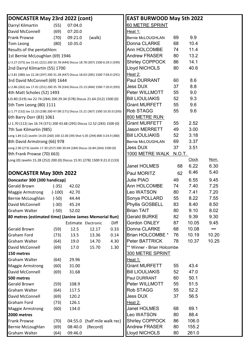| DONCASTER May 23rd 2022 (cont)                                                      |          |         |                      |      | <b>EAST BURWOOD May 5th 2022</b> |        |              |             |
|-------------------------------------------------------------------------------------|----------|---------|----------------------|------|----------------------------------|--------|--------------|-------------|
| Darryl Kilmartin                                                                    | (55)     | 07:04.0 |                      |      | 60 METRE SPRINT                  |        |              |             |
| David McConnell                                                                     | (69)     | 07:20.0 |                      |      | <u> Heat 1:</u>                  |        |              |             |
| <b>Frank Prowse</b>                                                                 | (70)     | 09:21.0 | (walk)               |      | <b>Bernie McLOUGHLAN</b>         | 69     | 9.9          |             |
| Tom Leong                                                                           | (80)     | 10:35.0 |                      |      | Donna CLARKE                     | 68     | 10.4         |             |
| Results of the pentathlon:                                                          |          |         |                      |      | Ann HOLCOMBE                     | 74     | 11.4         |             |
| 1st Bernie McLoughlan (69) 1946                                                     |          |         |                      |      | <b>Andrew FRASER</b>             | 80     | 13.2         |             |
| LJ 3.27 (375) Jav 15.61 (221) 200 33.78 (444) Discus 18.78 (307) 1500 6:29.5 (599)  |          |         |                      |      | <b>Shirley COPPOCK</b>           | 86     | 14.1         |             |
| 2nd Darryl Kilmartin (55) 1700                                                      |          |         |                      |      | <b>Lloyd NICHOLS</b>             | 80     | 40.6         |             |
| LJ 3.81 (380) Jav 22.28 (297) 200 31.28 (447) Discus 18.63 (285) 1500 7:04.0 (291)  |          |         |                      |      | Heat 2:                          |        |              |             |
| 3rd David McConnell (69) 1644                                                       |          |         |                      |      | <b>Paul DURRANT</b>              | 60     | 8.6          |             |
| LJ 2.86 (262) Jav 17.01 (251) 200 35.78 (334) Discus 23.13 (404) 1500 7:20.0 (393)  |          |         |                      |      | <b>Jess DUX</b>                  | 37     | 8.8          |             |
| 4th Matt Scholes (52) 1493                                                          |          |         |                      |      | Peter WILLMOTT                   | 55     | 9.0          |             |
| LJ3.80 (319) Jav 22.74 (284) 200 29.34 (578) Discus 21.64 (312) 1500 (0)            |          |         |                      |      | <b>Bill LIOULIAKIS</b>           | 52     | 9.3          |             |
| 5th Tom Leong (80) 1111                                                             |          |         |                      |      | <b>Grant MURFETT</b>             | 55     | 9.6          |             |
| LJ 1.77 (132) Jav 12.23 (238) 200 47.08 (171) Discus 15.21 (367) 1500 10:35.0 (203) |          |         |                      |      | <b>Rob STAGG</b>                 | 55     | 9.6          |             |
| 6th Barry Dorr (83) 1061                                                            |          |         |                      |      | 800 METRE RUN                    |        |              |             |
| LJ 1.70 (112) Jav 16.74 (371) 200 43.68 (295) Discus 12.52 (283) 1500 (0)           |          |         |                      |      | <b>Grant MURFETT</b>             | 55     | 2.52         |             |
| 7th Sue Kilmartin (985)                                                             |          |         |                      |      | <b>Jason MERRETT</b>             | 49     | 3.00         |             |
| Long 1.84 (12) Javelin 14.03 (260) 100 22.00 (39) Shot 5.05 (294) 800 3:24.9 (380)  |          |         |                      |      | <b>Bill LIOULIAKIS</b>           | 52     | 3.18         |             |
| 8th David Armstrong (66) 978                                                        |          |         |                      |      | <b>Bernie McLOUGHLAN</b>         | 69     | 3.37         |             |
| Long 2.90 (273) Javelin 17.30 (257) 200 39.04 (184) Discus 16.84 (264) 1500 (0)     |          |         |                      |      | Jess DUX                         | 37     | 3.51         |             |
| 9th Frank Prowse (70) 663)                                                          |          |         |                      |      | 1000 METRE WALK                  | N.O.T. |              |             |
| Long (0) Javelin 15.28 (252) 200 (0) Discus 15.91 (278) 1500 9:21.0 (133)           |          |         |                      |      |                                  |        | <b>Clock</b> | <u>Nom.</u> |
|                                                                                     |          |         |                      |      | Janet HOLMES                     | 68     | 6.22         | 6.30        |
| <b>DONCASTER May 30th 2022</b>                                                      |          |         |                      |      | Paul MORITZ                      | 62     | 6.46         | 5.40        |
| Doncaster 300 (300 handicap)                                                        |          |         |                      |      | Julie PIAO                       | 49     | 6.55         | 9.45        |
| Gerald Brown                                                                        | $(-35)$  | 42.02   |                      |      | Ann HOLCOMBE                     | 74     | 7.40         | 7.25        |
| Maggie Armstrong                                                                    | $(-100)$ | 42.70   |                      |      | <b>Leo WATSON</b>                | 80     | 7.41         | 7.20        |
| Bernie McLoughlan                                                                   | $(-50)$  | 44.44   |                      |      | Sonya POLLARD                    | 55     | 8.22         | 7.55        |
| David McConnell                                                                     | $(-30)$  | 45.24   |                      |      | Phyllis GOSBELL                  | 83     | 8.40         | 8.50        |
| Graham Walter                                                                       | $(-50)$  | 52.02   |                      |      | <b>Brian TAIT</b>                | 80     | 9.10         | 8.02        |
| 80 metres (estimated time) (Janine James Memorial Run)                              |          |         |                      |      | <b>Gerald BURKE</b>              | 82     | 9.39         | 9.30        |
|                                                                                     |          |         | Estimate Electronic  | Diff | Gordon ONLEY                     | 87     | 10.05        | 9.45        |
| Gerald Brown                                                                        | (59)     | 12.5    | 12.17                | 0.33 | Donna CLARKE                     | 68     | 10.08        |             |
| <b>Graham Ford</b>                                                                  | (73)     | 13.5    | 13.36                | 0.14 | Brian HOLCOMBE *                 | 76     | 10.19        | 10.20       |
| Graham Walter                                                                       | (64)     | 19.0    | 14.70                | 4.30 | Peter BATTRICK                   | 78     | 10.37        | 10.25       |
| David McConnell                                                                     | (69)     | 17.0    | 15.70                | 1.30 | ** Winner - Brian Holcombe       |        |              |             |
| 150 metres                                                                          |          |         |                      |      | <b>300 METRE SPRINT</b>          |        |              |             |
| Graham Walter                                                                       | (64)     | 29.96   |                      |      | Heat 1:                          |        |              |             |
| <b>Maggie Armstrong</b>                                                             | (60)     | 31.00   |                      |      | <b>Grant MURFETT</b>             | 55     | 43.4         |             |
| David McConnell                                                                     | (69)     | 31.68   |                      |      | <b>Bill LIOULIAKIS</b>           | 52     | 47.0         |             |
| 500 metres                                                                          |          |         |                      |      | Paul DURRANT                     | 60     | 50.1         |             |
| <b>Gerald Brown</b>                                                                 | (59)     | 108.9   |                      |      | Peter WILLMOTT                   | 55     | 51.5         |             |
| Graham Walter                                                                       | (64)     | 117.5   |                      |      | <b>Rob STAGG</b>                 | 55     | 52.2         |             |
| David McConnell                                                                     | (69)     | 120.2   |                      |      | <b>Jess DUX</b>                  | 37     | 56.5         |             |
| Graham Ford                                                                         | (73)     | 126.1   |                      |      | Heat 2:                          |        |              |             |
| <b>Maggie Armstrong</b>                                                             | (60)     | 134.0   |                      |      | Janet HOLMES                     | 68     | 69.1         |             |
| 2000 metres                                                                         |          |         |                      |      | <b>Leo WATSON</b>                | 80     | 88.4         |             |
| Frank Prowse                                                                        | (70)     | 04:55.0 | (half mile walk rec) |      | <b>Shirley COPPOCK</b>           | 86     | 106.0        |             |
| Bernie McLoughlan                                                                   | (69)     | 08:40.0 | (Record)             |      | <b>Andrew FRASER</b>             | 80     | 155.2        |             |
| Graham Walter                                                                       | (64)     | 09:46.0 |                      |      | <b>Lloyd NICHOLS</b>             | 80     | 261.0        |             |
|                                                                                     |          |         |                      |      |                                  |        |              |             |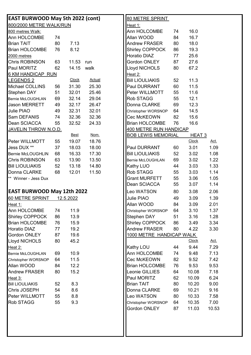| <b>EAST BURWOOD May 5th 2022 (cont)</b> |    |              |               | 80 METRE SPRINT                                |
|-----------------------------------------|----|--------------|---------------|------------------------------------------------|
| 800/2000 METRE WALK/RUN                 |    |              |               | Heat 1:                                        |
| 800 metres Walk:                        |    |              |               | Ann HOLCOMBE<br>16.0<br>74                     |
| Ann HOLCOMBE                            | 74 |              |               | Allan WOOD<br>16.7<br>84                       |
| <b>Brian TAIT</b>                       | 80 | 7.13         |               | <b>Andrew FRASER</b><br>80<br>18.0             |
| <b>Brian HOLCOMBE</b>                   | 76 | 8.12         |               | 19.3<br><b>Shirley COPPOCK</b><br>86           |
| 2000 metres                             |    |              |               | <b>Horatio DIAZ</b><br>25.6<br>77              |
| <b>Chris ROBINSON</b>                   | 63 | 11.53 run    |               | Gordon ONLEY<br>87<br>27.6                     |
| Paul MORITZ                             | 62 | 14.15        | walk          | Lloyd NICHOLS<br>67.2<br>80                    |
| <b>6 KM HANDICAP RUN</b>                |    |              |               | Heat 2:                                        |
| <b>LEGENDS 2</b>                        |    | <b>Clock</b> | <b>Actual</b> | 11.3<br><b>Bill LIOULIAKIS</b><br>52           |
| Michael COLLINS                         | 56 | 31.30        | 25.30         | 11.5<br>Paul DURRANT<br>60                     |
| Stephen DAY                             | 51 | 32.01        | 25.46         | 11.6<br>Peter WILLMOTT<br>55                   |
| <b>Bernie McLOUGHLAN</b>                | 69 | 32.14        | 29.04         | <b>Rob STAGG</b><br>12.1<br>55                 |
| <b>Jason MERRETT</b>                    | 49 | 32.17        | 26.47         | Donna CLARKE<br>69<br>12.3                     |
| <b>Julie PIAO</b>                       | 49 | 32.31        | 32.01         | 14.5<br>64<br>Christopher WORSNOP              |
| Sam DEFANIS                             | 74 | 32.36        | 32.36         | Cec McKEOWN<br>15.6<br>82                      |
| Dean SCIACCA                            | 55 | 32.52        | 24.33         | 16.6<br><b>Brian HOLCOMBE</b><br>76            |
| <u>JAVELIN THROW N.O.D.</u>             |    |              |               | <b>400 METRE RUN HANDICAP</b>                  |
|                                         |    | <b>Best</b>  | Nom.          | <b>BOB LEWIS MEMORIAL</b><br>HEAT <sub>3</sub> |
| Peter WILLMOTT                          | 55 | 19.07        | 18.76         | Clock<br>Act.                                  |
| Jess DUX **                             | 37 | 18.03        | 18.00         | Paul DURRANT<br>3.01<br>1.09<br>60             |
| <b>Bernie McLOUGHLIN</b>                | 68 | 16.33        | 17.30         | <b>Bill LIOULIAKIS</b><br>52<br>3.02<br>1.08   |
| <b>Chris ROBINSON</b>                   | 63 | 13.90        | 13.50         | 69<br>3.02<br>1.22<br>Bernie McLOUGHLAN        |
| <b>Bill LIOULIAKIS</b>                  | 52 | 13.18        | 14.80         | 1.33<br>Kathy LUO<br>44<br>3.03                |
| Donna CLARKE                            | 68 | 12.01        | 11.50         | Rob STAGG<br>3.03<br>1.14<br>55                |
| ** Winner - Jess Dux                    |    |              |               | <b>Grant MURFETT</b><br>3.06<br>1.05<br>55     |
|                                         |    |              |               | Dean SCIACCA<br>1.14<br>55<br>3.07             |
| <b>EAST BURWOOD May 12th 2022</b>       |    |              |               | Leo WATSON<br>2.06<br>80<br>3.08               |
| 60 METRE SPRINT                         |    | 12.5.2022    |               | Julie PIAO<br>49<br>3.09<br>1.39               |
| <u> Heat 1:</u>                         |    |              |               | 84<br>3.09<br>Allan WOOD<br>2.01               |
| Ann HOLCOMBE                            | 74 | 11.9         |               | 64<br>3.10<br>1.37<br>Christopher WORSNOP      |
| Shirley COPPOCK                         | 86 | 13.9         |               | Stephen DAY<br>51<br>1.28<br>3.16              |
| <b>Brian HOLCOMBE</b>                   | 76 | 15.9         |               | Shirley COPPOCK<br>3.34<br>86<br>3.49          |
| <b>Horatio DIAZ</b>                     | 77 | 19.2         |               | <b>Andrew FRASER</b><br>80<br>4.22<br>3.30     |
| Gordon ONLEY                            | 87 | 19.6         |               | 1000 METRE HANDICAP WALK                       |
| Lloyd NICHOLS                           | 80 | 45.2         |               | Act.<br><b>Clock</b>                           |
| Heat 2:                                 |    |              |               | 9.44<br>7.29<br>Kathy LOU<br>44                |
| <b>Bernie McLOUGHLAN</b>                | 69 | 10.9         |               | Ann HOLCOMBE<br>9.48<br>7.13<br>74             |
| Christopher WORSNOP                     | 64 | 11.5         |               | Cec McKEOWN<br>82<br>7.42<br>9.52              |
| Allan WOOD                              | 84 | 12.2         |               | <b>Brian HOLCOMBE</b><br>76<br>9.53<br>9.53    |
| <b>Andrew FRASER</b>                    | 80 | 15.2         |               | Leonie GILLIES<br>10.08<br>7.18<br>64          |
| <u>Heat 3:</u>                          |    |              |               | Paul MORITZ<br>6.24<br>62<br>10.09             |
| <b>Bill LIOULIAKIS</b>                  | 52 | 8.3          |               | <b>Brian TAIT</b><br>9.00<br>80<br>10.20       |
| Chris JOSEPH                            | 54 | 8.6          |               | Donna CLARKE<br>69<br>10.21<br>9.16            |
| Peter WILLMOTT                          | 55 | 8.8          |               | Leo WATSON<br>80<br>10.33<br>7.58              |
| <b>Rob STAGG</b>                        | 55 | 9.3          |               | 10.35<br>7.00<br>Christopher WORSNOP<br>64     |
|                                         |    |              |               | Gordon ONLEY<br>11.03<br>10.53<br>87           |
|                                         |    |              |               |                                                |
|                                         |    |              |               |                                                |
|                                         |    |              |               |                                                |
|                                         |    |              |               |                                                |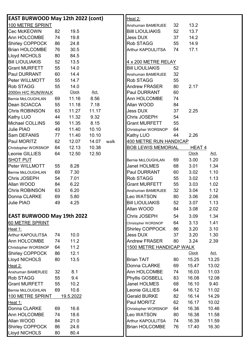| <b>EAST BURWOOD May 12th 2022 (cont)</b> |    |                  |             |      | Heat 2:                       |    |              |             |
|------------------------------------------|----|------------------|-------------|------|-------------------------------|----|--------------|-------------|
| 100 METRE SPRINT                         |    |                  |             |      | Anshuman BAMERJEE             | 32 | 13.2         |             |
| Cec McKEOWN                              | 82 | 19.5             |             |      | <b>Bill LIOULIAKIS</b>        | 52 | 13.7         |             |
| Ann HOLCOMBE                             | 74 | 19.8             |             |      | <b>Jess DUX</b>               | 37 | 14.2         |             |
| <b>Shirley COPPOCK</b>                   | 86 | 24.8             |             |      | Rob STAGG                     | 55 | 14.9         |             |
| <b>Brian HOLCOMBE</b>                    | 76 | 30.5             |             |      | Arthur KAPOULITSA             | 74 | 17.1         |             |
| <b>Lloyd NICHOLS</b>                     | 80 | 84.5             |             |      |                               |    |              |             |
| <b>Bill LIOULIAKIS</b>                   | 52 | 13.5             |             |      | 4 x 200 METRE RELAY           |    |              |             |
| <b>Grant MURFETT</b>                     | 55 | 14.0             |             |      | <b>Bill LIOULIAKIS</b>        | 52 |              |             |
| <b>Paul DURRANT</b>                      | 60 | 14.4             |             |      | Anshuman BAMERJEE             | 32 |              |             |
| Peter WILLMOTT                           | 55 | 14.7             |             |      | Rob STAGG                     | 55 |              |             |
| <b>Rob STAGG</b>                         | 55 | 14.0             |             |      | <b>Andrew FRASER</b>          | 80 | 2.17         |             |
| 2000m H/C RUN/WALK                       |    | <b>Clock</b>     | <u>Act.</u> |      | Paul DURRANT                  | 60 |              |             |
| Bernie McLOUGHLAN                        | 69 | 11.16            | 8.56        |      | Ann HOLCOMBE                  | 74 |              |             |
| <b>Dean SCIACCA</b>                      | 55 | 11.18            | 7.18        |      | Allan WOOD                    | 84 |              |             |
| <b>Chris ROBINSON</b>                    | 63 | 11.27            | 11.17       |      | <b>Jess DUX</b>               | 37 | 2.25         |             |
| <b>Kathy LUO</b>                         | 44 | 11.32            | 9.32        |      | Chris JOSEPH                  | 54 |              |             |
| <b>Michael COLLINS</b>                   | 56 | 11.35            | 8.15        |      | <b>Grant MURFETT</b>          | 55 |              |             |
| Julie PIAO                               | 49 | 11.40            | 10.10       |      | Christopher WORSNOP           | 64 |              |             |
| Sam DEFANIS                              | 77 | 11.40            | 10.10       |      | Kathy LUO                     | 44 | 2.26         |             |
| Paul MORITZ                              | 62 | 12.07            | 14.07       | walk | <b>400 METRE RUN HANDICAP</b> |    |              |             |
| Christopher WORSNOP                      | 64 | 12.13            | 10.38       |      | <b>BOB LEWIS MEMORIAL</b>     |    | HEAT 4       |             |
| Leonie GILLIES                           | 64 | 12.50            | 12.50       |      |                               |    | <b>Clock</b> | <u>Act.</u> |
| <b>SHOT PUT</b>                          |    |                  |             |      | Bernie McLOUGHLAN             | 69 | 3.00         | 1.20        |
| Peter WILLMOTT                           | 55 | 8.28             |             |      | Janet HOLMES                  | 68 | 3.01         | 1.34        |
| <b>Bernie McLOUGHLAN</b>                 | 69 | 7.30             |             |      | Paul DURRANT                  | 60 | 3.02         | 1.10        |
| Chris JOSEPH                             | 54 | 7.01             |             |      | Rob STAGG                     | 55 | 3.02         | 1.13        |
| Allan WOOD                               | 84 | 6.22             |             |      | <b>Grant MURFETT</b>          | 55 | 3.03         | 1.02        |
| <b>Chris ROBINSON</b>                    | 63 | 6.20             |             |      | Anshuman BAMERJEE             | 32 | 3.04         | 1.12        |
| Donna CLARKE                             | 69 | 5.80             |             |      | Leo WATSON                    | 80 | 3.06         | 2.06        |
| Julie PIAO                               | 49 | 4.25             |             |      | <b>Bill LIOULIAKIS</b>        | 52 | 3.07         | 1.13        |
|                                          |    |                  |             |      | Allan WOOD                    | 84 | 3.08         | 2.02        |
| <b>EAST BURWOOD May 19th 2022</b>        |    |                  |             |      | Chris JOSEPH                  | 54 | 3.09         | 1.34        |
| 60 METRE SPRINT                          |    |                  |             |      | Christopher WORSNOP           | 64 | 3.13         | 1.41        |
| Heat 1:                                  |    |                  |             |      | Shirley COPPOCK               | 86 | 3.20         | 3.10        |
| Arthur KAPOULITSA                        | 74 | 10.0             |             |      | <b>Jess DUX</b>               | 37 | 3.20         | 1.30        |
| Ann HOLCOMBE                             | 74 | 11.2             |             |      | <b>Andrew FRASER</b>          | 80 | 3.24         | 2.39        |
| Christopher WORSNOP                      | 64 | 11.2             |             |      | 1500 METRE HANDICAP WALK      |    |              |             |
| <b>Shirley COPPOCK</b>                   | 86 | 12.1             |             |      |                               |    | <b>Clock</b> | <u>Act.</u> |
| Lloyd NICHOLS                            | 80 | 13.5             |             |      | <b>Brian TAIT</b>             | 80 | 15.25        | 13.25       |
| Heat 2:                                  |    |                  |             |      | Donna CLARKE                  | 69 | 15.47        | 13.02       |
| Anshuman BAMERJEE                        | 32 | 8.1              |             |      | Ann HOLCOMBE                  | 74 | 16.03        | 11.03       |
| <b>Rob STAGG</b>                         | 55 | 9.4              |             |      | Phyllis GOSBELL               | 83 | 16.08        | 12.08       |
| <b>Grant MURFETT</b>                     | 55 | 10.2             |             |      | Janet HOLMES                  | 68 | 16.10        | 9.40        |
| Bernie McLOUGHLAN                        | 69 | 10.6             |             |      | Leonie GILLIES                | 64 | 16.12        | 11.02       |
| 100 METRE SPRINT                         |    | <u>19.5.2022</u> |             |      | <b>Gerald BURKE</b>           | 82 | 16.14        | 14.29       |
| Heat 1:                                  |    |                  |             |      | Paul MORITZ                   | 62 | 16.17        | 10.02       |
| Donna CLARKE                             | 69 | 16.6             |             |      | Christopher WORSNOP           | 64 | 16.36        | 10.46       |
| Ann HOLCOMBE                             | 74 | 18.6             |             |      | Leo WATSON                    | 80 | 16.38        | 11.58       |
| Allan WOOD                               | 84 | 21.0             |             |      | Arthur KAPOULITSA             | 74 | 16.39        | 11.59       |
| <b>Shirley COPPOCK</b>                   | 86 | 24.6             |             |      | <b>Brian HOLCOMBE</b>         | 76 | 17.40        | 16.30       |
| <b>Lloyd NICHOLS</b>                     | 80 | 80.4             |             |      |                               |    |              |             |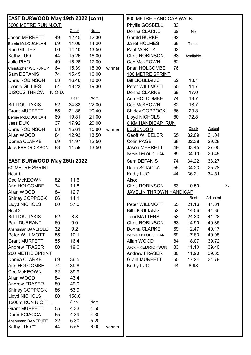| <b>EAST BURWOOD May 19th 2022 (cont)</b> |               |              |       |        | 800 METRE HANDICAP WALK          |          |                |                 |    |
|------------------------------------------|---------------|--------------|-------|--------|----------------------------------|----------|----------------|-----------------|----|
| 3000 METRE RUN N.O.T.                    |               |              |       |        | Phyllis GOSBELL                  | 83       |                |                 |    |
|                                          |               | <b>Clock</b> | Nom.  |        | Donna CLARKE                     | 69       | No             |                 |    |
| <b>Jason MERRETT</b>                     | 49            | 12.45        | 12.30 |        | <b>Gerald BURKE</b>              | 82       |                |                 |    |
| <b>Bernie McLOUGHLAN</b>                 | 69            | 14.06        | 14.20 |        | Janet HOLMES                     | 68       | Times          |                 |    |
| <b>Ron GILLIES</b>                       | 66            | 14.10        | 13.50 |        | Paul MORITZ                      | 62       |                |                 |    |
| <b>Kathy LUO</b>                         | 44            | 15.26        | 16.00 |        | Chris ROBINSON                   | 63       | Available      |                 |    |
| Julie PIAO                               | 49            | 15.28        | 17.00 |        | Cec McKEOWN                      | 82       |                |                 |    |
| Christopher WORSNOP                      | 64            | 15.39        | 15.30 | winner | <b>Brian HOLCOMBE</b>            | 76       |                |                 |    |
| Sam DEFANIS                              | 74            | 15.45        | 16.00 |        | 100 METRE SPRINT                 |          |                |                 |    |
| Chris ROBINSON                           | 63            | 16.48        | 18.00 |        | <b>Bill LIOULIAKIS</b>           | 52       | 13.1           |                 |    |
| Leonie GILLIES                           | 64            | 18.23        | 19.30 |        | Peter WILLMOTT                   | 55       | 14.7           |                 |    |
| <b>DISCUS THROW</b>                      | <u>N.O.D.</u> |              |       |        | Donna CLARKE                     | 69       | 17.0           |                 |    |
|                                          |               | <b>Best</b>  | Nom.  |        | Ann HOLCOMBE                     | 74       | 18.7           |                 |    |
| <b>Bill LIOULIAKIS</b>                   | 52            | 24.33        | 22.00 |        | Cec McKEOWN                      | 82       | 18.7           |                 |    |
| <b>Grant MURFETT</b>                     | 55            | 21.86        | 20.40 |        | <b>Shirley COPPOCK</b>           | 86       | 23.8           |                 |    |
| Bernie McLOUGHLAN                        | 69            | 19.81        | 21.00 |        | <b>Lloyd NICHOLS</b>             | 80       | 72.8           |                 |    |
| <b>Jess DUX</b>                          | 37            | 17.92        | 20.00 |        | 6 KM HANDICAP RUN                |          |                |                 |    |
| Chris ROBINSON                           | 63            | 15.61        | 15.80 | winner | <u>EGENDS 3</u>                  |          | Clock          | <b>Actual</b>   |    |
| Allan WOOD                               | 84            | 12.93        | 13.50 |        | <b>Geoff WHEELER</b>             | 65       | 32.09          | 31.04           |    |
| Donna CLARKE                             | 69            | 11.97        | 12.50 |        | <b>Colin PAGE</b>                | 68       | 32.38          | 29.28           |    |
| <b>Jack FREDRICKSON</b>                  | 83            | 11.59        | 13.50 |        | <b>Jason MERRETT</b>             | 49       | 33.45          | 27.00           |    |
|                                          |               |              |       |        |                                  |          |                | 29.45           |    |
| <b>EAST BURWOOD May 26th 2022</b>        |               |              |       |        | Bernie McLOUGHLAN<br>Sam DEFANIS | 69<br>74 | 34.10<br>34.22 | 33.27           |    |
|                                          |               |              |       |        |                                  |          |                |                 |    |
| 60 METRE SPRINT                          |               |              |       |        | Dean SCIACCA                     | 55       | 34.23          | 25.28           |    |
| Heat 1:                                  |               |              |       |        | Kathy LUO                        | 44       | 36.21          | 34.51           |    |
| Cec McKEOWN                              | 82            | 11.6         |       |        | Also:                            |          |                |                 |    |
| Ann HOLCOMBE                             | 74            | 11.8         |       |        | Chris ROBINSON                   | 63       | 10.50          |                 | 2k |
| Allan WOOD                               | 84            | 12.7         |       |        | <b>JAVELIN THROWN HANDICAP</b>   |          |                |                 |    |
| <b>Shirley COPPOCK</b>                   | 86            | 14.1         |       |        |                                  |          | <u>Best</u>    | <b>Adjusted</b> |    |
| Lloyd NICHOLS                            | 80            | 37.6         |       |        | Peter WILLMOTT                   | 55       | 21.16          | 41.81           |    |
| Heat 2:                                  |               |              |       |        | <b>Bill LIOULIAKIS</b>           | 52       | 14.56          | 41.36           |    |
| <b>Bill LIOULIAKIS</b>                   | 52            | 8.8          |       |        | <b>Toni MATTERS</b>              | 53       | 24.33          | 41.28           |    |
| <b>Paul DURRANT</b>                      | 60            | 9.0          |       |        | Chris ROBINSON                   | 63       | 14.90          | 40.85           |    |
| Anshuman BAMERJEE                        | 32            | 9.2          |       |        | Donna CLARKE                     | 69       | 12.47          | 40.17           |    |
| Peter WILLMOTT                           | 55            | 10.1         |       |        | Bernie McLOUGHLAN                | 69       | 17.83          | 40.08           |    |
| <b>Grant MURFETT</b>                     | 55            | 16.4         |       |        | Allan WOOD                       | 84       | 18.07          | 39.72           |    |
| <b>Andrew FRASER</b>                     | 80            | 19.6         |       |        | <b>Jack FREDRICKSON</b>          | 83       | 11.10          | 39.40           |    |
| 200 METRE SPRINT                         |               |              |       |        | <b>Andrew FRASER</b>             | 80       | 11.90          | 39.35           |    |
| Donna CLARKE                             | 69            | 36.5         |       |        | <b>Grant MURFETT</b>             | 55       | 17.24          | 31.79           |    |
| Ann HOLCOMBE                             | 74            | 39.8         |       |        | Kathy LUO                        | 44       | 8.98           |                 |    |
| Cec McKEOWN                              | 82            | 39.9         |       |        |                                  |          |                |                 |    |
| Allan WOOD                               | 84            | 43.4         |       |        |                                  |          |                |                 |    |
| <b>Andrew FRASER</b>                     | 80            | 49.0         |       |        |                                  |          |                |                 |    |
| <b>Shirley COPPOCK</b>                   | 86            | 53.9         |       |        |                                  |          |                |                 |    |
| <b>Lloyd NICHOLS</b>                     | 80            | 158.6        |       |        |                                  |          |                |                 |    |
| 1200m RUN N.O.T.                         |               | <b>Clock</b> | Nom.  |        |                                  |          |                |                 |    |
| <b>Grant MURFETT</b>                     | 55            | 4.33         | 4.50  |        |                                  |          |                |                 |    |
| Dean SCIACCA                             | 55            | 4.39         | 4.30  |        |                                  |          |                |                 |    |
| Anshuman BAMERJEE                        | 32            | 5.30         | 5.20  |        |                                  |          |                |                 |    |
| Kathy LUO <sup>**</sup>                  | 44            | 5.55         | 6.00  | winner |                                  |          |                |                 |    |
|                                          |               |              |       |        |                                  |          |                |                 |    |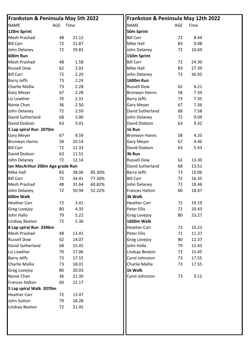| <b>Frankston &amp; Peninsula May 5th 2022</b> |    |       |        | Frankston & Peninsula May 12th 2022 |     |       |
|-----------------------------------------------|----|-------|--------|-------------------------------------|-----|-------|
| <b>NAME</b><br>AGE                            |    | Time  |        | <b>NAME</b>                         | AGE | Time  |
| 120m Sprint                                   |    |       |        | 50m Sprint                          |     |       |
| <b>Mesh Prashad</b>                           | 48 | 21.12 |        | <b>Bill Carr</b>                    | 72  | 8.44  |
| <b>Bill Carr</b>                              | 72 | 21.87 |        | Mike Hall                           | 83  | 9.08  |
| John Delaney                                  | 72 | 29.81 |        | John Delaney                        | 72  | 10.69 |
| <b>600m Run</b>                               |    |       |        | 150m Sprint                         |     |       |
| <b>Mesh Prashad</b>                           | 48 | 1.58  |        | <b>Bill Carr</b>                    | 72  | 24.30 |
| <b>Russell Dow</b>                            | 62 | 2.01  |        | Mike Hall                           | 83  | 27.39 |
| <b>Bill Carr</b>                              | 72 | 2.20  |        | John Delaney                        | 72  | 36.92 |
| <b>Barry Jeffs</b>                            | 73 | 2.24  |        | <b>1600m Run</b>                    |     |       |
| Charlie Mallia                                | 73 | 2.28  |        | <b>Russell Dow</b>                  | 62  | 6.21  |
| <b>Gary Meyer</b>                             | 67 | 2.28  |        | <b>Bronwyn Hanns</b>                | 58  | 7.34  |
| Liz Lowther                                   | 70 | 2.31  |        | <b>Barry Jeffs</b>                  | 73  | 7.35  |
| Nonie Chan                                    | 36 | 2.50  |        | <b>Gary Meyer</b>                   | 67  | 7.36  |
| John Delaney                                  | 72 | 2.59  |        | David Sutherland                    | 68  | 7.58  |
| David Sutherland                              | 68 | 3.00  |        | John Delaney                        | 72  | 9.09  |
| David Dodson                                  | 63 | 3.01  |        | David Dodson                        | 63  | 9.32  |
| 5 Lap spiral Run 2070m                        |    |       |        | 1k Run                              |     |       |
| <b>Gary Meyer</b>                             | 67 | 9.59  |        | <b>Bronwyn Hanns</b>                | 58  | 4.33  |
| <b>Bronwyn Hanns</b>                          | 58 | 10.14 |        | <b>Gary Meyer</b>                   | 67  | 4.46  |
| <b>Bill Carr</b>                              | 72 | 11.33 |        | David Dodson                        | 63  | 5.43  |
| David Dodson                                  | 63 | 11.51 |        | 3k Run                              |     |       |
| John Delaney                                  | 72 | 12.14 |        | <b>Russell Dow</b>                  | 62  | 13.30 |
| Ian MacArthur 200m Age grade Run              |    |       |        | David Sutherland                    | 68  | 13.51 |
| Mike Hall                                     | 83 | 38.06 | 85.30% | <b>Barry Jeffs</b>                  | 73  | 15.06 |
| <b>Bill Carr</b>                              | 72 | 34.41 | 77.30% | <b>Bill Carr</b>                    | 72  | 16.35 |
| <b>Mesh Prashad</b>                           | 48 | 31.64 | 60.82% | John Delaney                        | 72  | 18.46 |
| John Delaney                                  | 72 | 50.94 | 52.22% | <b>Frances Halton</b>               | 60  | 18.47 |
| 600m Walk                                     |    |       |        | 3k Walk                             |     |       |
| <b>Heather Carr</b>                           | 72 | 3.41  |        | <b>Heather Carr</b>                 | 72  | 19.19 |
| <b>Greg Lovejoy</b>                           | 80 | 4.35  |        | <b>Peter Ellis</b>                  | 71  | 20.43 |
| John Hallo                                    | 79 | 5.22  |        | <b>Greg Lovejoy</b>                 | 80  | 23.27 |
| <b>Lindsay Beaton</b>                         | 72 | 5.36  |        | 1600m Walk                          |     |       |
| 8 Lap spiral Run 3396m                        |    |       |        | <b>Heather Carr</b>                 | 72  | 10.23 |
| <b>Mesh Prashad</b>                           | 48 | 13.41 |        | <b>Peter Ellis</b>                  | 71  | 11.37 |
| <b>Russell Dow</b>                            | 62 | 14.07 |        | Greg Lovejoy                        | 80  | 12.37 |
| David Sutherland                              | 68 | 15.45 |        | John Hallo                          | 79  | 15.43 |
| Liz Lowther                                   | 70 | 17.06 |        | Lindsay Beaton                      | 72  | 15.45 |
| <b>Barry Jeffs</b>                            | 73 | 17.15 |        | Carol Johnston                      | 73  | 17.55 |
| Charlie Mallia                                | 73 | 18.01 |        | Charlie Mallia                      | 73  | 17.55 |
| <b>Greg Lovejoy</b>                           | 80 | 20.03 |        | 1k Walk                             |     |       |
| Nonie Chan                                    | 36 | 21.30 |        | Carol Johnston                      | 73  | 9.12  |
| <b>Frances Halton</b>                         | 60 | 22.17 |        |                                     |     |       |
| 5 Lap spiral Walk 2070m                       |    |       |        |                                     |     |       |
| <b>Heather Carr</b>                           | 72 | 13.47 |        |                                     |     |       |
| John Sutton                                   | 79 | 18.28 |        |                                     |     |       |
| <b>Lindsay Beaton</b>                         | 72 | 21.45 |        |                                     |     |       |
|                                               |    |       |        |                                     |     |       |
|                                               |    |       |        |                                     |     |       |
|                                               |    |       |        |                                     |     |       |
|                                               |    |       |        |                                     |     |       |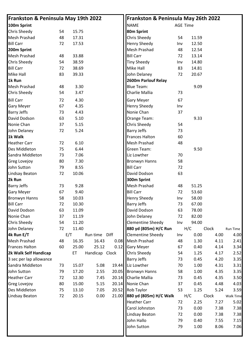| Frankston & Peninsula May 19th 2022 |    |       |                |       | Frankston & Peninsula May 26th 2022 |     |                 |       |                  |
|-------------------------------------|----|-------|----------------|-------|-------------------------------------|-----|-----------------|-------|------------------|
| 100m Sprint                         |    |       |                |       | <b>NAME</b>                         |     | <b>AGE Time</b> |       |                  |
| Chris Sheedy                        | 54 | 15.75 |                |       | 80m Sprint                          |     |                 |       |                  |
| <b>Mesh Prashad</b>                 | 48 | 17.31 |                |       | Chris Sheedy                        | 54  | 11.59           |       |                  |
| <b>Bill Carr</b>                    | 72 | 17.53 |                |       | <b>Henry Sheedy</b>                 | Inv | 12.50           |       |                  |
| 200m Sprint                         |    |       |                |       | Mesh Prashad                        | 48  | 12.54           |       |                  |
| <b>Mesh Prashad</b>                 | 48 | 33.88 |                |       | <b>Bill Carr</b>                    | 72  | 13.14           |       |                  |
| Chris Sheedy                        | 54 | 38.59 |                |       | <b>Tiny Sheedy</b>                  | Inv | 14.80           |       |                  |
| <b>Bill Carr</b>                    | 72 | 38.69 |                |       | Mike Hall                           | 83  | 14.81           |       |                  |
| Mike Hall                           | 83 | 39.33 |                |       | John Delaney                        | 72  | 20.67           |       |                  |
| 1k Run                              |    |       |                |       | 2600m Parlouf Relay                 |     |                 |       |                  |
| <b>Mesh Prashad</b>                 | 48 | 3.30  |                |       | <b>Blue Team:</b>                   |     | 9.09            |       |                  |
| Chris Sheedy                        | 54 | 3.47  |                |       | Charlie Mallia                      | 73  |                 |       |                  |
| <b>Bill Carr</b>                    | 72 | 4.30  |                |       | <b>Gary Meyer</b>                   | 67  |                 |       |                  |
| <b>Gary Meyer</b>                   | 67 | 4.35  |                |       | <b>Henry Sheedy</b>                 | Inv |                 |       |                  |
| <b>Barry Jeffs</b>                  | 73 | 4.43  |                |       | Nonie Chan                          | 37  |                 |       |                  |
| David Dodson                        | 63 | 5.10  |                |       | Orange Team:                        |     | 9.33            |       |                  |
| Nonie Chan                          | 37 | 5.15  |                |       | Chris Sheedy                        | 54  |                 |       |                  |
| John Delaney                        | 72 | 5.24  |                |       | <b>Barry Jeffs</b>                  | 73  |                 |       |                  |
| 1k Walk                             |    |       |                |       | <b>Frances Halton</b>               | 60  |                 |       |                  |
| <b>Heather Carr</b>                 | 72 | 6.10  |                |       | Mesh Prashad                        | 48  |                 |       |                  |
| Des Middleton                       | 75 | 6.44  |                |       | Green Team:                         |     | 9.50            |       |                  |
| Sandra Middleton                    | 73 | 7.06  |                |       | Liz Lowther                         | 70  |                 |       |                  |
| Greg Lovejoy                        | 80 | 7.30  |                |       | <b>Bronwyn Hanns</b>                | 58  |                 |       |                  |
| John Sutton                         | 79 | 8.55  |                |       | <b>Bill Carr</b>                    | 72  |                 |       |                  |
| Lindsay Beaton                      | 72 | 10.06 |                |       | David Dodson                        | 63  |                 |       |                  |
| 2k Run                              |    |       |                |       | 300m Sprint                         |     |                 |       |                  |
| <b>Barry Jeffs</b>                  | 73 | 9.28  |                |       | Mesh Prashad                        | 48  | 51.25           |       |                  |
| Gary Meyer                          | 67 | 9.40  |                |       | <b>Bill Carr</b>                    | 72  | 53.60           |       |                  |
| <b>Bronwyn Hanns</b>                | 58 | 10.03 |                |       | <b>Henry Sheedy</b>                 | Inv | 58.00           |       |                  |
| <b>Bill Carr</b>                    | 72 | 10.30 |                |       | <b>Barry Jeffs</b>                  | 73  | 67.00           |       |                  |
| David Dodson                        | 63 | 11.09 |                |       | David Dodson                        | 63  | 78.00           |       |                  |
| Nonie Chan                          | 37 | 11.19 |                |       | John Delaney                        | 72  | 82.00           |       |                  |
| Chris Sheedy                        | 54 | 11.20 |                |       | <b>Clementine Sheedy</b>            | Inv | 94.00           |       |                  |
| John Delaney                        | 72 | 11.40 |                |       | 880 yd (805m) H/C Run               |     | H/C             | Clock | Run Time         |
| 4k Run E/T                          |    | E/T   | Run time       | Diff  | <b>Clementine Sheedy</b>            | Inv | 0.00            | 4.00  | 4.00             |
| <b>Mesh Prashad</b>                 | 48 | 16.35 | 16.43          | 0.08  | <b>Mesh Prashad</b>                 | 48  | 1.30            | 4.11  | 2.41             |
| <b>Frances Halton</b>               | 60 | 25.00 | 25.12          | 0.12  | <b>Gary Meyer</b>                   | 67  | 0.40            | 4.14  | 3.34             |
| 2k Walk Self Handicap               |    | ET    | Handicap Clock |       | Chris Sheedy                        | 54  | 1.25            | 4.17  | 2.52             |
| 3 sec per lap allowance             |    |       |                |       | <b>Barry Jeffs</b>                  | 73  | 0.45            | 4.20  | 3.35             |
| Sandra Middleton                    | 73 | 15.07 | 5.08           | 19.44 | Liz Lowther                         | 70  | 1.00            | 4.31  | 3.31             |
| John Sutton                         | 79 | 17.20 | 2.55           | 20.05 | <b>Bronwyn Hanns</b>                | 58  | 1.00            | 4.35  | 3.35             |
| <b>Heather Carr</b>                 | 72 | 12.30 | 7.45           | 20.14 | Charlie Mallia                      | 73  | 0.45            | 4.35  | 3.50             |
| Greg Lovejoy                        | 80 | 15.00 | 5.15           |       | 20.14 Nonie Chan                    | 37  | 0.45            | 4.48  | 4.03             |
| Des Middleton                       | 75 | 13.10 | 7.05           | 20.52 | Rob Taylor                          | 53  | 1.25            | 5.24  | 3.59             |
| Lindsay Beaton                      | 72 | 20.15 | 0.00           |       | 21.00 880 yd (805m) H/C Walk        |     | H/C             | Clock | <b>Walk Time</b> |
|                                     |    |       |                |       | <b>Heather Carr</b>                 | 72  | 2.25            | 7.27  | 5.02             |
|                                     |    |       |                |       | Carol Johnston                      | 73  | 0.00            | 7.38  | 7.38             |
|                                     |    |       |                |       | Lindsay Beaton                      | 72  | 0.00            | 7.38  | 7.38             |
|                                     |    |       |                |       | John Hallo                          | 79  | 0.40            | 7.55  | 7.15             |
|                                     |    |       |                |       | John Sutton                         | 79  | 1.00            | 8.06  | 7.06             |
|                                     |    |       |                |       |                                     |     |                 |       |                  |
|                                     |    |       |                |       |                                     |     |                 |       |                  |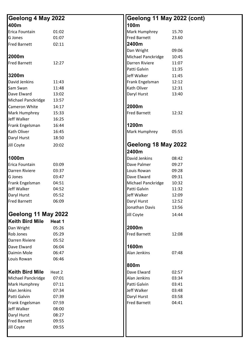| Geelong 4 May 2022     |        | Geelong 11 May 2022 (cont) |       |  |  |
|------------------------|--------|----------------------------|-------|--|--|
| 400m                   |        | 100m                       |       |  |  |
| Erica Fountain         | 01:02  | Mark Humphrey              | 15.70 |  |  |
| G Jones                | 01:07  | <b>Fred Barnett</b>        | 23.60 |  |  |
| <b>Fred Barnett</b>    | 02:11  | 2400m                      |       |  |  |
|                        |        | Dan Wright                 | 09:06 |  |  |
| 2000m                  |        | Michael Panckridge         | 10:45 |  |  |
| <b>Fred Barnett</b>    | 12:27  | Darren Riviere             | 11:07 |  |  |
|                        |        | Patti Galvin               | 11:35 |  |  |
| 3200m                  |        | Jeff Walker                | 11:45 |  |  |
| David Jenkins          | 11:43  | Frank Engelsman            | 12:12 |  |  |
| Sam Swan               | 11:48  | Kath Oliver                | 12:31 |  |  |
| Dave Elward            | 13:02  | Daryl Hurst                | 13:40 |  |  |
| Michael Panckridge     | 13:57  |                            |       |  |  |
| Cameron White          | 14:17  | 2000m                      |       |  |  |
| Mark Humphrey          | 15:33  | <b>Fred Barnett</b>        | 12:32 |  |  |
| Jeff Walker            | 16:25  |                            |       |  |  |
| Frank Engelsman        | 16:44  | 1200m                      |       |  |  |
| Kath Oliver            | 16:45  | Mark Humphrey              | 05:55 |  |  |
| Daryl Hurst            | 18:50  |                            |       |  |  |
| Jill Coyte             | 20:02  | Geelong 18 May 2022        |       |  |  |
|                        |        | 2400m                      |       |  |  |
| 1000m                  |        | David Jenkins              | 08:42 |  |  |
| Erica Fountain         | 03:09  | Dave Palmer                | 09:27 |  |  |
| Darren Riviere         | 03:37  | Louis Rowan                | 09:28 |  |  |
| G Jones                | 03:47  | Dave Elward                | 09:31 |  |  |
| Frank Engelsman        | 04:51  | Michael Panckridge         | 10:32 |  |  |
| Jeff Walker            | 04:52  | Patti Galvin               | 11:32 |  |  |
| Daryl Hurst            | 05:52  | Jeff Walker                | 12:09 |  |  |
| <b>Fred Barnett</b>    | 06:09  | Daryl Hurst                | 12:52 |  |  |
|                        |        | Jonathan Davis             | 13:56 |  |  |
| Geelong 11 May 2022    |        | Jill Coyte                 | 14:44 |  |  |
| <b>Keith Bird Mile</b> | Heat 1 |                            |       |  |  |
| Dan Wright             | 05:26  | 2000m                      |       |  |  |
| Rob Jones              | 05:29  | <b>Fred Barnett</b>        | 12:08 |  |  |
| Darren Riviere         | 05:52  |                            |       |  |  |
| Dave Elward            | 06:04  | 1600m                      |       |  |  |
| Daimin Mole            | 06:47  | Alan Jenkins               | 07:48 |  |  |
| Louis Rowan            | 06:46  |                            |       |  |  |
|                        |        | 800m                       |       |  |  |
| <b>Keith Bird Mile</b> | Heat 2 | Dave Elward                | 02:57 |  |  |
| Michael Panckridge     | 07:01  | Alan Jenkins               | 03:34 |  |  |
| Mark Humphrey          | 07:11  | Patti Galvin               | 03:41 |  |  |
| Alan Jenkins           | 07:34  | Jeff Walker                | 03:48 |  |  |
| Patti Galvin           | 07:39  | Daryl Hurst                | 03:58 |  |  |
| Frank Engelsman        | 07:59  | <b>Fred Barnett</b>        | 04:41 |  |  |
| Jeff Walker            | 08:00  |                            |       |  |  |
| Daryl Hurst            | 08:27  |                            |       |  |  |
| <b>Fred Barnett</b>    | 09:55  |                            |       |  |  |
| Jill Coyte             | 09:55  |                            |       |  |  |
|                        |        |                            |       |  |  |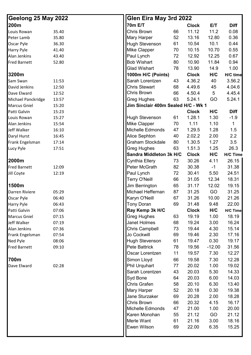|                                                                                                                                                                                                                                                                                                            |                                                                                                                                                                                                                                                                                                                                                                                                                                                                                                                                                                                                                                                                                                                                                                                                                                                                                                            |                                                                                                                                                                                                                                                                                                 |                                                                                                                                                                                                                                                                                                                                                                                                                                                                                                                            | <b>Diff</b>                                                                                                                                                                                                                                                                                                                                                                                                                          |  |
|------------------------------------------------------------------------------------------------------------------------------------------------------------------------------------------------------------------------------------------------------------------------------------------------------------|------------------------------------------------------------------------------------------------------------------------------------------------------------------------------------------------------------------------------------------------------------------------------------------------------------------------------------------------------------------------------------------------------------------------------------------------------------------------------------------------------------------------------------------------------------------------------------------------------------------------------------------------------------------------------------------------------------------------------------------------------------------------------------------------------------------------------------------------------------------------------------------------------------|-------------------------------------------------------------------------------------------------------------------------------------------------------------------------------------------------------------------------------------------------------------------------------------------------|----------------------------------------------------------------------------------------------------------------------------------------------------------------------------------------------------------------------------------------------------------------------------------------------------------------------------------------------------------------------------------------------------------------------------------------------------------------------------------------------------------------------------|--------------------------------------------------------------------------------------------------------------------------------------------------------------------------------------------------------------------------------------------------------------------------------------------------------------------------------------------------------------------------------------------------------------------------------------|--|
|                                                                                                                                                                                                                                                                                                            |                                                                                                                                                                                                                                                                                                                                                                                                                                                                                                                                                                                                                                                                                                                                                                                                                                                                                                            |                                                                                                                                                                                                                                                                                                 |                                                                                                                                                                                                                                                                                                                                                                                                                                                                                                                            | 0.08                                                                                                                                                                                                                                                                                                                                                                                                                                 |  |
|                                                                                                                                                                                                                                                                                                            |                                                                                                                                                                                                                                                                                                                                                                                                                                                                                                                                                                                                                                                                                                                                                                                                                                                                                                            |                                                                                                                                                                                                                                                                                                 |                                                                                                                                                                                                                                                                                                                                                                                                                                                                                                                            | 0.36                                                                                                                                                                                                                                                                                                                                                                                                                                 |  |
|                                                                                                                                                                                                                                                                                                            |                                                                                                                                                                                                                                                                                                                                                                                                                                                                                                                                                                                                                                                                                                                                                                                                                                                                                                            |                                                                                                                                                                                                                                                                                                 |                                                                                                                                                                                                                                                                                                                                                                                                                                                                                                                            | 0.44                                                                                                                                                                                                                                                                                                                                                                                                                                 |  |
|                                                                                                                                                                                                                                                                                                            |                                                                                                                                                                                                                                                                                                                                                                                                                                                                                                                                                                                                                                                                                                                                                                                                                                                                                                            |                                                                                                                                                                                                                                                                                                 |                                                                                                                                                                                                                                                                                                                                                                                                                                                                                                                            | 0.55                                                                                                                                                                                                                                                                                                                                                                                                                                 |  |
|                                                                                                                                                                                                                                                                                                            |                                                                                                                                                                                                                                                                                                                                                                                                                                                                                                                                                                                                                                                                                                                                                                                                                                                                                                            |                                                                                                                                                                                                                                                                                                 |                                                                                                                                                                                                                                                                                                                                                                                                                                                                                                                            | 0.67                                                                                                                                                                                                                                                                                                                                                                                                                                 |  |
|                                                                                                                                                                                                                                                                                                            |                                                                                                                                                                                                                                                                                                                                                                                                                                                                                                                                                                                                                                                                                                                                                                                                                                                                                                            |                                                                                                                                                                                                                                                                                                 |                                                                                                                                                                                                                                                                                                                                                                                                                                                                                                                            | 0.94                                                                                                                                                                                                                                                                                                                                                                                                                                 |  |
|                                                                                                                                                                                                                                                                                                            |                                                                                                                                                                                                                                                                                                                                                                                                                                                                                                                                                                                                                                                                                                                                                                                                                                                                                                            |                                                                                                                                                                                                                                                                                                 |                                                                                                                                                                                                                                                                                                                                                                                                                                                                                                                            | 1.00                                                                                                                                                                                                                                                                                                                                                                                                                                 |  |
|                                                                                                                                                                                                                                                                                                            |                                                                                                                                                                                                                                                                                                                                                                                                                                                                                                                                                                                                                                                                                                                                                                                                                                                                                                            |                                                                                                                                                                                                                                                                                                 |                                                                                                                                                                                                                                                                                                                                                                                                                                                                                                                            | H/C time                                                                                                                                                                                                                                                                                                                                                                                                                             |  |
|                                                                                                                                                                                                                                                                                                            |                                                                                                                                                                                                                                                                                                                                                                                                                                                                                                                                                                                                                                                                                                                                                                                                                                                                                                            |                                                                                                                                                                                                                                                                                                 |                                                                                                                                                                                                                                                                                                                                                                                                                                                                                                                            | 3.56.2                                                                                                                                                                                                                                                                                                                                                                                                                               |  |
|                                                                                                                                                                                                                                                                                                            |                                                                                                                                                                                                                                                                                                                                                                                                                                                                                                                                                                                                                                                                                                                                                                                                                                                                                                            |                                                                                                                                                                                                                                                                                                 |                                                                                                                                                                                                                                                                                                                                                                                                                                                                                                                            | 4.04.6                                                                                                                                                                                                                                                                                                                                                                                                                               |  |
|                                                                                                                                                                                                                                                                                                            |                                                                                                                                                                                                                                                                                                                                                                                                                                                                                                                                                                                                                                                                                                                                                                                                                                                                                                            |                                                                                                                                                                                                                                                                                                 |                                                                                                                                                                                                                                                                                                                                                                                                                                                                                                                            | 4.45.4                                                                                                                                                                                                                                                                                                                                                                                                                               |  |
|                                                                                                                                                                                                                                                                                                            |                                                                                                                                                                                                                                                                                                                                                                                                                                                                                                                                                                                                                                                                                                                                                                                                                                                                                                            |                                                                                                                                                                                                                                                                                                 |                                                                                                                                                                                                                                                                                                                                                                                                                                                                                                                            | 5.24.1                                                                                                                                                                                                                                                                                                                                                                                                                               |  |
|                                                                                                                                                                                                                                                                                                            |                                                                                                                                                                                                                                                                                                                                                                                                                                                                                                                                                                                                                                                                                                                                                                                                                                                                                                            |                                                                                                                                                                                                                                                                                                 |                                                                                                                                                                                                                                                                                                                                                                                                                                                                                                                            |                                                                                                                                                                                                                                                                                                                                                                                                                                      |  |
|                                                                                                                                                                                                                                                                                                            |                                                                                                                                                                                                                                                                                                                                                                                                                                                                                                                                                                                                                                                                                                                                                                                                                                                                                                            |                                                                                                                                                                                                                                                                                                 |                                                                                                                                                                                                                                                                                                                                                                                                                                                                                                                            | <b>Diff</b>                                                                                                                                                                                                                                                                                                                                                                                                                          |  |
|                                                                                                                                                                                                                                                                                                            |                                                                                                                                                                                                                                                                                                                                                                                                                                                                                                                                                                                                                                                                                                                                                                                                                                                                                                            |                                                                                                                                                                                                                                                                                                 |                                                                                                                                                                                                                                                                                                                                                                                                                                                                                                                            | $-1.9$                                                                                                                                                                                                                                                                                                                                                                                                                               |  |
|                                                                                                                                                                                                                                                                                                            |                                                                                                                                                                                                                                                                                                                                                                                                                                                                                                                                                                                                                                                                                                                                                                                                                                                                                                            |                                                                                                                                                                                                                                                                                                 |                                                                                                                                                                                                                                                                                                                                                                                                                                                                                                                            | $\mathbf{1}$                                                                                                                                                                                                                                                                                                                                                                                                                         |  |
|                                                                                                                                                                                                                                                                                                            |                                                                                                                                                                                                                                                                                                                                                                                                                                                                                                                                                                                                                                                                                                                                                                                                                                                                                                            |                                                                                                                                                                                                                                                                                                 |                                                                                                                                                                                                                                                                                                                                                                                                                                                                                                                            | 1.5                                                                                                                                                                                                                                                                                                                                                                                                                                  |  |
|                                                                                                                                                                                                                                                                                                            |                                                                                                                                                                                                                                                                                                                                                                                                                                                                                                                                                                                                                                                                                                                                                                                                                                                                                                            |                                                                                                                                                                                                                                                                                                 |                                                                                                                                                                                                                                                                                                                                                                                                                                                                                                                            | 2.2                                                                                                                                                                                                                                                                                                                                                                                                                                  |  |
|                                                                                                                                                                                                                                                                                                            |                                                                                                                                                                                                                                                                                                                                                                                                                                                                                                                                                                                                                                                                                                                                                                                                                                                                                                            |                                                                                                                                                                                                                                                                                                 |                                                                                                                                                                                                                                                                                                                                                                                                                                                                                                                            | 3.5                                                                                                                                                                                                                                                                                                                                                                                                                                  |  |
|                                                                                                                                                                                                                                                                                                            |                                                                                                                                                                                                                                                                                                                                                                                                                                                                                                                                                                                                                                                                                                                                                                                                                                                                                                            |                                                                                                                                                                                                                                                                                                 |                                                                                                                                                                                                                                                                                                                                                                                                                                                                                                                            | 26.3                                                                                                                                                                                                                                                                                                                                                                                                                                 |  |
|                                                                                                                                                                                                                                                                                                            |                                                                                                                                                                                                                                                                                                                                                                                                                                                                                                                                                                                                                                                                                                                                                                                                                                                                                                            |                                                                                                                                                                                                                                                                                                 |                                                                                                                                                                                                                                                                                                                                                                                                                                                                                                                            | <b>H/C Time</b>                                                                                                                                                                                                                                                                                                                                                                                                                      |  |
|                                                                                                                                                                                                                                                                                                            |                                                                                                                                                                                                                                                                                                                                                                                                                                                                                                                                                                                                                                                                                                                                                                                                                                                                                                            |                                                                                                                                                                                                                                                                                                 |                                                                                                                                                                                                                                                                                                                                                                                                                                                                                                                            | 26.15                                                                                                                                                                                                                                                                                                                                                                                                                                |  |
|                                                                                                                                                                                                                                                                                                            |                                                                                                                                                                                                                                                                                                                                                                                                                                                                                                                                                                                                                                                                                                                                                                                                                                                                                                            |                                                                                                                                                                                                                                                                                                 |                                                                                                                                                                                                                                                                                                                                                                                                                                                                                                                            | 31.38                                                                                                                                                                                                                                                                                                                                                                                                                                |  |
|                                                                                                                                                                                                                                                                                                            |                                                                                                                                                                                                                                                                                                                                                                                                                                                                                                                                                                                                                                                                                                                                                                                                                                                                                                            |                                                                                                                                                                                                                                                                                                 |                                                                                                                                                                                                                                                                                                                                                                                                                                                                                                                            | 24.51                                                                                                                                                                                                                                                                                                                                                                                                                                |  |
|                                                                                                                                                                                                                                                                                                            |                                                                                                                                                                                                                                                                                                                                                                                                                                                                                                                                                                                                                                                                                                                                                                                                                                                                                                            |                                                                                                                                                                                                                                                                                                 |                                                                                                                                                                                                                                                                                                                                                                                                                                                                                                                            | 18.31                                                                                                                                                                                                                                                                                                                                                                                                                                |  |
|                                                                                                                                                                                                                                                                                                            |                                                                                                                                                                                                                                                                                                                                                                                                                                                                                                                                                                                                                                                                                                                                                                                                                                                                                                            |                                                                                                                                                                                                                                                                                                 |                                                                                                                                                                                                                                                                                                                                                                                                                                                                                                                            | 19.15                                                                                                                                                                                                                                                                                                                                                                                                                                |  |
|                                                                                                                                                                                                                                                                                                            |                                                                                                                                                                                                                                                                                                                                                                                                                                                                                                                                                                                                                                                                                                                                                                                                                                                                                                            |                                                                                                                                                                                                                                                                                                 |                                                                                                                                                                                                                                                                                                                                                                                                                                                                                                                            | 31.25                                                                                                                                                                                                                                                                                                                                                                                                                                |  |
|                                                                                                                                                                                                                                                                                                            |                                                                                                                                                                                                                                                                                                                                                                                                                                                                                                                                                                                                                                                                                                                                                                                                                                                                                                            |                                                                                                                                                                                                                                                                                                 |                                                                                                                                                                                                                                                                                                                                                                                                                                                                                                                            | 21.26                                                                                                                                                                                                                                                                                                                                                                                                                                |  |
|                                                                                                                                                                                                                                                                                                            |                                                                                                                                                                                                                                                                                                                                                                                                                                                                                                                                                                                                                                                                                                                                                                                                                                                                                                            |                                                                                                                                                                                                                                                                                                 |                                                                                                                                                                                                                                                                                                                                                                                                                                                                                                                            | 22.00                                                                                                                                                                                                                                                                                                                                                                                                                                |  |
|                                                                                                                                                                                                                                                                                                            |                                                                                                                                                                                                                                                                                                                                                                                                                                                                                                                                                                                                                                                                                                                                                                                                                                                                                                            |                                                                                                                                                                                                                                                                                                 |                                                                                                                                                                                                                                                                                                                                                                                                                                                                                                                            | H/C Time                                                                                                                                                                                                                                                                                                                                                                                                                             |  |
|                                                                                                                                                                                                                                                                                                            |                                                                                                                                                                                                                                                                                                                                                                                                                                                                                                                                                                                                                                                                                                                                                                                                                                                                                                            |                                                                                                                                                                                                                                                                                                 |                                                                                                                                                                                                                                                                                                                                                                                                                                                                                                                            | 18.19                                                                                                                                                                                                                                                                                                                                                                                                                                |  |
|                                                                                                                                                                                                                                                                                                            |                                                                                                                                                                                                                                                                                                                                                                                                                                                                                                                                                                                                                                                                                                                                                                                                                                                                                                            |                                                                                                                                                                                                                                                                                                 |                                                                                                                                                                                                                                                                                                                                                                                                                                                                                                                            | 16.24                                                                                                                                                                                                                                                                                                                                                                                                                                |  |
|                                                                                                                                                                                                                                                                                                            |                                                                                                                                                                                                                                                                                                                                                                                                                                                                                                                                                                                                                                                                                                                                                                                                                                                                                                            |                                                                                                                                                                                                                                                                                                 |                                                                                                                                                                                                                                                                                                                                                                                                                                                                                                                            | 15.14                                                                                                                                                                                                                                                                                                                                                                                                                                |  |
|                                                                                                                                                                                                                                                                                                            |                                                                                                                                                                                                                                                                                                                                                                                                                                                                                                                                                                                                                                                                                                                                                                                                                                                                                                            |                                                                                                                                                                                                                                                                                                 |                                                                                                                                                                                                                                                                                                                                                                                                                                                                                                                            | 17.16                                                                                                                                                                                                                                                                                                                                                                                                                                |  |
|                                                                                                                                                                                                                                                                                                            |                                                                                                                                                                                                                                                                                                                                                                                                                                                                                                                                                                                                                                                                                                                                                                                                                                                                                                            |                                                                                                                                                                                                                                                                                                 |                                                                                                                                                                                                                                                                                                                                                                                                                                                                                                                            | 19.17                                                                                                                                                                                                                                                                                                                                                                                                                                |  |
|                                                                                                                                                                                                                                                                                                            |                                                                                                                                                                                                                                                                                                                                                                                                                                                                                                                                                                                                                                                                                                                                                                                                                                                                                                            |                                                                                                                                                                                                                                                                                                 |                                                                                                                                                                                                                                                                                                                                                                                                                                                                                                                            | 31.56                                                                                                                                                                                                                                                                                                                                                                                                                                |  |
|                                                                                                                                                                                                                                                                                                            |                                                                                                                                                                                                                                                                                                                                                                                                                                                                                                                                                                                                                                                                                                                                                                                                                                                                                                            |                                                                                                                                                                                                                                                                                                 |                                                                                                                                                                                                                                                                                                                                                                                                                                                                                                                            | 12.27                                                                                                                                                                                                                                                                                                                                                                                                                                |  |
|                                                                                                                                                                                                                                                                                                            |                                                                                                                                                                                                                                                                                                                                                                                                                                                                                                                                                                                                                                                                                                                                                                                                                                                                                                            |                                                                                                                                                                                                                                                                                                 |                                                                                                                                                                                                                                                                                                                                                                                                                                                                                                                            | 12.28                                                                                                                                                                                                                                                                                                                                                                                                                                |  |
|                                                                                                                                                                                                                                                                                                            |                                                                                                                                                                                                                                                                                                                                                                                                                                                                                                                                                                                                                                                                                                                                                                                                                                                                                                            |                                                                                                                                                                                                                                                                                                 |                                                                                                                                                                                                                                                                                                                                                                                                                                                                                                                            | 19.02                                                                                                                                                                                                                                                                                                                                                                                                                                |  |
|                                                                                                                                                                                                                                                                                                            |                                                                                                                                                                                                                                                                                                                                                                                                                                                                                                                                                                                                                                                                                                                                                                                                                                                                                                            |                                                                                                                                                                                                                                                                                                 |                                                                                                                                                                                                                                                                                                                                                                                                                                                                                                                            | 14.33                                                                                                                                                                                                                                                                                                                                                                                                                                |  |
|                                                                                                                                                                                                                                                                                                            |                                                                                                                                                                                                                                                                                                                                                                                                                                                                                                                                                                                                                                                                                                                                                                                                                                                                                                            |                                                                                                                                                                                                                                                                                                 |                                                                                                                                                                                                                                                                                                                                                                                                                                                                                                                            | 14.03                                                                                                                                                                                                                                                                                                                                                                                                                                |  |
|                                                                                                                                                                                                                                                                                                            |                                                                                                                                                                                                                                                                                                                                                                                                                                                                                                                                                                                                                                                                                                                                                                                                                                                                                                            |                                                                                                                                                                                                                                                                                                 |                                                                                                                                                                                                                                                                                                                                                                                                                                                                                                                            | 13.40                                                                                                                                                                                                                                                                                                                                                                                                                                |  |
|                                                                                                                                                                                                                                                                                                            |                                                                                                                                                                                                                                                                                                                                                                                                                                                                                                                                                                                                                                                                                                                                                                                                                                                                                                            |                                                                                                                                                                                                                                                                                                 |                                                                                                                                                                                                                                                                                                                                                                                                                                                                                                                            | 19.38                                                                                                                                                                                                                                                                                                                                                                                                                                |  |
|                                                                                                                                                                                                                                                                                                            |                                                                                                                                                                                                                                                                                                                                                                                                                                                                                                                                                                                                                                                                                                                                                                                                                                                                                                            |                                                                                                                                                                                                                                                                                                 |                                                                                                                                                                                                                                                                                                                                                                                                                                                                                                                            | 18.28                                                                                                                                                                                                                                                                                                                                                                                                                                |  |
|                                                                                                                                                                                                                                                                                                            |                                                                                                                                                                                                                                                                                                                                                                                                                                                                                                                                                                                                                                                                                                                                                                                                                                                                                                            |                                                                                                                                                                                                                                                                                                 |                                                                                                                                                                                                                                                                                                                                                                                                                                                                                                                            | 16.17                                                                                                                                                                                                                                                                                                                                                                                                                                |  |
|                                                                                                                                                                                                                                                                                                            |                                                                                                                                                                                                                                                                                                                                                                                                                                                                                                                                                                                                                                                                                                                                                                                                                                                                                                            |                                                                                                                                                                                                                                                                                                 |                                                                                                                                                                                                                                                                                                                                                                                                                                                                                                                            | 20.00                                                                                                                                                                                                                                                                                                                                                                                                                                |  |
|                                                                                                                                                                                                                                                                                                            |                                                                                                                                                                                                                                                                                                                                                                                                                                                                                                                                                                                                                                                                                                                                                                                                                                                                                                            |                                                                                                                                                                                                                                                                                                 |                                                                                                                                                                                                                                                                                                                                                                                                                                                                                                                            | 21.12                                                                                                                                                                                                                                                                                                                                                                                                                                |  |
|                                                                                                                                                                                                                                                                                                            |                                                                                                                                                                                                                                                                                                                                                                                                                                                                                                                                                                                                                                                                                                                                                                                                                                                                                                            |                                                                                                                                                                                                                                                                                                 |                                                                                                                                                                                                                                                                                                                                                                                                                                                                                                                            | 18.16                                                                                                                                                                                                                                                                                                                                                                                                                                |  |
|                                                                                                                                                                                                                                                                                                            |                                                                                                                                                                                                                                                                                                                                                                                                                                                                                                                                                                                                                                                                                                                                                                                                                                                                                                            |                                                                                                                                                                                                                                                                                                 |                                                                                                                                                                                                                                                                                                                                                                                                                                                                                                                            | 15.25                                                                                                                                                                                                                                                                                                                                                                                                                                |  |
|                                                                                                                                                                                                                                                                                                            |                                                                                                                                                                                                                                                                                                                                                                                                                                                                                                                                                                                                                                                                                                                                                                                                                                                                                                            |                                                                                                                                                                                                                                                                                                 |                                                                                                                                                                                                                                                                                                                                                                                                                                                                                                                            |                                                                                                                                                                                                                                                                                                                                                                                                                                      |  |
| Geelong 25 May 2022<br>35.40<br>35.80<br>36.30<br>41.40<br>43.40<br>52.80<br>11:53<br>12:50<br>12:52<br>13:57<br>15:20<br>15:23<br>15:27<br>15:54<br>16:10<br>16:45<br>17:14<br>17:51<br>12:09<br>12:19<br>05:29<br>06:40<br>06:43<br>07:06<br>07:15<br>07:19<br>07:36<br>07:54<br>08:06<br>09:10<br>02:28 | <b>70m E/T</b><br><b>Chris Brown</b><br>Mary Harper<br><b>Hugh Stevenson</b><br>Mike Clapper<br>Paul Lynch<br><b>Bob Wishart</b><br><b>Glad Wishart</b><br>1000m H/C (Points)<br>Sarah Lorentzen<br><b>Chris Stewart</b><br><b>Chris Brown</b><br><b>Greg Hughes</b><br>Hugh Stevenson<br>Mike Clapper<br>Michelle Edmonds<br>Alice Sephton<br><b>Graham Stockdale</b><br><b>Greg Hughes</b><br>Cynthia Ellery<br>Peter McGrath<br>Paul Lynch<br><b>Terry O'Neill</b><br>Jim Berrington<br>Michael Heffernan<br>Karyn O'Neill<br><b>Tony Doran</b><br>Ray Kemp 3k H/C<br><b>Greg Hughes</b><br>Janet Holmes<br>Chris Campbell<br>Jo Cockwill<br><b>Hugh Stevenson</b><br>Pete Battrick<br>Oscar Lorentzen<br>Simon Lloyd<br>Phil Urquhart<br>Sarah Lorentzen<br>Syd Bone<br>Chris Grafen<br>Mary Harper<br>Jane Sturzaker<br>Chris Brown<br>Michelle Edmonds<br>Karen Monohan<br>Merle Want<br>Ewen Wilson | 66<br>52<br>61<br>70<br>72<br>80<br>78<br>43<br>68<br>66<br>63<br>61<br>70<br>47<br>40<br>80<br>63<br>Sandra Middleton 3k H/C<br>73<br>82<br>72<br>66<br>65<br>87<br>67<br>69<br>63<br>68<br>73<br>69<br>61<br>78<br>11<br>66<br>77<br>43<br>64<br>58<br>52<br>69<br>66<br>47<br>55<br>61<br>69 | Glen Eira May 3rd 2022<br><b>Clock</b><br>11.12<br>13.16<br>10.54<br>10.15<br>12.92<br>10.90<br>13.90<br><b>Clock</b><br>4.36.2<br>4.49.6<br>4.50.4<br>5.24.1<br><b>Clock</b><br>1.28.1<br>1.11<br>1.29.5<br>2.02.2<br>1.30.5<br>1.51.3<br><b>Clock</b><br>30.26<br>30.38<br>30.41<br>31.05<br>31.17<br>31.25<br>31.26<br>31.48<br><b>Clock</b><br>19.19<br>19.24<br>19.44<br>19.46<br>19.47<br>19.56<br>19.57<br>19.58<br>20.02<br>20.03<br>20.03<br>20.10<br>20.18<br>20.28<br>20.32<br>21.00<br>21.12<br>21.16<br>22.00 | E/T<br>11.2<br>12.80<br>10.1<br>10.70<br>12.25<br>11.84<br>14.9<br>H/C<br>40<br>45<br>5<br>GO<br>Jim Sinclair 400m Sealed H/C - Wk 1<br>H/C<br>1.30<br>1.10<br>1.28<br>2.00<br>1.27<br>1.25<br>H/C<br>4.11<br>$-1$<br>5.50<br>12.34<br>12.02<br>GO<br>10.00<br>9.48<br>H/C<br>1.00<br>3.00<br>4.30<br>2.30<br>0.30<br>$-12.00$<br>7.30<br>7.30<br>1.00<br>5.30<br>6.00<br>6.30<br>0.30<br>2.00<br>4.15<br>1.00<br>GO<br>3.00<br>6.35 |  |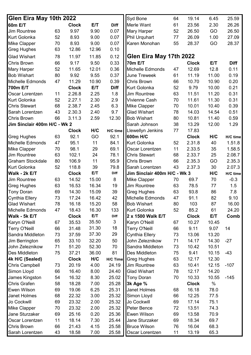| Glen Eira May 10th 2022      |    |              |       |             | Syd Bone                     | 64 | 19.14        | 6.45  | 25.59       |
|------------------------------|----|--------------|-------|-------------|------------------------------|----|--------------|-------|-------------|
| <b>60m E/T</b>               |    | <b>Clock</b> | E/T   | <b>Diff</b> | Merle Want                   | 61 | 23.56        | 2.30  | 26.26       |
| <b>Jim Rountree</b>          | 63 | 9.97         | 9.90  | 0.07        | <b>Mary Harper</b>           | 52 | 26.50        | GO    | 26.50       |
| <b>Kurt Golonka</b>          | 52 | 8.93         | 9.00  | 0.07        | <b>Phil Urquhart</b>         | 77 | 26.09        | 1.00  | 27.09       |
| <b>Mike Clapper</b>          | 70 | 8.93         | 9.00  | 0.07        | Karen Monohan                | 55 | 28.37        | GO    | 28.37       |
| <b>Greg Hughes</b>           | 63 | 12.86        | 12.96 | 0.10        |                              |    |              |       |             |
| <b>Glad Wishart</b>          | 78 | 11.97        | 11.85 | 0.12        | Glen Eira May 17th 2022      |    |              |       |             |
| <b>Chris Brown</b>           | 66 | 9.17         | 9.50  | 0.33        | <b>70m E/T</b>               |    | <b>Clock</b> | E/T   | <b>Diff</b> |
| <b>Mary Harper</b>           | 52 | 11.65        | 12.01 | 0.36        | Michelle Edmonds             | 47 | 12.69        | 12.8  | 0.11        |
| <b>Bob Wishart</b>           | 80 | 9.92         | 9.55  | 0.37        | <b>June Treweek</b>          | 61 | 11.19        | 11.00 | 0.19        |
| Michelle Edmonds             | 47 | 11.29        | 10.90 | 0.39        | <b>Chris Brown</b>           | 66 | 10.70        | 10.90 | 0.20        |
| 700m E/T                     |    | <b>Clock</b> | E/T   | <b>Diff</b> | <b>Kurt Golonka</b>          | 52 | 9.79         | 10.00 | 0.21        |
| Oscar Lorentzen              | 11 | 2.26.8       | 2.25  | 1.8         | <b>Jim Rountree</b>          | 63 | 11.51        | 11.20 | 0.31        |
| <b>Kurt Golonka</b>          | 52 | 2.27.1       | 2.30  | 2.9         | <b>Vivienne Cash</b>         | 70 | 11.61        | 11.30 | 0.31        |
| <b>Chris Stewart</b>         | 68 | 2.38.7       | 2.45  | 6.3         | <b>Mike Clapper</b>          | 70 | 10.01        | 10.40 | 0.39        |
| Sarah Lorentzen              | 43 | 2.30.3       | 2.40  | 9.7         | <b>Glad Wishart</b>          | 78 | 14.03        | 14.54 | 0.51        |
| <b>Chris Brown</b>           | 66 | 3.11.3       | 2.59  | 12.30       | <b>Bob Wishart</b>           | 80 | 10.81        | 11.40 | 0.59        |
| Jim Sinclair 400m H/C - Wk 2 |    |              |       |             | Sarah Johnson                | 38 | 13.29        | 12.00 | 1.29        |
|                              |    | <b>Clock</b> | H/C   |             | Llewellyn Jenkins            | 77 | 17.83        |       |             |
|                              |    |              |       | H/C time    |                              |    |              |       |             |
| <b>Greg Hughes</b>           | 63 | 92.1         | GO    | 92.1        | 600m H/C                     |    | <b>Clock</b> | H/C   | H/C time    |
| <b>Michelle Edmonds</b>      | 47 | 95.1         | 11    | 84.1        | <b>Kurt Golonka</b>          | 52 | 2.31.8       | 40    | 1.51.8      |
| <b>Mike Clapper</b>          | 70 | 98.1         | 29    | 69.1        | Oscar Lorentzen              | 11 | 2.33.5       | 35    | 1.58.5      |
| <b>Jim Rountree</b>          | 63 | 102.1        | 24    | 78.1        | <b>Chris Stewart</b>         | 68 | 2.33.7       | 25    | 2.08.7      |
| <b>Graham Stockdale</b>      | 80 | 106.9        | 11    | 95.9        | <b>Chris Brown</b>           | 66 | 2.35.3       | GO    | 2.35.3      |
| <b>Kurt Golonka</b>          | 52 | 118.8        | 39    | 79.8        | Sarah Lorentzen              | 43 | 2.37.3       | 30    | 2.07.3      |
| Walk - 2k E/T                |    | <b>Clock</b> | E/T   | <b>Diff</b> | Jim Sinclair 400m H/C - Wk 3 |    |              | H/C   | H/C time    |
| Jim Rountree                 | 63 | 14.52        | 15.00 | 8           | <b>Mike Clapper</b>          | 70 | 69.7         | 70    | $-0.3$      |
| <b>Greg Hughes</b>           | 63 | 16.53        | 16.34 | 19          | Jim Rountree                 | 63 | 78.5         | 77    | 1.5         |
| <b>Tony Doran</b>            | 69 | 14.30        | 15.09 | 39          | <b>Greg Hughes</b>           | 63 | 93.8         | 86    | 7.8         |
| <b>Cynthia Ellery</b>        | 73 | 17.24        | 16.42 | 42          | Michelle Edmonds             | 47 | 91.1         | 82    | 9.10        |
| <b>Glad Wishart</b>          | 78 | 16.18        | 15.20 | 58          | <b>Bob Wishart</b>           | 80 | 103          | 87    | 16.00       |
| Michelle Edmonds             | 47 | 18.43        | 16.30 | 133         | <b>Kurt Golonka</b>          | 52 | 85.2         | 61    | 24.20       |
| Walk - 5k E/T                |    | <b>Clock</b> | E/T   | <b>Diff</b> | 2 x 1500 Walk E/T            |    | <b>Clock</b> | E/T   | Comb        |
| Karyn O'Neill                | 67 | 35.53        | 35.50 | 3           | Karyn O'Neill                | 67 | 10.27        | 10.45 |             |
| <b>Terry O'Neill</b>         | 66 | 31.48        | 31.30 | 18          | <b>Terry O'Neill</b>         | 66 | 9.11         | 9.07  | 14          |
| Sandra Middleton             | 73 | 37.59        | 37.30 | 29          | <b>Cynthia Ellery</b>        | 73 | 13.06        | 13.20 |             |
| Jim Berrington               | 65 | 33.10        | 32.20 | 50          | John Zeleznikow              | 71 | 14.17        | 14.30 | $-27$       |
| John Zeleznikow              | 71 | 51.20        | 52.30 | 70          | Sandra Middleton             | 73 | 10.42        | 10.51 |             |
| Des Middleton                | 75 | 37.21        | 36.00 | 81          | Des Middleton                | 75 | 9.41         | 10.15 | $-43$       |
| 4k H/C (Sealed)              |    | <b>Clock</b> | H/C   |             | H/C Time Greg Hughes         | 63 | 12.17        | 12.30 |             |
| <b>Chris Campbell</b>        | 73 | 20.19        | 4.00  | 24.19       | <b>Jim Rountree</b>          | 63 | 10.41        | 12.15 | $-107$      |
| Simon Lloyd                  | 66 | 16.40        | 8.00  | 24.40       | <b>Glad Wishart</b>          | 78 | 12.17        | 14.20 |             |
| James Kingston               | 54 | 16.32        | 8.30  | 25.02       | <b>Tony Doran</b>            | 70 | 10.33        | 10.55 | $-145$      |
| <b>Chris Grafen</b>          | 58 | 18.28        | 7.00  | 25.28       | 3k Age %                     |    | <b>Clock</b> | $\%$  |             |
| Ewen Wilson                  | 69 | 19.06        | 6.25  | 25.31       | <b>Janet Holmes</b>          | 68 | 16.18        | 78.0  |             |
| <b>Janet Holmes</b>          | 68 | 22.32        | 3.00  | 25.32       | Simon Lloyd                  | 66 | 12.25        | 77.5  |             |
| Jo Cockwill                  | 69 | 23.32        | 2.00  | 25.32       | Jo Cockwill                  | 69 | 17.14        | 75.1  |             |
| <b>Mike Clapper</b>          |    |              |       | 25.32       | <b>Peter Bence</b>           | 72 |              | 74.3  |             |
|                              | 70 | 23.32        | 2.00  |             |                              |    | 13.51        |       |             |
| Jane Sturzaker               | 69 | 25.16        | 0.20  | 25.36       | <b>Ewen Wilson</b>           | 69 | 13.58        | 70.9  |             |
| Oscar Lorentzen              | 11 | 18.14        | 7.30  | 25.44       | Jane Sturzaker               | 69 | 18.34        | 69.7  |             |
| <b>Chris Brown</b>           | 66 | 21.43        | 4.15  | 25.58       | <b>Bruce Wilson</b>          | 76 | 16.04        | 68.3  |             |
| Sarah Lorentzen              | 43 | 18.58        | 7.00  | 25.58       | Oscar Lorentzen              | 11 | 13.19        | 65.3  |             |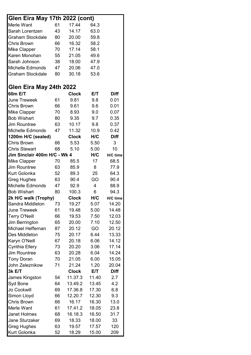| Glen Eira May 17th 2022 (cont) |    |              |       |             |
|--------------------------------|----|--------------|-------|-------------|
| Merle Want                     | 61 | 17.44        | 64.3  |             |
| Sarah Lorentzen                | 43 | 14.17        | 63.0  |             |
| <b>Graham Stockdale</b>        | 80 | 20.00        | 59.8  |             |
| <b>Chris Brown</b>             | 66 | 16.32        | 58.2  |             |
| <b>Mike Clapper</b>            | 70 | 17.14        | 58.1  |             |
| Karen Monohan                  | 55 | 21.05        | 49.6  |             |
| Sarah Johnson                  | 38 | 18.00        | 47.9  |             |
| <b>Michelle Edmonds</b>        | 47 | 20.06        | 47.0  |             |
| <b>Graham Stockdale</b>        | 80 | 30.18        | 53.6  |             |
| Glen Eira May 24th 2022        |    |              |       |             |
| 60m E/T                        |    | <b>Clock</b> | E/T   | <b>Diff</b> |
| <b>June Treweek</b>            | 61 | 9.81         | 9.8   | 0.01        |
| <b>Chris Brown</b>             | 66 | 9.61         | 9.6   | 0.01        |
| <b>Mike Clapper</b>            | 70 | 8.93         | 9.0   | 0.07        |
| <b>Bob Wishart</b>             | 80 | 9.35         | 9.7   | 0.35        |
| <b>Jim Rountree</b>            | 63 | 10.17        | 9.8   | 0.37        |
| <b>Michelle Edmonds</b>        | 47 | 11.32        | 10.9  | 0.42        |
| 1200m H/C (sealed)             |    | <b>Clock</b> | H/C   | <b>Diff</b> |
| <b>Chris Brown</b>             | 66 | 5.53         | 5.50  | 3           |
| <b>Chris Stewart</b>           | 68 | 5.10         | 5.00  | 10          |
| Jim Sinclair 400m H/C - Wk 4   |    |              | H/C   | H/C time    |
| <b>Mike Clapper</b>            | 70 | 85.5         | 17    | 68.5        |
| <b>Jim Rountree</b>            | 63 | 85.9         | 8     | 77.9        |
| Kurt Golonka                   | 52 | 89.3         | 25    | 64.3        |
| <b>Greg Hughes</b>             | 63 | 90.4         | GO    | 90.4        |
| <b>Michelle Edmonds</b>        | 47 | 92.9         | 4     | 88.9        |
| <b>Bob Wishart</b>             | 80 | 100.3        | 6     | 94.3        |
| 2k H/C walk (Trophy)           |    | <b>Clock</b> | H/C   | H/C time    |
| Sandra Middleton               | 73 | 19.27        | 5.07  | 14.20       |
| <b>June Treweek</b>            | 61 | 19.48        | 5.00  | 14.48       |
| <b>Terry O'Neill</b>           | 66 | 19.53        | 7.50  | 12.03       |
| Jim Berrington                 | 65 | 20.00        | 7.10  | 12.50       |
| Michael Heffernan              | 87 | 20.12        | GO    | 20.12       |
| Des Middleton                  | 75 | 20.17        | 6.44  | 13.33       |
| Karyn O'Neill                  | 67 | 20.18        | 6.06  | 14.12       |
| Cynthia Ellery                 | 73 | 20.20        | 3.06  | 17.14       |
| Jim Rountree                   | 63 | 20.28        | 6.04  | 14.24       |
| <b>Tony Doran</b>              | 70 | 21.05        | 6.00  | 15.05       |
| John Zeleznikow                | 71 | 21.24        | 1.20  | 20.04       |
| 3k E/T                         |    | <b>Clock</b> | E/T   | Diff        |
| James Kingston                 | 54 | 11.37.3      | 11.40 | 2.7         |
| Syd Bone                       | 64 | 13.49.2      | 13.45 | 4.2         |
| Jo Cockwill                    | 69 | 17.36.8      | 17.30 | 6.8         |
| Simon Lloyd                    | 66 | 12.20.7      | 12.30 | 9.3         |
| <b>Chris Brown</b>             | 66 | 16.17        | 16.30 | 13.0        |
| Merle Want                     | 61 | 17.41.2      | 18.05 | 23.8        |
| <b>Janet Holmes</b>            | 68 | 16.18.3      | 16.50 | 31.7        |
| Jane Sturzaker                 | 69 | 18.33        | 18.00 | 33          |
| <b>Greg Hughes</b>             | 63 | 19.57        | 17.57 | 120         |
| Kurt Golonka                   | 52 | 18.29        | 15.00 | 209         |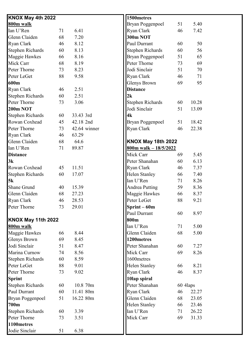| KNOX May 4th 2022         |    |              | 1500metres                |          |       |  |
|---------------------------|----|--------------|---------------------------|----------|-------|--|
| 800m walk                 |    |              | Bryan Poggenpoel          | 51       | 5.40  |  |
| Ian U'Ren                 | 71 | 6.41         | Ryan Clark                | 46       | 7.42  |  |
| Glenn Claiden             | 68 | 7.20         | <b>300m NOT</b>           |          |       |  |
| Ryan Clark                | 46 | 8.12         | Paul Durrant              | 60       | 50    |  |
| <b>Stephen Richards</b>   | 60 | 8.13         | <b>Stephen Richards</b>   | 60       | 56    |  |
| Maggie Hawkes             | 66 | 8.16         | <b>Bryan Poggenpoel</b>   | 51       | 65    |  |
| Mick Carr                 | 68 | 8.19         | Peter Thorne              | 73       | 69    |  |
| Peter Thorne              | 73 | 8.23         | Jodi Sinclair             | 51       | 70    |  |
| Peter LeGet               | 88 | 9.58         | Ryan Clark                | 46       | 71    |  |
| 600m                      |    |              | <b>Glenys Brown</b>       | 69       | 95    |  |
| Ryan Clark                | 46 | 2.51         | <b>Distance</b>           |          |       |  |
| <b>Stephen Richards</b>   | 60 | 2.51         | 2k                        |          |       |  |
| Peter Thorne              | 73 | 3.06         | <b>Stephen Richards</b>   | 60       | 10.28 |  |
| <b>200m NOT</b>           |    |              | Jodi Sinclair             | 51       | 13.09 |  |
| <b>Stephen Richards</b>   | 60 | 33.43 3rd    | 4k                        |          |       |  |
| Rowan Coxhead             | 45 | 42.18 2nd    | <b>Bryan Poggenpoel</b>   | 51       | 18.42 |  |
| Peter Thorne              | 73 | 42.64 winner | Ryan Clark                | 46       | 22.38 |  |
| Ryan Clark                | 46 | 63.29        |                           |          |       |  |
| Glenn Claiden             | 68 | 64.6         | <b>KNOX May 18th 2022</b> |          |       |  |
| Ian U'Ren                 | 71 | 89.87        | 800m walk $-18/5/2022$    |          |       |  |
| <b>Distance</b>           |    |              | Mick Carr                 | 69       | 5.45  |  |
| 3k                        |    |              | Peter Shanahan            | 60       | 6.13  |  |
| Rowan Coxhead             | 45 | 11.51        | Ryan Clark                | 46       | 7.37  |  |
| <b>Stephen Richards</b>   | 60 | 17.07        | Helen Stanley             | 66       | 7.40  |  |
| 5k                        |    |              | Ian U'Ren                 | 71       | 8.26  |  |
| Shane Grund               | 40 | 15.39        | <b>Andrea Putting</b>     | 59       | 8.36  |  |
| Glenn Claiden             | 68 | 27.23        | Maggie Hawkes             | 66       | 8.37  |  |
| <b>Ryan Clark</b>         | 46 | 28.53        | Peter LeGet               | 88       | 9.21  |  |
| Peter Thorne              | 73 | 29.01        | $Sprint - 60m$            |          |       |  |
|                           |    |              | Paul Durrant              | 60       | 8.97  |  |
| <b>KNOX May 11th 2022</b> |    |              | 800m                      |          |       |  |
| 800m walk                 |    |              | Ian U'Ren                 | 71       | 5.00  |  |
| Maggie Hawkes             | 66 | 8.44         | Glenn Claiden             | 68       | 5.00  |  |
| <b>Glenys Brown</b>       | 69 | 8.45         | 1200metres                |          |       |  |
| Jodi Sinclair             | 51 | 8.47         | Peter Shanahan            | 60       | 7.27  |  |
| Marina Curnow             | 74 | 8.56         | Mick Carr                 | 69       | 8.26  |  |
| <b>Stephen Richards</b>   | 60 | 8.59         | 1600metres                |          |       |  |
| Peter LeGet               | 88 | 9.01         | Helen Stanley             | 66       | 8.21  |  |
| Peter Thorne              | 73 | 9.02         | Ryan Clark                | 46       | 8.37  |  |
| <b>Sprint</b>             |    |              | 10lap spiral              |          |       |  |
| <b>Stephen Richards</b>   | 60 | 10.8 70m     | Peter Shanahan            | 60 4laps |       |  |
| Paul Durrant              | 60 | 11.41 80m    | Ryan Clark                | 46       | 22.27 |  |
| Bryan Poggenpoel          | 51 | 16.22 80m    | Glenn Claiden             | 68       | 23.05 |  |
| 700m                      |    |              | Helen Stanley             | 66       | 23.46 |  |
| <b>Stephen Richards</b>   | 60 | 3.39         | Ian U'Ren                 | 71       | 26.22 |  |
| Peter Thorne              | 73 | 3.51         | Mick Carr                 | 69       | 31.33 |  |
| 1100metres                |    |              |                           |          |       |  |
| Jodie Sinclair            | 51 | 6.38         |                           |          |       |  |
|                           |    |              |                           |          |       |  |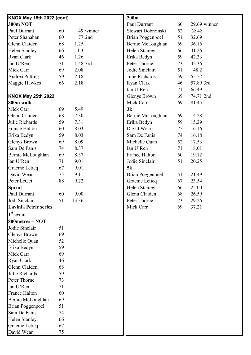| <b>KNOX May 18th 2022 (cont)</b> |    |           | 200m                    |    |              |
|----------------------------------|----|-----------|-------------------------|----|--------------|
| <b>300m NOT</b>                  |    |           | Paul Durrant            | 60 | 29.69 winner |
| Paul Durrant                     | 60 | 49 winner | Stewart Dobrzinski      | 52 | 32.42        |
| Peter Shanahan                   | 60 | 77 2nd    | <b>Brian Poggenpoel</b> | 51 | 32.69        |
| Glenn Claiden                    | 68 | 1.25      | Bernie McLoughlan       | 69 | 36.16        |
| <b>Helen Stanley</b>             | 66 | 1.3       | Helen Stanley           | 66 | 41.26        |
| Ryan Clark                       | 46 | 1.26      | Erika Bedyn             | 59 | 42.33        |
| Ian U'Ren                        | 71 | 1.48 3rd  | Peter Thorne            | 73 | 42.36        |
| Mick Carr                        | 69 | 2.08      | Jodie Sinclair          | 51 | 48.2         |
| Andrea Putting                   | 59 | 2.18      | Julie Richards          | 59 | 55.52        |
| Maggie Hawkes                    | 66 | 2.18      | Ryan Clark              | 46 | 57.89 3rd    |
|                                  |    |           | Ian U'Ren               | 71 | 66.49        |
| <b>KNOX May 25th 2022</b>        |    |           | <b>Glenys Brown</b>     | 69 | 74.71 2nd    |
| 800m walk                        |    |           | Mick Carr               | 69 | 81.45        |
| Mick Carr                        | 69 | 5.49      | 3k                      |    |              |
| Glenn Claiden                    | 68 | 7.30      | Bernie McLoughlan       | 69 | 14.28        |
| Julie Richards                   | 59 | 7.31      | Erika Bedyn             | 59 | 15.29        |
| <b>France Halton</b>             | 60 | 8.03      | David Wear              | 75 | 16.16        |
| Erika Bedyn                      | 59 | 8.03      | Sam De Fanis            | 74 | 16.18        |
| Glenys Brown                     | 69 | 8.09      | Michelle Quan           | 52 | 17.53        |
| Sam De Fanis                     | 74 | 8.37      | Ian U'Ren               | 71 | 18.01        |
| Bernie McLoughlan                | 69 | 8.37      | France Halton           | 60 | 19.12        |
| Ian U'Ren                        | 71 | 9.01      | Jodie Sinclair          | 51 | 20.25        |
| Graeme Leticq                    | 67 | 9.01      | 5k                      |    |              |
| David Wear                       | 75 | 9.11      | <b>Brian Poggenpoel</b> | 51 | 21.49        |
| Peter LeGet                      | 88 | 9.22      | Graeme Leticq           | 67 | 23.54        |
| <b>Sprint</b>                    |    |           | <b>Helen Stanley</b>    | 66 | 25.00        |
| Paul Durrant                     | 60 | 9.00      | Glenn Claiden           | 68 | 26.59        |
| Jodi Sinclair                    | 51 | 13.36     | Peter Thorne            | 73 | 29.26        |
| <b>Lavinia Petrie series</b>     |    |           | Mick Carr               | 69 | 37.21        |
| $1st$ event                      |    |           |                         |    |              |
| 800metres - NOT                  |    |           |                         |    |              |
| Jodie Sinclair                   | 51 |           |                         |    |              |
| Glenys Brown                     | 69 |           |                         |    |              |
| Michelle Quan                    | 52 |           |                         |    |              |
| Erika Bedyn                      | 59 |           |                         |    |              |
| Mick Carr                        | 69 |           |                         |    |              |
|                                  |    |           |                         |    |              |
| Ryan Clark                       | 46 |           |                         |    |              |
| Glenn Claiden                    | 68 |           |                         |    |              |
| Julie Richards                   | 59 |           |                         |    |              |
| Peter Thorne                     | 73 |           |                         |    |              |
| Ian U'Ren                        | 71 |           |                         |    |              |
| <b>France Halton</b>             | 60 |           |                         |    |              |
| Bernie McLoughlan                | 69 |           |                         |    |              |
| <b>Brian Poggenpoel</b>          | 51 |           |                         |    |              |
| Sam De Fanis                     | 74 |           |                         |    |              |
| Helen Stanley                    | 66 |           |                         |    |              |
| Graeme Leticq                    | 67 |           |                         |    |              |
| David Wear                       | 75 |           |                         |    |              |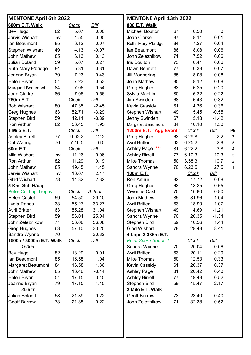| <b>MENTONE April 6th 2022</b> |     |              |             | <b>MENTONE April 13th 2022</b> |    |              |                |                |
|-------------------------------|-----|--------------|-------------|--------------------------------|----|--------------|----------------|----------------|
| 600m E.T. Walk                |     | <b>Clock</b> | <b>Diff</b> | 800 E.T. Walk                  |    |              |                |                |
| <b>Bev Hugo</b>               | 82  | 5.07         | 0.00        | <b>Michael Boulton</b>         | 67 | 6.50         | $\overline{0}$ |                |
| Jarvis Wishart                | Inv | 4.55         | 0.00        | Joan Clarke                    | 87 | 8.11         | 0.01           |                |
| lan Beaumont                  | 85  | 6.12         | 0.07        | Ruth -Mary F'bridge            | 84 | 7.27         | $-0.04$        |                |
| <b>Stephen Wishart</b>        | 49  | 4.13         | $-0.07$     | lan Beaumont                   | 86 | 8.08         | 0.06           |                |
| <b>John Mathew</b>            | 85  | 6.13         | 0.13        | John Zeleznikow                | 71 | 7.52         | 0.06           |                |
| <b>Julian Boland</b>          | 59  | 5.07         | 0.27        | <b>Iris Boulton</b>            | 73 | 6.41         | 0.06           |                |
| Ruth-Mary F'bridge            | 84  | 5.31         | 0.31        | Dawn Bennett                   | 77 | 6.38         | 0.07           |                |
| Jeanne Bryan                  | 79  | 7.23         | 0.43        | Jill Mannering                 | 85 | 8.08         | 0.08           |                |
| <b>Helen Bryan</b>            | 51  | 7.23         | 0.53        | <b>John Mathew</b>             | 85 | 8.12         | $-0.08$        |                |
| Margaret Beaumont             | 84  | 7.06         | 0.54        | <b>Greg Hughes</b>             | 63 | 6.25         | 0.20           |                |
| Joan Clarke                   | 86  | 7.06         | 0.56        | Sylvia Machin                  | 80 | 6.22         | 0.22           |                |
| 250m E.T.                     |     | <b>Clock</b> | Diff        | <b>Jim Swinden</b>             | 68 | 6.43         | $-0.32$        |                |
| <b>Bob Wishart</b>            | 80  | 47.35        | $-2.45$     | <b>Kevin Cassidy</b>           | 61 | 4.36         | 0.36           |                |
| <b>Greg Hughes</b>            | 63  | 52.71        | $-3.29$     | Stephen Wishart                | 49 | 5.45         | $-0.55$        |                |
| Stephen Bird                  | 59  | 42.11        | $-3.89$     | Jenny Swinden                  | 67 | 5.18         | $-1.42$        |                |
| Ron Arthur                    | 82  | 56.45        | 4.95        | Margaret Beaumont              | 84 | 10.10        | 1.50           |                |
| 1 Mile E.T.                   |     | <b>Clock</b> | <b>Diff</b> | 1200m E.T. "Agg Event"         |    | <b>Clock</b> | Diff           | $Pts$          |
| <b>Ashley Birrell</b>         | 77  | 9.02.2       | 12.2        | <b>Greg Hughes</b>             | 63 | 6.29.8       | 2.2            | $\overline{7}$ |
| Col Waring                    | 76  | 7.46.5       | 46.5        | <b>Avril Britter</b>           | 63 | 6.25.2       | 2.8            | 5              |
| 60m E.T.                      |     | <b>Clock</b> | <b>Diff</b> | Ashley Page ***                | 81 | 6.22.2       | 3.8            | $\overline{4}$ |
| Mila Wishart                  | Inv | 11.26        | 0.06        | <b>Ashley Birrell</b>          | 77 | 6.10.3       | 10.3           | 3              |
| <b>Ron Arthur</b>             | 82  | 11.29        | 0.19        | <b>Mike Thomas</b>             | 50 | 3.58.3       | 10.7           | $\overline{2}$ |
| John Mathew                   | 85  | 19.45        | 1.45        | Sandra Wynne                   | 70 | 6.23.5       | 27.5           | $\mathbf{1}$   |
| Jarvis Wishart                | Inv | 13.67        | 2.17        | 100m E.T.                      |    | <b>Clock</b> | Diff           |                |
| <b>Glad Wishart</b>           | 78  | 14.32        | 2.32        | Ron Arthur                     | 82 | 17.72        | 0.08           |                |
| 5 Km Self H/cap               |     |              |             | Greg Hughes                    | 63 | 18.25        | $-0.65$        |                |
| <b>Peter Colthup Trophy</b>   |     | <b>Clock</b> | Actual      | Vivienne Cash                  | 70 | 16.80        | 0.80           |                |
| <b>Helen Castel</b>           | 59  | 54.50        | 29.10       | John Mathew                    | 85 | 31.96        | $-1.04$        |                |
| Lydia Rands                   | 33  | 55.27        | 33.27       | <b>Avril Britter</b>           | 63 | 18.90        | $-1.07$        |                |
| <b>Avril Britter</b>          | 63  | 55.28        | 31.04       | Stephen Wishart                | 49 | 14.69        | $-1.21$        |                |
| <b>Stephen Bird</b>           | 59  | 56.04        | 25.04       | Sandra Wynne                   | 70 | 20.35        | $-1.34$        |                |
| John Zeleznikow               | 71  | 56.08        | 56.08       | Stephen Bird                   | 59 | 16.56        | 1.44           |                |
| Greg Hughes                   | 63  | 57.10        | 33.20       | <b>Glad Wishart</b>            | 78 | 28.43        | 8.41           |                |
| Sandra Wynne                  | 70  |              | 30.32       | 4 Laps 3.336m E.T.             |    |              |                |                |
| 1500m/ 3000m E.T. Walk        |     | <b>Clock</b> | Diff        | <b>Point Score Series 1</b>    |    | <b>Clock</b> | <b>Diff</b>    |                |
| 1500m                         |     |              |             | Sandra Wynne                   | 70 | 20.04        | 0.06           |                |
| <b>Bev Hugo</b>               | 82  | 13.29        | $-0.01$     | <b>Avril Britter</b>           | 63 | 20.11        | 0.29           |                |
| lan Beaumont                  | 85  | 16.58        | 1.04        | Mike Thomas                    | 50 | 12.53        | 0.33           |                |
| <b>Margaret Beaumont</b>      | 84  | 16.58        | 1.36        | Kevin Cassidy                  | 61 | 20.37        | 0.37           |                |
| John Mathew                   | 85  | 16.46        | $-3.14$     | <b>Ashley Page</b>             | 81 | 20.42        | 0.40           |                |
| <b>Helen Bryan</b>            | 51  | 17.15        | $-3.45$     | <b>Ashley Birrell</b>          | 77 | 19.48        | 0.52           |                |
| Jeanne Bryan                  | 79  | 17.15        | $-4.15$     | Stephen Bird                   | 59 | 45.47        | 2.17           |                |
| 3000m                         |     |              |             | 2 Mile E.T. Walk               |    |              |                |                |
| <b>Julian Boland</b>          | 58  | 21.39        | $-0.22$     | <b>Geoff Barrow</b>            | 73 | 23.40        | 0.40           |                |
| <b>Geoff Barrow</b>           | 73  | 21.38        | $-0.22$     | John Zeleznikow                | 71 | 32.38        | $-0.52$        |                |
|                               |     |              |             |                                |    |              |                |                |
|                               |     |              |             |                                |    |              |                |                |
|                               |     |              |             |                                |    |              |                |                |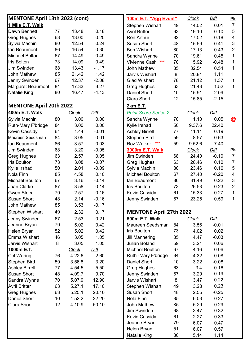| <b>MENTONE April 13th 2022 (cont)</b> |    |              |             | 100m E.T. "Agg Event"          |    | <b>Clock</b> | <u>Diff</u> | Pts                     |
|---------------------------------------|----|--------------|-------------|--------------------------------|----|--------------|-------------|-------------------------|
| 1 Mile E.T. Walk                      |    |              |             | Stephen Wishart                | 49 | 14.02        | 0.01        | $\overline{7}$          |
| Dawn Bennett                          | 77 | 13.48        | 0.18        | <b>Avril Britter</b>           | 63 | 19.10        | $-0.10$     | 5                       |
| <b>Greg Hughes</b>                    | 63 | 13.00        | $-0.20$     | Ron Arthur                     | 82 | 17.52        | $-0.18$     | $\overline{4}$          |
| Sylvia Machin                         | 80 | 12.54        | 0.24        | <b>Susan Short</b>             | 48 | 15.59        | $-0.41$     | 3                       |
| lan Beaumont                          | 86 | 16.54        | 0.30        | <b>Bob Wishart</b>             | 80 | 17.13        | 0.43        | $\overline{2}$          |
| <b>Michael Bolton</b>                 | 67 | 14.49        | 0.49        | Sandra Wynne                   | 70 | 19.61        | 0.45        | 1                       |
| <b>Iris Bolton</b>                    | 73 | 14.09        | 0.49        | Vivienne Cash ***              | 70 | 15.92        | $-0.48$     | $\mathbf 1$             |
| Jim Swinden                           | 68 | 13.43        | $-1.17$     | John Mathew                    | 85 | 32.54        | 0.54        | 1                       |
| <b>John Mathew</b>                    | 85 | 21.42        | 1.42        | Jarvis Wishart                 | 8  | 20.84        | 1.11        |                         |
| Jenny Swinden                         | 67 | 12.37        | $-2.08$     | <b>Glad Wishart</b>            | 78 | 21.12        | 1.37        | $\mathbf{1}$            |
| Margaret Beaumont                     | 84 | 17.33        | $-3.27$     | Greg Hughes                    | 63 | 21.43        | 1.52        | 1                       |
| Natalie King                          | 80 | 16.47        | $-4.13$     | <b>Daniel Short</b>            | 10 | 15.91        | $-2.09$     |                         |
|                                       |    |              |             | Ciara Short                    | 12 | 15.85        | $-2.15$     |                         |
| <b>MENTONE April 20th 2022</b>        |    |              |             | <b>2km E.T.</b>                |    |              |             |                         |
| 400m E.T. Walk                        |    | <b>Clock</b> | <b>Diff</b> | <b>Point Score Series 2</b>    |    | <b>Clock</b> | <b>Diff</b> |                         |
| Sylvia Machin                         | 80 | 3.00         | 0.00        | Sandra Wynne                   | 70 | 11.10        | 0.05        | $\bm{\mathcal{Q}}$      |
| <b>Ruth-Mary F'bridge</b>             | 84 | 3.00         | 0.00        | Kylie Irshad                   | 50 | 9.37.6       | 22.40       |                         |
| <b>Kevin Cassidy</b>                  | 61 | 1.44         | $-0.01$     | <b>Ashley Birrell</b>          | 77 | 11.11        | 0.19        |                         |
| Maureen Seedsman                      | 84 | 3.05         | 0.01        | Stephen Bird                   | 59 | 8.57         | 0.63        |                         |
| lan Beaumont                          | 86 | 3.57         | $-0.03$     | Roz Walker<br>$***$            | 59 | 9.52.6       | 7.40        |                         |
| Jim Swinden                           | 68 | 3.20         | $-0.05$     | <b>3000m E.T. Walk</b>         |    | <b>Clock</b> | <u>Diff</u> | $P$ ts                  |
| <b>Greg Hughes</b>                    | 63 | 2.57         | 0.05        | Jim Swinden                    | 68 | 24.40        | $-0.10$     | $\overline{7}$          |
| Iris Boulton                          | 73 | 3.08         | $-0.07$     | <b>Greg Hughes</b>             | 63 | 26.46        | 0.10        | $\overline{7}$          |
| Kylie Irshad                          | 50 | 2.01         | $-0.09$     | Sylvia Machin                  | 80 | 23.46        | 0.16        | 5                       |
| Nola Finn                             | 85 | 4.58         | 0.10        | <b>Michael Boulton</b>         | 67 | 27.40        | $-0.20$     | $\overline{\mathbf{4}}$ |
| <b>Michael Boulton</b>                | 67 | 3.16         | $-0.14$     | lan Beaumont                   | 86 | 31.49        | 0.22        | 3                       |
| Joan Clarke                           | 87 | 3.58         | 0.14        | Iris Boulton                   | 73 | 26.53        | 0.23        | $\overline{2}$          |
| <b>Gwen Steed</b>                     | 79 | 2.57         | $-0.16$     | <b>Kevin Cassidy</b>           | 61 | 15.33        | 0.27        | 1                       |
| <b>Susan Short</b>                    | 48 | 2.14         | $-0.16$     | Jenny Swinden                  | 67 | 23.25        | 0.59        | 1                       |
| <b>John Mathew</b>                    | 85 | 3.53         | $-0.17$     |                                |    |              |             |                         |
| <b>Stephen Wishart</b>                | 49 | 2.32         | 0.17        | <b>MENTONE April 27th 2022</b> |    |              |             |                         |
| Jenny Swinden                         | 67 | 2.53         | $-0.21$     | 500m E.T. Walk                 |    | <b>Clock</b> | <u>Diff</u> |                         |
| Jeanne Bryan                          | 79 | 5.02         | 0.42        | Maureen Seedsman               | 84 | 3.56         | $-0.01$     |                         |
| Helen Bryan                           | 52 | 5.02         | 0.42        | Iris Boulton                   | 73 | 4.02         | 0.02        |                         |
| Emma Wishart                          | 46 | 3.05         | 1.05        | <b>Jill Mannering</b>          | 85 | 4.47         | $-0.03$     |                         |
| Jarvis Wishart                        | 8  | 3.05         | 1.05        | Julian Boland                  | 59 | 3.21         | 0.06        |                         |
| 1000m E.T.                            |    | <b>Clock</b> | Diff        | <b>Michael Boulton</b>         | 67 | 4.16         | 0.06        |                         |
| Col Waring                            | 76 | 4.22.6       | 2.60        | Ruth -Mary F'bridge            | 84 | 4.32         | $-0.08$     |                         |
| Stephen Bird                          | 59 | 3.56.8       | 3.20        | Daniel Short                   | 10 | 3.22         | $-0.08$     |                         |
| <b>Ashley Birrell</b>                 | 77 | 4.54.5       | 5.50        | <b>Greg Hughes</b>             | 63 | 3.4          | 0.16        |                         |
| <b>Susan Short</b>                    | 48 | 4.09.7       | 9.70        | Jenny Swinden                  | 67 | 3.29         | 0.19        |                         |
| Sandra Wynne                          | 70 | 5.07.9       | 12.90       | Jarvis Wishart                 | 8  | 3.47         | 0.22        |                         |
| <b>Avril Britter</b>                  | 63 | 5.27.1       | 17.10       | Stephen Wishart                | 49 | 3.28         | 0.23        |                         |
| Greg Hughes                           | 63 | 5.25.1       | 20.10       | <b>Susan Short</b>             | 48 | 2.55         | $-0.25$     |                         |
| Daniel Short                          | 10 | 4.52.2       | 22.20       | Nola Finn                      | 85 | 6.03         | $-0.27$     |                         |
| Ciara Short                           | 12 | 4.10.9       | 50.10       | John Mathew                    | 85 | 5.29         | 0.29        |                         |
|                                       |    |              |             | Jim Swinden                    | 68 | 3.47         | 0.32        |                         |
|                                       |    |              |             | Kevin Cassidy                  | 61 | 2.27         | $-0.33$     |                         |
|                                       |    |              |             | Jeanne Bryan                   | 79 | 6.07         | 0.47        |                         |
|                                       |    |              |             | Helen Bryan                    | 51 | 6.07         | 0.57        |                         |
|                                       |    |              |             | <b>Natalie King</b>            | 80 | 5.14         | 1.14        |                         |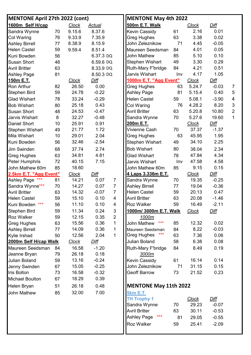| <b>MENTONE April 27th 2022 (cont)</b> |    |              |               |                | <b>MENTONE May 4th 2022</b>  |     |              |             |                |
|---------------------------------------|----|--------------|---------------|----------------|------------------------------|-----|--------------|-------------|----------------|
| 1600m Self H/cap                      |    | <b>Clock</b> | <u>Actual</u> |                | 500m E.T. Walk               |     | <b>Clock</b> | <u>Diff</u> |                |
| Sandra Wynne                          | 70 | 9.15.6       | 8.37.6        |                | <b>Kevin Cassidy</b>         | 61  | 2.16         | 0.01        |                |
| Col Waring                            | 76 | 9.33.9       | 7.35.9        |                | <b>Greg Hughes</b>           | 63  | 3.38         | 0.02        |                |
| <b>Ashley Birrell</b>                 | 77 | 8.38.9       | 8.15.9        |                | John Zeleznikow              | 71  | 4.45         | $-0.05$     |                |
| <b>Helen Castel</b>                   | 59 | 9.59.4       | 8.51.4        |                | Maureen Seedsman             | 84  | 4.01         | 0.05        |                |
| Kuni Bowden                           | 56 |              | 6.37.3 DQ     |                | John Mathew                  | 85  | 5.10         | 0.10        |                |
| <b>Susan Short</b>                    | 48 |              | 6.59.6 DQ     |                | Stephen Wishart              | 49  | 3.30         | 0.29        |                |
| <b>Avril Britter</b>                  | 63 |              | 8.33.9 DQ     |                | Ruth-Mary F'bridge           | 84  | 4.21         | 0.51        |                |
| <b>Ashley Page</b>                    | 81 |              | 8.50.3 DQ     |                | Jarvis Wishart               | Inv | 4.17         | 1.05        |                |
| <u>150m E.T.</u>                      |    | <b>Clock</b> | Diff          |                | 1000m E.T. "Agg Event"       |     | <b>Clock</b> | Diff        |                |
| Ron Arthur                            | 82 | 26.50        | 0.00          |                | <b>Greg Hughes</b>           | 63  | 5.24.7       | $-0.03$     | $\overline{7}$ |
| Stephen Bird                          | 59 | 24.78        | $-0.22$       |                | <b>Ashley Page</b>           | 81  | 5.15.4       | 0.40        | 5              |
| <b>Glad Wishart</b>                   | 78 | 33.24        | $-0.29$       |                | <b>Helen Castel</b>          | 59  | 5.08.1       | $-3.90$     | $\overline{4}$ |
| <b>Bob Wishart</b>                    | 80 | 25.18        | 0.43          |                | Col Waring                   | 76  | 4.28.2       | 8.20        | 3              |
| <b>Susan Short</b>                    | 48 | 24.53        | $-0.47$       |                | <b>Avril Britter</b>         | 63  | 5.20.8       | 10.80       | $\overline{2}$ |
| Jarvis Wishart                        | 8  | 32.27        | $-0.48$       |                | Sandra Wynne                 | 70  | 5.27.6       | 19.60       | 1              |
| <b>Daniel Short</b>                   | 10 | 25.91        | 0.91          |                | 200m E.T.                    |     | <b>Clock</b> | Diff        |                |
| <b>Stephen Wishart</b>                | 49 | 21.77        | 1.72          |                | Vivienne Cash                | 70  | 37.37        | $-1.37$     |                |
| <b>Mila Wishart</b>                   | 10 | 29.01        | 2.04          |                | <b>Greg Hughes</b>           | 63  | 45.95        | 1.95        |                |
| Kuni Bowden                           | 56 | 32.46        | $-2.54$       |                | Stephen Wishart              | 49  | 34.10        | 2.25        |                |
| Jim Swinden                           | 68 | 37.74        | 2.74          |                | <b>Bob Wishart</b>           | 80  | 38.04        | 2.34        |                |
| Greg Hughes                           | 63 | 34.81        | 4.81          |                | <b>Glad Wishart</b>          | 78  | 47.84        | 4.34        |                |
| <b>Peter Humphris</b>                 | 72 | 40.15        | 7.15          |                | Jarvis Wishart               | Inv | 47.58        | 4.58        |                |
| John Mathew 60m                       | 85 | 18.60        |               |                | John Mathew 60m              | 85  | 9.15         | 0.15        |                |
| 2.5km E.T. "Agg Event"                |    | <b>Clock</b> | Diff          |                | 4 Laps 3.336m E.T.           |     | <b>Clock</b> | Diff        |                |
| Ashley Page ***                       | 81 | 14.21        | 0.07          | $\overline{7}$ | Sandra Wynne                 | 70  | 19.35        | $-0.25$     |                |
| Sandra Wynne***                       | 70 | 14.27        | 0.07          | $\overline{7}$ | <b>Ashley Birrell</b>        | 77  | 19.04        | $-0.36$     |                |
| <b>Avril Britter</b>                  | 63 | 14.32        | $-0.07$       | $\overline{7}$ | <b>Helen Castel</b>          | 59  | 20.13        | 0.47        |                |
| <b>Helen Castel</b>                   | 59 | 15.10        | 0.10          | $\overline{4}$ | <b>Avril Britter</b>         | 63  | 20.08        | $-1.46$     |                |
| ***<br>Kuni Bowden                    | 56 | 11.10        | 0.10          | 4              | <b>Roz Walker</b>            | 59  | 16.49        | $-2.11$     |                |
| <b>Stephen Bird</b>                   | 59 | 11.34        | 0.24          | $\sqrt{3}$     | 1000m/ 3000m E.T. Walk       |     | <b>Clock</b> | Diff        |                |
| <b>Roz Walker</b>                     | 59 | 12.15        | 0.35          | $\overline{2}$ | <u>1000m</u>                 |     |              |             |                |
| <b>Greg Hughes</b>                    | 63 | 15.56        | 0.36          | $\mathbf{1}$   | $***$<br>John Mathew         | 85  | 12.32        | 0.02        |                |
| <b>Ashley Birrell</b>                 | 77 | 14.09        | 0.36          | 1              | Maureen Seedsman             | 84  | 8.22         | $-0.03$     |                |
| Kylie Irshad                          | 50 | 12.56        | 2.04          | $\mathbf{1}$   | $***$<br><b>Greg Hughes</b>  | 63  | 7.36         | 0.06        |                |
| 2000m Self H/cap Walk                 |    | <u>Clock</u> | <u>Diff</u>   |                | Julian Boland                | 58  | 6.38         | 0.08        |                |
| Maureen Seedsman                      | 84 | 16.58        | $-1.20$       |                | Ruth-Mary F'bridge           | 84  | 8.49         | 0.19        |                |
| Jeanne Bryan                          | 79 | 26.18        | 0.18          |                | 3000m                        |     |              |             |                |
| <b>Julian Boland</b>                  | 59 | 13.16        | $-0.24$       |                | Kevin Cassidy                | 61  | 16.14        | 0.14        |                |
| Jenny Swinden                         | 67 | 15.05        | $-0.25$       |                | John Zeleznikow              | 71  | 31.15        | 0.15        |                |
| <b>Iris Bolton</b>                    | 73 | 16.58        | $-0.32$       |                | <b>Geoff Barrow</b>          | 73  | 21.52        | 0.23        |                |
| <b>Michael Boulton</b>                | 67 | 18.29        | 0.39          |                |                              |     |              |             |                |
| Helen Bryan                           | 51 | 26.18        | 0.48          |                | <b>MENTONE May 11th 2022</b> |     |              |             |                |
| John Mathew                           | 85 | 32.00        | 7.00          |                | <b>5km E.T.</b>              |     |              |             |                |
|                                       |    |              |               |                | <b>TH Trophy 1</b>           |     | <b>Clock</b> | <u>Diff</u> |                |
|                                       |    |              |               |                | Sandra Wynne                 | 70  | 29.23        | $-0.07$     |                |
|                                       |    |              |               |                | <b>Avril Britter</b>         | 63  | 30.11        | $-0.53$     |                |
|                                       |    |              |               |                | $***$<br><b>Ashley Page</b>  | 81  | 29.05        | $-0.55$     |                |
|                                       |    |              |               |                | Roz Walker                   | 59  | 25.41        | $-2.09$     |                |
|                                       |    |              |               |                |                              |     |              |             |                |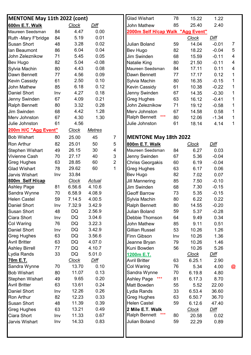| MENTONE May 11th 2022 (cont) |     |              |               |                | <b>Glad Wishart</b>               | 78  | 15.22        | 1.22        |                         |
|------------------------------|-----|--------------|---------------|----------------|-----------------------------------|-----|--------------|-------------|-------------------------|
| 600m E.T. Walk               |     | <b>Clock</b> | Diff          |                | <b>John Mathew</b>                | 85  | 25.40        | 2.40        |                         |
| Maureen Seedsman             | 84  | 4.47         | 0.00          |                | 2000m Self H/cap Walk "Agg Event" |     |              |             |                         |
| Ruth -Mary F'bridge          | 84  | 5.19         | 0.01          |                |                                   |     | <b>Clock</b> | <u>Diff</u> |                         |
| <b>Susan Short</b>           | 48  | 3.28         | 0.02          |                | <b>Julian Boland</b>              | 59  | 14.04        | $-0.01$     | $\overline{7}$          |
| lan Beaumont                 | 86  | 6.04         | 0.04          |                | Bev Hugo                          | 82  | 18.22        | $-0.04$     | 5                       |
| John Zeleznikow              | 71  | 5.45         | 0.05          |                | Jim Swinden                       | 68  | 15.59        | $-0.11$     | $\overline{\mathbf{4}}$ |
| <b>Bev Hugo</b>              | 82  | 5.04         | $-0.08$       |                | Natalie King                      | 80  | 21.50        | $-0.11$     | $\overline{\mathbf{4}}$ |
| Sylvia Machin                | 80  | 4.43         | 0.08          |                | Maureen Seedsman                  | 84  | 17.11        | 0.11        | $\overline{\mathbf{4}}$ |
| Dawn Bennett                 | 77  | 4.56         | 0.09          |                | Dawn Bennett                      | 77  | 17.17        | 0.12        | 1                       |
| <b>Kevin Cassidy</b>         | 61  | 2.50         | 0.10          |                | Sylvia Machin                     | 80  | 16.35        | $-0.15$     | 1                       |
| <b>John Mathew</b>           | 85  | 6.18         | 0.12          |                | <b>Kevin Cassidy</b>              | 61  | 10.38        | $-0.22$     | $\mathbf 1$             |
| <b>Daniel Short</b>          | Inv | 4.27         | 0.18          |                | Jenny Swinden                     | 67  | 14.35        | $-0.30$     | $\mathbf 1$             |
| Jenny Swinden                | 67  | 4.09         | 0.21          |                | <b>Greg Hughes</b>                | 63  | 16.12        | $-0.41$     | 1                       |
| <b>Ralph Bennett</b>         | 80  | 3.32         | 0.28          |                | John Zeleznikow                   | 71  | 19.12        | $-0.58$     | 1                       |
| <b>Jim Swinden</b>           | 68  | 4.42         | 1.28          |                | Merv Johnston                     | 67  | 14.58        | 0.58        | 1                       |
| Merv Johnston                | 67  | 4.30         | 1.30          |                | ***<br><b>Ralph Bennett</b>       | 80  | 12.06        | $-1.34$     | 1                       |
| Julie Johnston               | 61  | 4.56         |               |                | Julie Johnston                    | 61  | 18.14        | 4.14        | $\mathbf 1$             |
| 200m H/C "Agg Event"         |     | <b>Clock</b> | <b>Metres</b> |                |                                   |     |              |             |                         |
| <b>Bob Wishart</b>           | 80  | 25.00        | 45            | $\overline{7}$ | <b>MENTONE May 18th 2022</b>      |     |              |             |                         |
| <b>Ron Arthur</b>            | 82  | 25.01        | 50            | 5              | 800m E.T. Walk                    |     | <u>Clock</u> | <b>Diff</b> |                         |
| <b>Stephen Wishart</b>       | 49  | 26.15        | 30            | 4              | Maureen Seedsman                  | 84  | 6.27         | 0.03        |                         |
| <b>Vivienne Cash</b>         | 70  | 27.17        | 40            | 3              | Jenny Swinden                     | 67  | 5.36         | $-0.04$     |                         |
| <b>Greg Hughes</b>           | 63  | 28.85        | 60            | $\overline{2}$ | <b>Chriss Georgakis</b>           | 60  | 6.19         | $-0.04$     |                         |
| <b>Glad Wishart</b>          | 78  | 29.62        | 60            | $\mathbf{1}$   | <b>Greg Hughes</b>                | 63  | 6.17         | 0.06        |                         |
| <b>Jarvis Wishart</b>        | Inv | 33.84        |               |                | Bev Hugo                          | 82  | 7.02         | 0.07        |                         |
| 800m Self H/cap              |     | <b>Clock</b> | <b>Actual</b> |                | <b>Jill Mannering</b>             | 85  | 7.50         | $-0.10$     |                         |
| <b>Ashley Page</b>           | 81  | 6.56.6       | 4.10.6        |                | <b>Jim Swinden</b>                | 68  | 7.30         | $-0.15$     |                         |
| Sandra Wynne                 | 70  | 6.58.9       | 4.08.9        |                | <b>Geoff Barrow</b>               | 73  | 5.35         | $-0.15$     |                         |
| <b>Helen Castel</b>          | 59  | 7.14.5       | 4.00.5        |                | Sylvia Machin                     | 80  | 6.22         | 0.22        |                         |
| <b>Daniel Short</b>          | Inv | 7.32.9       | 3.42.9        |                | <b>Ralph Bennett</b>              | 80  | 14.55        | $-0.20$     |                         |
| <b>Susan Short</b>           | 48  | DQ           | 2.56.9        |                | Julian Boland                     | 59  | 5.37         | $-0.28$     |                         |
| Ciara Short                  | Inv | <b>DQ</b>    | 3.04.6        |                | Debbie Thomson                    | 64  | 9.49         | 0.34        |                         |
| <b>Col Waring</b>            | 76  | DQ           | 3.22.3        |                | John Mathew                       | 85  | 9.11         | 0.51        |                         |
| <b>Daniel Short</b>          | Inv | DQ           | 3.42.9        |                | Gillian Russel                    | 53  | 10.26        | 1.26        |                         |
| <b>Greg Hughes</b>           | 63  | DQ           | 3.56.6        |                | Finn Gibson                       | Inv | 10.26        | 1.36        |                         |
| <b>Avril Britter</b>         | 63  | DQ           | 4.07.0        |                | Jeanne Bryan                      | 79  | 10.26        | 1.46        |                         |
| <b>Ashley Birrell</b>        | 77  | DQ           | 4.10.7        |                | Kuni Bowden                       | 56  | 10.26        | 5.26        |                         |
| Lydia Rands                  | 33  | DQ           | 5.01.0        |                | 1200m E.T.                        |     | <b>Clock</b> | <b>Diff</b> |                         |
| 70m E.T.                     |     | <u>Clock</u> | <b>Diff</b>   |                | <b>Avril Britter</b>              | 63  | 6.25.1       | 2.90        |                         |
| Sandra Wynne                 | 70  | 13.70        | 0.10          |                | Col Waring                        | 76  | 5.34         | 4.00        | $\circledR$             |
| <b>Bob Wishart</b>           | 80  | 11.07        | 0.13          |                | Sandra Wynne                      | 70  | 6.19.8       | 4.80        |                         |
| <b>Stephen Wishart</b>       | 49  | 9.65         | 0.20          |                | <b>Ashley Page</b><br>***         | 81  | 6.17.3       | 8.70        |                         |
| <b>Avril Britter</b>         | 63  | 13.61        | 0.24          |                | Matt Bowden                       | 55  | 5.52         | 22.00       |                         |
| <b>Daniel Short</b>          | Inv | 12.26        | 0.26          |                | Lydia Rands                       | 33  | 6.53.4       | 36.60       |                         |
| <b>Ron Arthur</b>            | 82  | 12.23        | 0.33          |                | <b>Greg Hughes</b>                | 63  | 6.50.7       | 36.70       |                         |
| <b>Susan Short</b>           | 48  | 11.39        | 0.39          |                | <b>Helen Castel</b>               | 59  | 6.12.6       | 47.40       |                         |
| <b>Greg Hughes</b>           | 63  | 13.21        | 0.49          |                | 2 Mile E.T. Walk                  |     | <b>Clock</b> | Diff        |                         |
| Ciara Short                  | Inv | 11.33        | 0.67          |                | $***$<br><b>Ralph Bennett</b>     | 80  | 20.58        | 0.02        |                         |
| Jarvis Wishart               | Inv | 14.33        | 0.83          |                | Julian Boland                     | 59  | 22.29        | 0.89        |                         |
|                              |     |              |               |                |                                   |     |              |             |                         |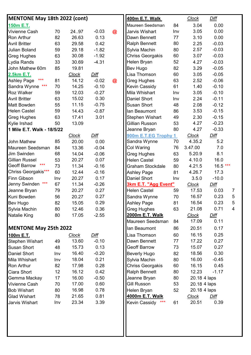| <b>MENTONE May 18th 2022 (cont)</b> |     |              |             |             | 400m E.T. Walk          |     | <b>Clock</b> | Diff        |                 |
|-------------------------------------|-----|--------------|-------------|-------------|-------------------------|-----|--------------|-------------|-----------------|
| 150m E.T.                           |     |              |             |             | Maureen Seedsman        | 84  | 3.04         | 0.00        |                 |
| Vivienne Cash                       | 70  | 2497         | $-0.03$     | $\circledR$ | Jarvis Wishart          | Inv | 3.05         | 0.00        |                 |
| Ron Arthur                          | 82  | 26.63        | 0.13        |             | Dawn Bennett            | 77  | 3.10         | 0.00        |                 |
| <b>Avril Britter</b>                | 63  | 29.58        | 0.42        |             | <b>Ralph Bennett</b>    | 80  | 2.25         | $-0.03$     |                 |
| <b>Julian Boland</b>                | 59  | 29.18        | $-1.82$     |             | Sylvia Machin           | 80  | 2.57         | $-0.03$     |                 |
| <b>Greg Hughes</b>                  | 63  | 30.08        | $-1.92$     |             | <b>Chriss Georgakis</b> | 60  | 3.07         | $-0.03$     |                 |
| Lydia Rands                         | 33  | 30.69        | $-4.31$     |             | Helen Bryan             | 52  | 4.27         | $-0.03$     |                 |
| John Mathew 60m                     | 85  | 19.81        |             |             | Bev Hugo                | 82  | 3.29         | $-0.05$     |                 |
| 2.5km E.T.                          |     | <b>Clock</b> | <b>Diff</b> |             | Lisa Thomson            | 60  | 3.05         | $-0.05$     |                 |
| $***$<br><b>Ashley Page</b>         | 81  | 14.12        | $-0.02$     | $\circledR$ | <b>Greg Hughes</b>      | 63  | 2.52         | $-0.06$     |                 |
| Sandra Wynne ***                    | 70  | 14.25        | $-0.10$     |             | <b>Kevin Cassidy</b>    | 61  | 1.40         | $-0.10$     |                 |
| <b>Roz Walker</b>                   | 59  | 12.03        | $-0.27$     |             | Mila Whishart           | Inv | 3.05         | $-0.10$     |                 |
| <b>Avril Britter</b>                | 63  | 15.02        | 0.30        |             | <b>Daniel Short</b>     | Inv | 2.24         | $-0.11$     |                 |
| <b>Matt Bowden</b>                  | 55  | 11.15        | $-0.75$     |             | <b>Susan Short</b>      | 48  | 2.08         | $-0.12$     |                 |
| <b>Helen Castel</b>                 | 59  | 14.43        | $-0.87$     |             | Ian Beaumont            | 86  | 3.53         | $-0.15$     |                 |
| <b>Greg Hughes</b>                  | 63  | 17.41        | 3.01        |             | Stephen Wishart         | 49  | 2.30         | $-0.15$     |                 |
| Kylie Irshad                        | 50  | 13.09        |             |             | Gillian Russon          | 53  | 4.27         | $-0.23$     |                 |
| 1 Mile E.T. Walk - 18/5/22          |     |              |             |             | Jeanne Bryan            | 80  | 4.27         | $-0.33$     |                 |
|                                     |     | <b>Clock</b> | Diff        |             | 900m E.T.EG Trophy 1    |     | <b>Clock</b> | Diff        |                 |
| <b>John Mathew</b>                  | 85  | 20.00        | 0.00        |             | Sandra Wynne            | 70  | 4.35.2       | 5.2         |                 |
| Maureen Seedsman                    | 84  | 13.36        | $-0.04$     |             | Col Waring              | 76  | 3.47.00      | 7.0         |                 |
| Jim Swinden                         | 68  | 14.04        | $-0.06$     |             | <b>Greg Hughes</b>      | 63  | 5.20.9       | 8.1         |                 |
| <b>Gillian Russel</b>               | 53  | 20.27        | 0.07        |             | <b>Helen Castel</b>     | 59  | 4.10.0       | 16.0        |                 |
| $***$<br><b>Geoff Barrow</b>        | 73  | 11.34        | $-0.16$     |             | Graham Stockdale        | 80  | 4.21.5       | $16.5***$   |                 |
| Chriss Georgakis***                 | 60  | 12.44        | $-0.16$     |             | <b>Ashley Page</b>      | 81  | 4.26.7       | 17.3        |                 |
| <b>Finn Gibson</b>                  | Inv | 20.27        | 0.17        |             | <b>Daniel Short</b>     | Inv | 3.5.0        | $-10.0$     |                 |
| $***$<br>Jenny Swinden              | 67  | 11.34        | $-0.26$     |             | 3km E.T. "Agg Event"    |     | <b>Clock</b> | Diff        |                 |
| Jeanne Bryan                        | 79  | 20.27        | 0.27        |             | <b>Helen Castel</b>     | 59  | 17.53        | 0.03        | $\overline{7}$  |
| Kuni Bowden                         | 56  | 20.27        | 0.27        |             | Sandra Wynne            | 70  | 16.57        | 0.23        | 5               |
| <b>Bev Hugo</b>                     | 82  | 15.05        | 0.29        |             | <b>Ashley Page</b>      | 81  | 16.54        | 0.23        | $5\phantom{.0}$ |
| Sylvia Machin                       | 80  | 12.46        | 0.36        |             | <b>Greg Hughes</b>      | 63  | 21.08        | 0.71        | $\overline{4}$  |
| <b>Natalie King</b>                 | 80  | 17.05        | $-2.55$     |             | 2000m E.T. Walk         |     | <b>Clock</b> | Diff        |                 |
|                                     |     |              |             |             | Maureen Seedsman        | 84  | 17.09        | 0.11        |                 |
| <b>MENTONE May 25th 2022</b>        |     |              |             |             | lan Beaumont            | 86  | 20.51        | 0.17        |                 |
| 100m E.T.                           |     | <b>Clock</b> | Diff        |             | Lisa Thomson            | 60  | 16.15        | 0.25        |                 |
| <b>Stephen Wishart</b>              | 49  | 13.60        | $-0.10$     |             | Dawn Bennett            | 77  | 17.22        | 0.27        |                 |
| <b>Susan Short</b>                  | 48  | 15.73        | 0.13        |             | <b>Geoff Barrow</b>     | 73  | 15.07        | 0.27        |                 |
| <b>Daniel Short</b>                 | Inv | 16.40        | $-0.20$     |             | <b>Beverly Hugo</b>     | 82  | 18.56        | 0.30        |                 |
| Mila Whishart                       | Inv | 18.04        | 0.21        |             | Sylvia Machin           | 80  | 16.00        | $-0.45$     |                 |
| <b>Ron Arthur</b>                   | 82  | 17.98        | 0.28        |             | <b>Chriss Georgakis</b> | 60  | 16.15        | 0.45        |                 |
| Ciara Short                         | 12  | 16.12        | 0.42        |             | <b>Ralph Bennett</b>    | 80  | 12.23        | $-1.17$     |                 |
| Gemma Mackay                        | 17  | 16.00        | $-0.50$     |             | Jeanne Bryan            | 80  | 20.18 4 laps |             |                 |
| <b>Vivienne Cash</b>                | 70  | 17.00        | 0.60        |             | <b>Gill Russon</b>      | 53  | 20.18 4 laps |             |                 |
| <b>Bob Wishart</b>                  | 80  | 16.98        | 0.78        |             | Helen Bryan             | 52  | 20.18 4 laps |             |                 |
| <b>Glad Wishart</b>                 | 78  | 21.65        | 0.81        |             | 4000m E.T. Walk         |     | Clock        | <u>Diff</u> |                 |
| Jarvis Wishart                      | Inv | 23.34        | 3.39        |             | $***$<br>Kevin Cassidy  | 61  | 20.51        | 0.39        |                 |
|                                     |     |              |             |             |                         |     |              |             |                 |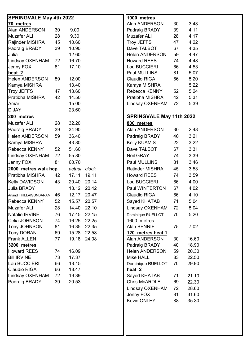| <b>SPRINGVALE May 4th 2022</b> |    |              |             | 1000 metres                     |    |       |
|--------------------------------|----|--------------|-------------|---------------------------------|----|-------|
| 70 metres                      |    |              |             | Alan ANDERSON                   | 30 | 3.43  |
| Alan ANDERSON                  | 30 | 9.00         |             | Padraig BRADY                   | 39 | 4.11  |
| <b>Muzafer ALI</b>             | 28 | 9.30         |             | Muzafer ALI                     | 28 | 4.17  |
| Rajinder MISHRA                | 45 | 10.60        |             | Troy JEFFS                      | 47 | 4.22  |
| Padraig BRADY                  | 39 | 10.90        |             | Dave TALBOT                     | 67 | 4.35  |
| Julia                          |    | 12.60        |             | <b>Helen ANDERSON</b>           | 59 | 4.47  |
| Lindsay OXENHAM                | 72 | 16.70        |             | <b>Howard REES</b>              | 74 | 4.48  |
| Jenny FOX                      | 81 | 17.10        |             | Lou BUCCIERI                    | 66 | 4.53  |
| heat 2                         |    |              |             | Paul MULLINS                    | 81 | 5.07  |
| <b>Helen ANDERSON</b>          | 59 | 12.00        |             | Claudio RIGA                    | 66 | 5.20  |
| Kamya MISHRA                   |    | 13.40        |             | Kamya MISHRA                    |    | 5.22  |
| <b>Troy JEFFS</b>              | 47 | 13.60        |             | Rebecca KENNY                   | 52 | 5.24  |
| Pratibha MISHRA                | 42 | 14.50        |             | Pratibha MISHRA                 | 42 | 5.31  |
| Amar                           |    | 15.00        |             | Lindsay OXENHAM                 | 72 | 5.39  |
| D JAY                          |    | 23.60        |             |                                 |    |       |
| 200 metres                     |    |              |             | <b>SPRINGVALE May 11th 2022</b> |    |       |
| <b>Muzafer ALI</b>             | 28 | 32.20        |             | 800 metres                      |    |       |
| Padraig BRADY                  | 39 | 34.90        |             | Alan ANDERSON                   | 30 | 2.48  |
| <b>Helen ANDERSON</b>          | 59 | 36.40        |             | Padraig BRADY                   | 40 | 3.21  |
| Kamya MISHRA                   |    | 43.80        |             | Kelly KUAMIS                    | 22 | 3,22  |
| Rebecca KENNY                  | 52 | 51.60        |             | Dave TALBOT                     | 67 | 3.31  |
| Lindsay OXENHAM                | 72 | 55.80        |             | <b>Neil GRAY</b>                | 74 | 3.39  |
| Jenny FOX                      | 81 | 60.70        |             | Paul MULLINS                    | 81 | 3.46  |
| 2000 metres walk hcp.          |    | actual clock |             | Rajinder MISHRA                 | 45 | 3.53  |
| Pratibha MISHRA                | 42 | 17.11        | 19.11       | <b>Howard REES</b>              | 74 | 3.59  |
| Kelly DAVIDSON                 | 43 | 20.40        | 20.14       | Lou BUCCIERI                    | 66 | 4.00  |
| Julia BRADY                    |    | 18.12        | 20.42       | Paul WINTERTON                  | 67 | 4.02  |
| Anand THILLAISUNDARAM          | 46 | 12.17        | 20.47       | Claudio RIGA                    | 66 | 4.10  |
| Rebecca KENNY                  | 52 |              | 15.57 20.57 | Sayed KHATAB                    | 71 | 5.04  |
| <b>Muzafer ALI</b>             | 28 | 14.40        | 22.10       | Lindsay OXENHAM                 | 72 | 5.04  |
| Natalie IRVINE                 | 76 | 17.45        | 22.15       | Dominique RUELLOT               | 70 | 5.20  |
| Celia JOHNSON                  | 74 | 16.25        | 22.25       | 1600 metres                     |    |       |
| <b>Tony JOHNSON</b>            | 81 | 16.35        | 22.35       | Alan BENNIE                     | 75 | 7.02  |
| <b>Tony DORAN</b>              | 69 | 15.28        | 22.58       | 120 metres heat 1               |    |       |
| Frank ALLEN                    | 77 | 19.18        | 24.08       | Alan ANDERSON                   | 30 | 16.60 |
| 3200 metres                    |    |              |             | Padraig BRADY                   | 40 | 18.90 |
| <b>Howard REES</b>             | 74 | 16.09        |             | Helen ANDERSON                  | 59 | 20.30 |
| <b>Bill IRVINE</b>             | 73 | 17.37        |             | Mike HALL                       | 83 | 22.50 |
| Lou BUCCIERI                   | 66 | 18.15        |             | Dominique RUELLOT               | 70 | 29.90 |
| Claudio RIGA                   | 66 | 18.47        |             | heat <sub>2</sub>               |    |       |
| Lindsay OXENHAM                | 72 | 19.39        |             | Sayed KHATAB                    | 71 | 21.10 |
| Padraig BRADY                  | 39 | 20.53        |             | Chris McARDLE                   | 69 | 22.30 |
|                                |    |              |             | Lindsay OXENHAM                 | 72 | 28.60 |
|                                |    |              |             | Jenny FOX                       | 81 | 31.60 |
|                                |    |              |             | Kevin ONLEY                     | 88 | 35.30 |
|                                |    |              |             |                                 |    |       |
|                                |    |              |             |                                 |    |       |
|                                |    |              |             |                                 |    |       |
|                                |    |              |             |                                 |    |       |
|                                |    |              |             |                                 |    |       |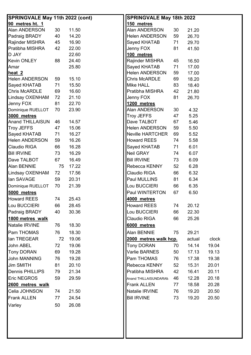| <b>SPRINGVALE May 11th 2022 (cont)</b> |    |       | <b>SPRINGVALE May 18th 2022</b> |    |        |       |  |  |
|----------------------------------------|----|-------|---------------------------------|----|--------|-------|--|--|
| 90 metres ht. 1                        |    |       | 150 metres                      |    |        |       |  |  |
| Alan ANDERSON                          | 30 | 11.50 | Alan ANDERSON                   | 30 | 21.20  |       |  |  |
| Padraig BRADY                          | 40 | 14.20 | <b>Helen ANDERSON</b>           | 59 | 26.70  |       |  |  |
| Rajinder MISHRA                        | 45 | 16.90 | Sayed KHATAB                    | 71 | 29.70  |       |  |  |
| Pratibha MISHRA                        | 42 | 22.00 | Jenny FOX                       | 81 | 41.50  |       |  |  |
| D JAY                                  |    | 22.60 | 100 metres                      |    |        |       |  |  |
| Kevin ONLEY                            | 88 | 24.40 | Rajinder MISHRA                 | 45 | 16.50  |       |  |  |
| Amar                                   |    | 25.80 | Sayed KHATAB                    | 71 | 17.00  |       |  |  |
| heat <sub>2</sub>                      |    |       | <b>Helen ANDERSON</b>           | 59 | 17.00  |       |  |  |
| <b>Helen ANDERSON</b>                  | 59 | 15.10 | <b>Chris McARDLE</b>            | 69 | 18.20  |       |  |  |
| Sayed KHATAB                           | 71 | 15.50 | <b>Mike HALL</b>                | 83 | 18.40  |       |  |  |
| <b>Chris McARDLE</b>                   | 69 | 16.60 | Pratibha MISHRA                 | 42 | 21.80  |       |  |  |
| Lindsay OXENHAM                        | 72 | 21.10 | Jenny FOX                       | 81 | 26.70  |       |  |  |
| Jenny FOX                              | 81 | 22.70 | 1200 metres                     |    |        |       |  |  |
| Dominique RUELLOT                      | 70 | 23.90 | Alan ANDERSON                   | 30 | 4.32   |       |  |  |
| 3000 metres                            |    |       | <b>Troy JEFFS</b>               | 47 | 5.25   |       |  |  |
| Anand THILLAISUN                       | 46 | 14.57 | Dave TALBOT                     | 67 | 5.46   |       |  |  |
| <b>Troy JEFFS</b>                      | 47 | 15.06 | Helen ANDERSON                  | 59 | 5.50   |       |  |  |
| Sayed KHATAB                           | 71 | 16.27 | <b>Neville HARTCHER</b>         | 69 | 5.52   |       |  |  |
| <b>Helen ANDERSON</b>                  | 59 | 16.26 | <b>Howard REES</b>              | 74 | 5.58   |       |  |  |
| Claudio RIGA                           | 66 | 16.28 | Sayed KHATAB                    | 71 | 6.01   |       |  |  |
| <b>Bill IRVINE</b>                     | 73 | 16.29 | Neil GRAY                       | 74 | 6.07   |       |  |  |
| Dave TALBOT                            | 67 | 16.49 | <b>Bill IRVINE</b>              | 73 | 6.09   |       |  |  |
| Alan BENNIE                            | 75 | 17.22 | Rebecca KENNY                   | 52 | 6.28   |       |  |  |
| Lindsay OXENHAM                        | 72 | 17.56 | Claudio RIGA                    | 66 | 6.32   |       |  |  |
| lan SAVAGE                             | 59 | 20.31 | Paul MULLINS                    | 81 | 6.34   |       |  |  |
| Dominique RUELLOT                      | 70 | 21.39 | Lou BUCCIERI                    | 66 | 6.35   |       |  |  |
| <u>5000 metres</u>                     |    |       | Paul WINTERTON                  | 67 | 6.50   |       |  |  |
| <b>Howard REES</b>                     | 74 | 25.43 | 4000 metres                     |    |        |       |  |  |
| Lou BUCCIERI                           | 66 | 28.45 | <b>Howard REES</b>              | 74 | 20.12  |       |  |  |
| Padraig BRADY                          | 40 | 30.36 | Lou BUCCIERI                    | 66 | 22.30  |       |  |  |
| 1800 metres walk                       |    |       | Claudio RIGA                    | 66 | 25.26  |       |  |  |
| Natalie IRVINE                         | 76 | 18.30 | 6000 metres                     |    |        |       |  |  |
| Pam THOMAS                             |    |       |                                 |    |        |       |  |  |
|                                        | 76 | 18.30 | Alan BENNIE                     | 75 | 29.21  |       |  |  |
| lan TREGEAR                            | 72 | 19.06 | 2000 metres walk hcp.           |    | actual | clock |  |  |
| John ABEL                              | 72 | 19.06 | <b>Tony DORAN</b>               | 70 | 14.14  | 19.04 |  |  |
| <b>Tony DORAN</b>                      | 69 | 19.28 | Varlie BARNES                   | 50 | 17.13  | 19.13 |  |  |
| <b>John MANNING</b>                    | 76 | 19.28 | Pam THOMAS                      | 76 | 17.38  | 19.38 |  |  |
| <b>Jim SMITH</b>                       | 81 | 20.10 | Rebecca KENNY                   | 52 | 15.31  | 20.01 |  |  |
| <b>Dennis PHILLIPS</b>                 | 79 | 21.34 | Pratibha MISHRA                 | 42 | 16.41  | 20.11 |  |  |
| Eric NEGROS                            | 59 | 29.59 | Anand THILLAISUNDARAM           | 46 | 12.28  | 20.18 |  |  |
| 2600 metres walk                       |    |       | <b>Frank ALLEN</b>              | 77 | 18.58  | 20.28 |  |  |
| Celia JOHNSON                          | 74 | 21.50 | Natalie IRVINE                  | 76 | 19.20  | 20.50 |  |  |
| <b>Frank ALLEN</b>                     | 77 | 24.54 | <b>Bill IRVINE</b>              | 73 | 19.20  | 20.50 |  |  |
| Varley                                 | 50 | 26.08 |                                 |    |        |       |  |  |
|                                        |    |       |                                 |    |        |       |  |  |
|                                        |    |       |                                 |    |        |       |  |  |
|                                        |    |       |                                 |    |        |       |  |  |
|                                        |    |       |                                 |    |        |       |  |  |
|                                        |    |       |                                 |    |        |       |  |  |